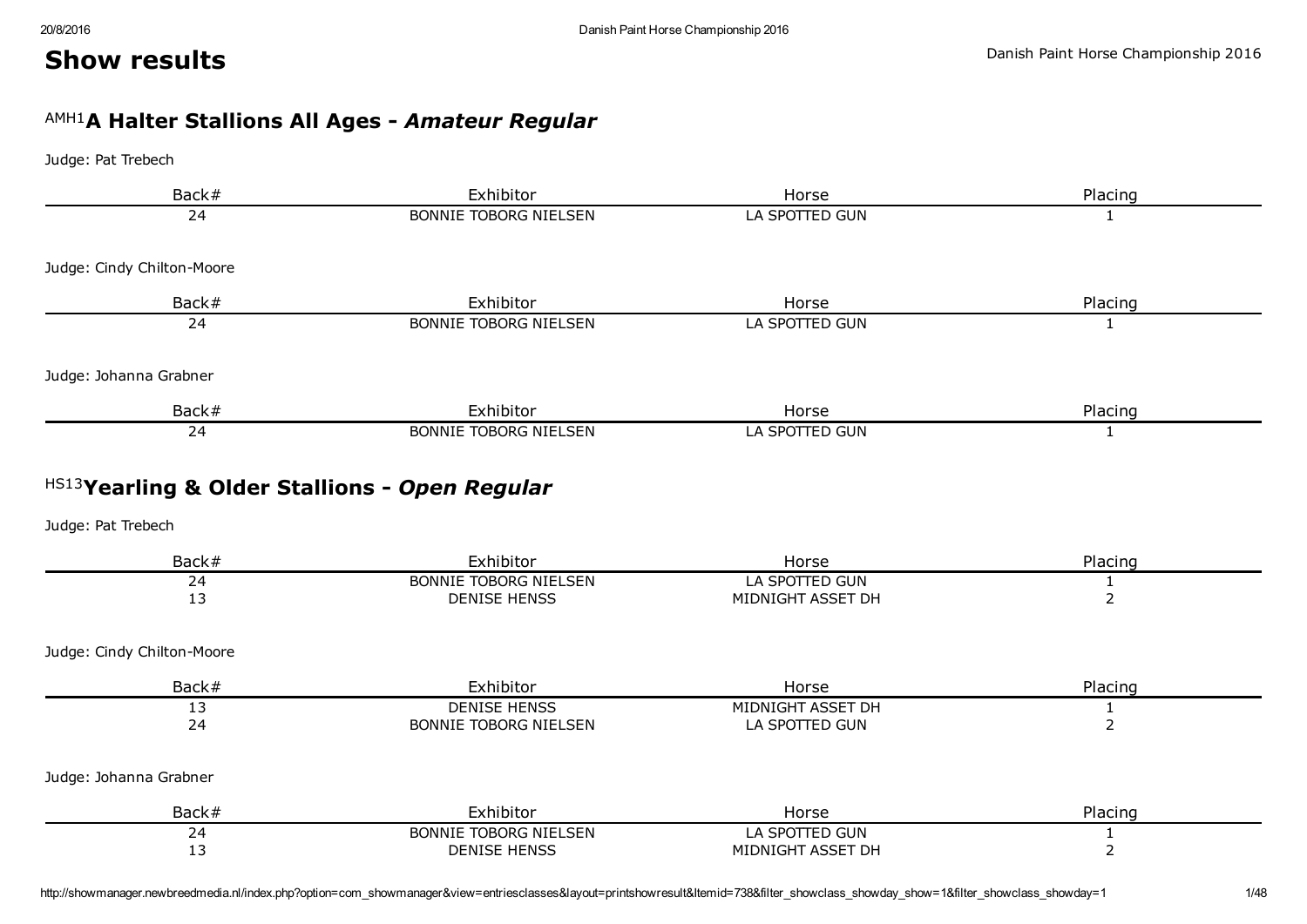#### Danish Paint Horse Championship 2016

# AMH1 A Halter Stallions All Ages *Amateur Regular*

#### Judge: Pat Trebech

Show results

| Back#                      | Exhibitor                    | Horse          | Placing |
|----------------------------|------------------------------|----------------|---------|
| 24                         | <b>BONNIE TOBORG NIELSEN</b> | LA SPOTTED GUN |         |
| Judge: Cindy Chilton-Moore |                              |                |         |
| Back#                      | Exhibitor                    | Horse          | Placing |
| 24                         | <b>BONNIE TOBORG NIELSEN</b> | LA SPOTTED GUN |         |
| Judge: Johanna Grabner     |                              |                |         |
| Back#                      | Exhibitor                    | Horse          | Placing |
| 24                         | <b>BONNIE TOBORG NIELSEN</b> | LA SPOTTED GUN |         |

# HS13 Yearling & Older Stallions *Open Regular*

| Back#                      | Exhibitor                    | Horse             | Placing |
|----------------------------|------------------------------|-------------------|---------|
| 24                         | <b>BONNIE TOBORG NIELSEN</b> | LA SPOTTED GUN    |         |
| 13                         | <b>DENISE HENSS</b>          | MIDNIGHT ASSET DH |         |
| Judge: Cindy Chilton-Moore |                              |                   |         |
| Back#                      | Exhibitor                    | Horse             | Placing |
| 13                         | <b>DENISE HENSS</b>          | MIDNIGHT ASSET DH |         |
| 24                         | <b>BONNIE TOBORG NIELSEN</b> | LA SPOTTED GUN    |         |
| Judge: Johanna Grabner     |                              |                   |         |
| Back#                      | Exhibitor                    | Horse             | Placing |
| 24                         | <b>BONNIE TOBORG NIELSEN</b> | LA SPOTTED GUN    |         |
| 13                         | <b>DENISE HENSS</b>          | MIDNIGHT ASSET DH |         |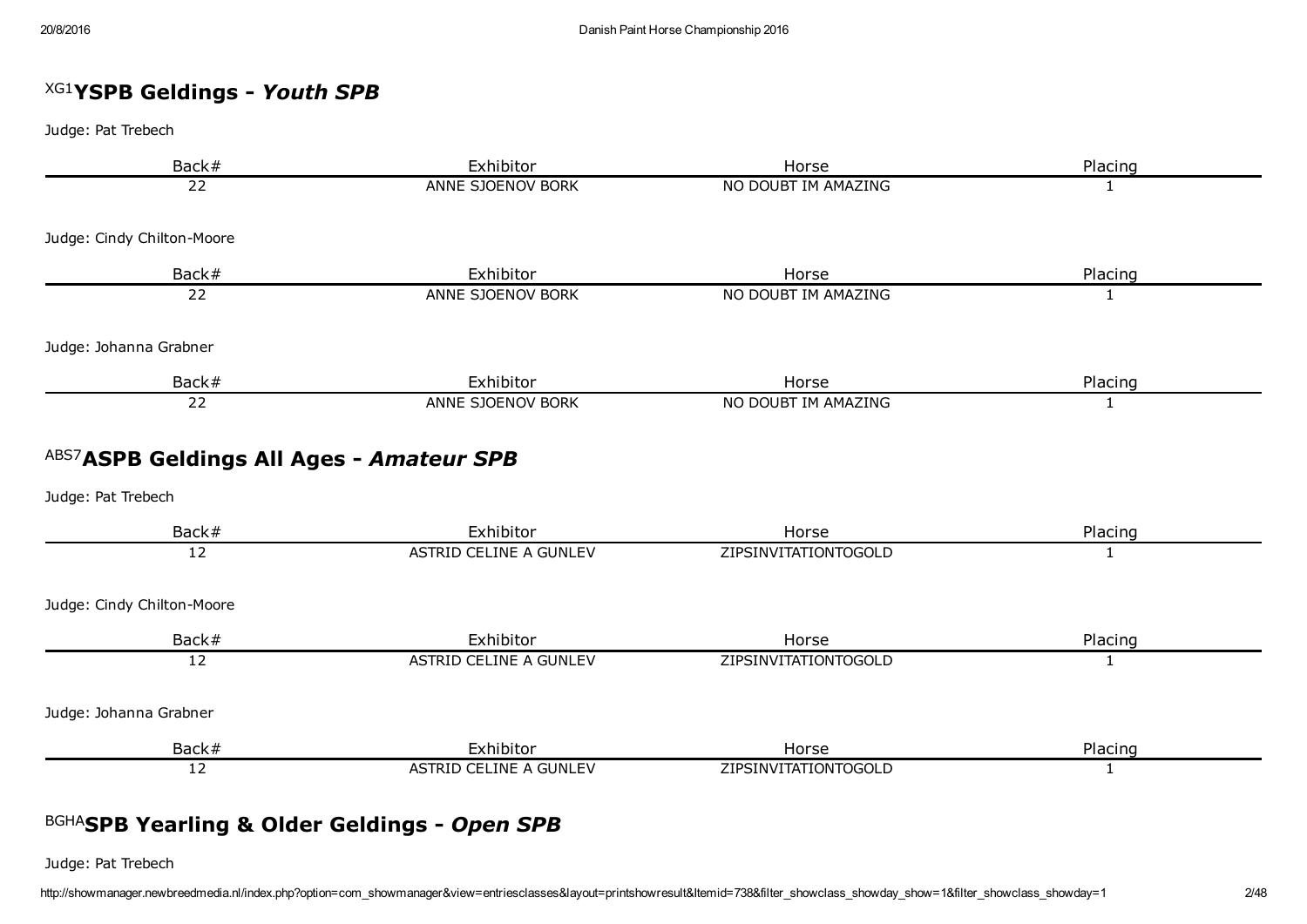# XG1 YSPB Geldings *Youth SPB*

Judge: Pat Trebech

| Back#                                                           | Exhibitor                     | Horse                       | Placing      |
|-----------------------------------------------------------------|-------------------------------|-----------------------------|--------------|
| 22                                                              | ANNE SJOENOV BORK             | NO DOUBT IM AMAZING         | 1            |
| Judge: Cindy Chilton-Moore                                      |                               |                             |              |
| Back#                                                           | Exhibitor                     | Horse                       | Placing      |
| 22                                                              | ANNE SJOENOV BORK             | NO DOUBT IM AMAZING         | $\mathbf{1}$ |
| Judge: Johanna Grabner                                          |                               |                             |              |
| Back#                                                           | Exhibitor                     | Horse                       | Placing      |
| 22                                                              | ANNE SJOENOV BORK             | NO DOUBT IM AMAZING         | 1            |
| ABS7 ASPB Geldings All Ages - Amateur SPB<br>Judge: Pat Trebech |                               |                             |              |
| Back#                                                           | Exhibitor                     | Horse                       | Placing      |
| $\overline{12}$                                                 | <b>ASTRID CELINE A GUNLEV</b> | ZIPSINVITATIONTOGOLD        | $\mathbf{1}$ |
| Judge: Cindy Chilton-Moore                                      |                               |                             |              |
| Back#                                                           | Exhibitor                     | Horse                       | Placing      |
| 12                                                              | <b>ASTRID CELINE A GUNLEV</b> | ZIPSINVITATIONTOGOLD        | 1            |
| Judge: Johanna Grabner                                          |                               |                             |              |
| Back#                                                           | Exhibitor                     | Horse                       | Placing      |
| 12                                                              | ASTRID CELINE A GUNLEV        | <b>ZIPSINVITATIONTOGOLD</b> | 1            |

# BGHA SPB Yearling & Older Geldings *Open SPB*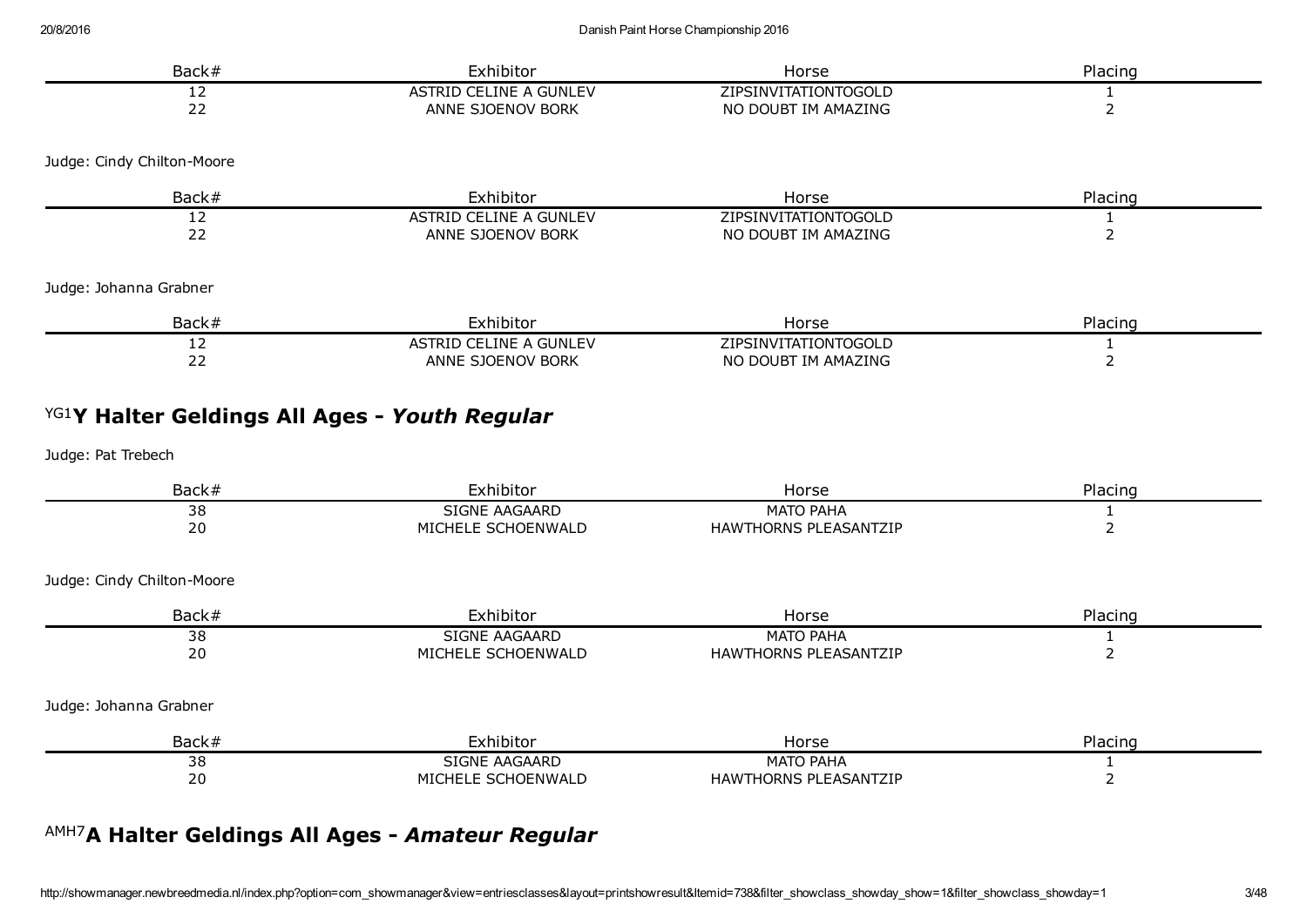| Back#                      | Exhibitor              | Horse                | Placing |
|----------------------------|------------------------|----------------------|---------|
| 12                         | ASTRID CELINE A GUNLEV | ZIPSINVITATIONTOGOLD |         |
| 22                         | ANNE SJOENOV BORK      | NO DOUBT IM AMAZING  |         |
| Judge: Cindy Chilton-Moore |                        |                      |         |
| Back#                      | Exhibitor              | Horse                | Placing |
| 12                         | ASTRID CELINE A GUNLEV | ZIPSINVITATIONTOGOLD |         |
| 22                         | ANNE SJOENOV BORK      | NO DOUBT IM AMAZING  |         |
| Judge: Johanna Grabner     |                        |                      |         |
| Back#                      | Exhibitor              | Horse                | Placing |
| 12                         | ASTRID CELINE A GUNLEV | ZIPSINVITATIONTOGOLD |         |
| 22                         | ANNE SJOENOV BORK      | NO DOUBT IM AMAZING  |         |

# YG1 Y Halter Geldings All Ages *Youth Regular*

Judge: Pat Trebech

| Back#                      | Exhibitor          | Horse                        | Placing |
|----------------------------|--------------------|------------------------------|---------|
| 38                         | SIGNE AAGAARD      | <b>MATO PAHA</b>             |         |
| 20                         | MICHELE SCHOENWALD | <b>HAWTHORNS PLEASANTZIP</b> |         |
| Judge: Cindy Chilton-Moore |                    |                              |         |
| Back#                      | Exhibitor          | Horse                        | Placing |
| 38                         | SIGNE AAGAARD      | <b>MATO PAHA</b>             |         |
| 20                         | MICHELE SCHOENWALD | <b>HAWTHORNS PLEASANTZIP</b> |         |
| Judge: Johanna Grabner     |                    |                              |         |
| Back#                      | Exhibitor          | Horse                        | Placing |
| 38                         | SIGNE AAGAARD      | <b>MATO PAHA</b>             |         |
| 20                         | MICHELE SCHOENWALD | <b>HAWTHORNS PLEASANTZIP</b> |         |

# AMH7 A Halter Geldings All Ages *Amateur Regular*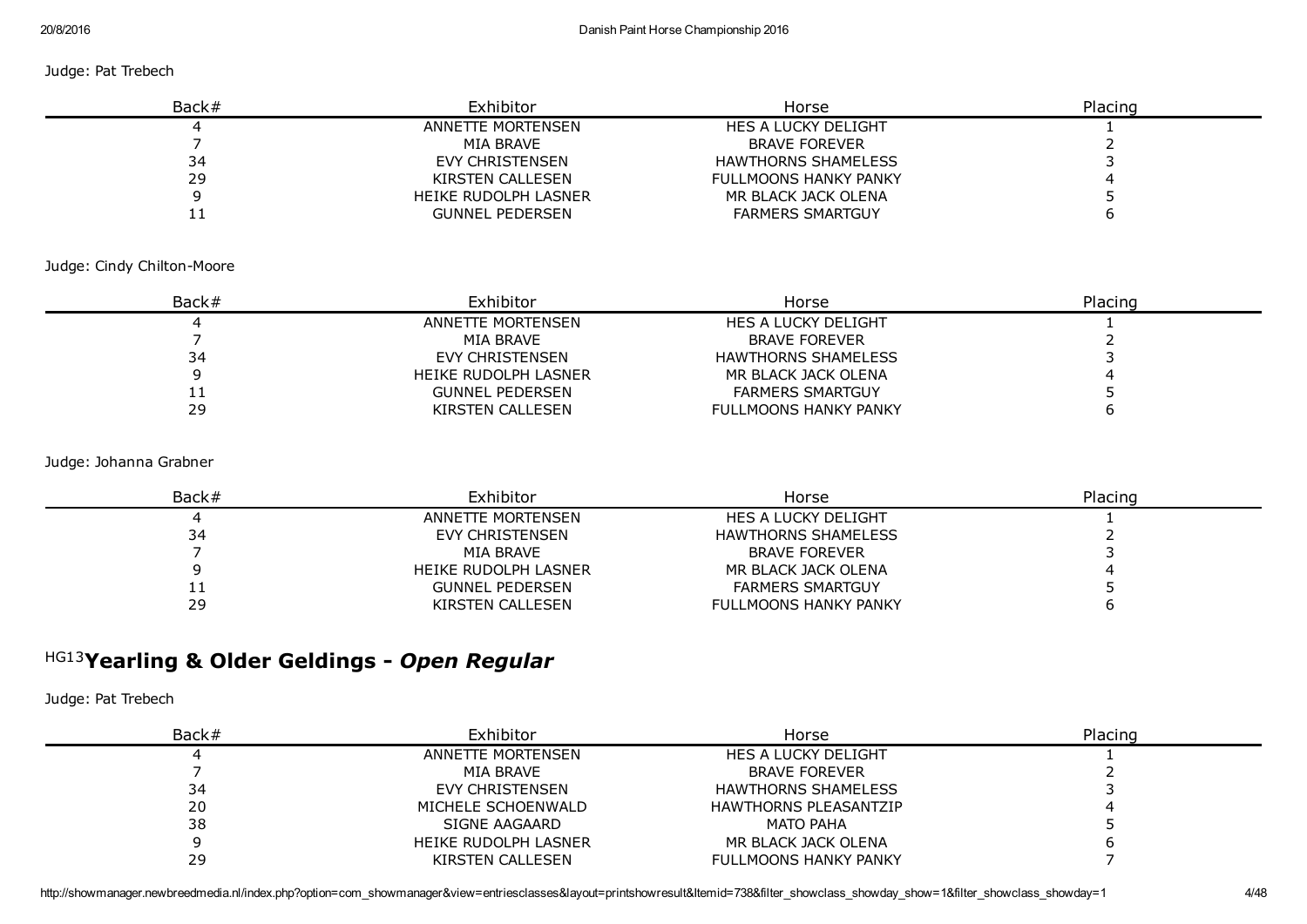#### Judge: Pat Trebech

| Back# | Exhibitor              | Horse                        | Placing |
|-------|------------------------|------------------------------|---------|
|       | ANNETTE MORTENSEN      | HES A LUCKY DELIGHT          |         |
|       | MIA BRAVE              | <b>BRAVE FOREVER</b>         |         |
| 34    | EVY CHRISTENSEN        | <b>HAWTHORNS SHAMELESS</b>   |         |
| 29    | KIRSTEN CALLESEN       | <b>FULLMOONS HANKY PANKY</b> |         |
|       | HEIKE RUDOLPH LASNER   | MR BLACK JACK OLENA          |         |
|       | <b>GUNNEL PEDERSEN</b> | <b>FARMERS SMARTGUY</b>      |         |

#### Judge: Cindy Chilton-Moore

| Back# | Exhibitor              | Horse                        | Placing |
|-------|------------------------|------------------------------|---------|
|       | ANNETTE MORTENSEN      | HES A LUCKY DELIGHT          |         |
|       | MIA BRAVE              | <b>BRAVE FOREVER</b>         |         |
| 34    | EVY CHRISTENSEN        | HAWTHORNS SHAMELESS          |         |
|       | HEIKE RUDOLPH LASNER   | MR BLACK JACK OLENA          |         |
| ᆠᆂ    | <b>GUNNEL PEDERSEN</b> | <b>FARMERS SMARTGUY</b>      |         |
| 29    | KIRSTEN CALLESEN       | <b>FULLMOONS HANKY PANKY</b> |         |

#### Judge: Johanna Grabner

| Back#      | Exhibitor            | Horse                        | Placing |
|------------|----------------------|------------------------------|---------|
|            | ANNETTE MORTENSEN    | HES A LUCKY DELIGHT          |         |
| 34         | EVY CHRISTENSEN      | HAWTHORNS SHAMELESS          |         |
|            | MIA BRAVE            | <b>BRAVE FOREVER</b>         |         |
|            | HEIKE RUDOLPH LASNER | MR BLACK JACK OLENA          |         |
| <b>. .</b> | GUNNEL PEDERSEN      | <b>FARMERS SMARTGUY</b>      |         |
| 29         | KIRSTEN CALLESEN     | <b>FULLMOONS HANKY PANKY</b> |         |

# HG13 Yearling & Older Geldings *Open Regular*

| Back# | Exhibitor            | Horse                        | Placing |
|-------|----------------------|------------------------------|---------|
|       | ANNETTE MORTENSEN    | HES A LUCKY DELIGHT          |         |
|       | MIA BRAVE            | <b>BRAVE FOREVER</b>         |         |
| 34    | EVY CHRISTENSEN      | <b>HAWTHORNS SHAMELESS</b>   |         |
| 20    | MICHELE SCHOENWALD   | <b>HAWTHORNS PLEASANTZIP</b> |         |
| 38    | SIGNE AAGAARD        | <b>MATO PAHA</b>             |         |
|       | HEIKE RUDOLPH LASNER | MR BLACK JACK OLENA          |         |
| 29    | KIRSTEN CALLESEN     | <b>FULLMOONS HANKY PANKY</b> |         |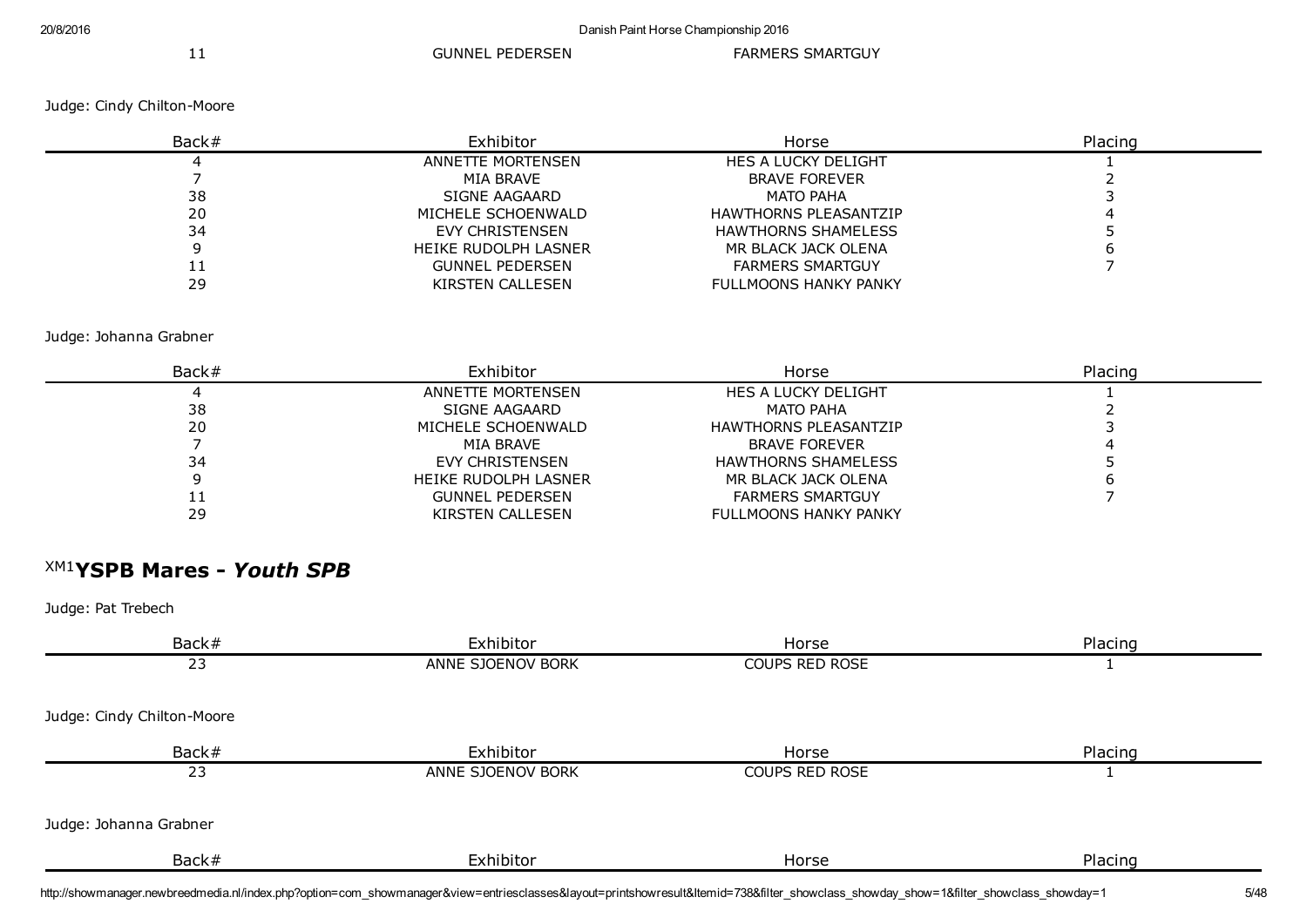11 GUNNEL PEDERSEN FARMERS SMARTGUY

Judge: Cindy Chilton-Moore

| Back# | Exhibitor              | Horse                        | Placing |
|-------|------------------------|------------------------------|---------|
|       | ANNETTE MORTENSEN      | HES A LUCKY DELIGHT          |         |
|       | MIA BRAVE              | <b>BRAVE FOREVER</b>         |         |
| 38    | SIGNE AAGAARD          | MATO PAHA                    |         |
| 20    | MICHELE SCHOENWALD     | <b>HAWTHORNS PLEASANTZIP</b> |         |
| 34    | EVY CHRISTENSEN        | <b>HAWTHORNS SHAMELESS</b>   |         |
|       | HEIKE RUDOLPH LASNER   | MR BLACK JACK OLENA          |         |
| IJ    | <b>GUNNEL PEDERSEN</b> | <b>FARMERS SMARTGUY</b>      |         |
| 29    | KIRSTEN CALLESEN       | <b>FULLMOONS HANKY PANKY</b> |         |

Judge: Johanna Grabner

| Back# | Exhibitor              | Horse                        | Placing |
|-------|------------------------|------------------------------|---------|
|       | ANNETTE MORTENSEN      | <b>HES A LUCKY DELIGHT</b>   |         |
| 38    | SIGNE AAGAARD          | <b>MATO PAHA</b>             |         |
| 20    | MICHELE SCHOENWALD     | <b>HAWTHORNS PLEASANTZIP</b> |         |
|       | MIA BRAVE              | <b>BRAVE FOREVER</b>         |         |
| 34    | EVY CHRISTENSEN        | <b>HAWTHORNS SHAMELESS</b>   |         |
|       | HEIKE RUDOLPH LASNER   | MR BLACK JACK OLENA          |         |
| ᆠ     | <b>GUNNEL PEDERSEN</b> | <b>FARMERS SMARTGUY</b>      |         |
| 29    | KIRSTEN CALLESEN       | <b>FULLMOONS HANKY PANKY</b> |         |

# XM1 YSPB Mares *Youth SPB*

| Back#                      | Exhibitor         | Horse          | Placing |
|----------------------------|-------------------|----------------|---------|
| 23                         | ANNE SJOENOV BORK | COUPS RED ROSE |         |
|                            |                   |                |         |
| Judge: Cindy Chilton-Moore |                   |                |         |
| Back#                      | Exhibitor         | Horse          | Placing |
| 23                         | ANNE SJOENOV BORK | COUPS RED ROSE |         |
|                            |                   |                |         |
| Judge: Johanna Grabner     |                   |                |         |
| Back#                      | Exhibitor         | Horse          | Placing |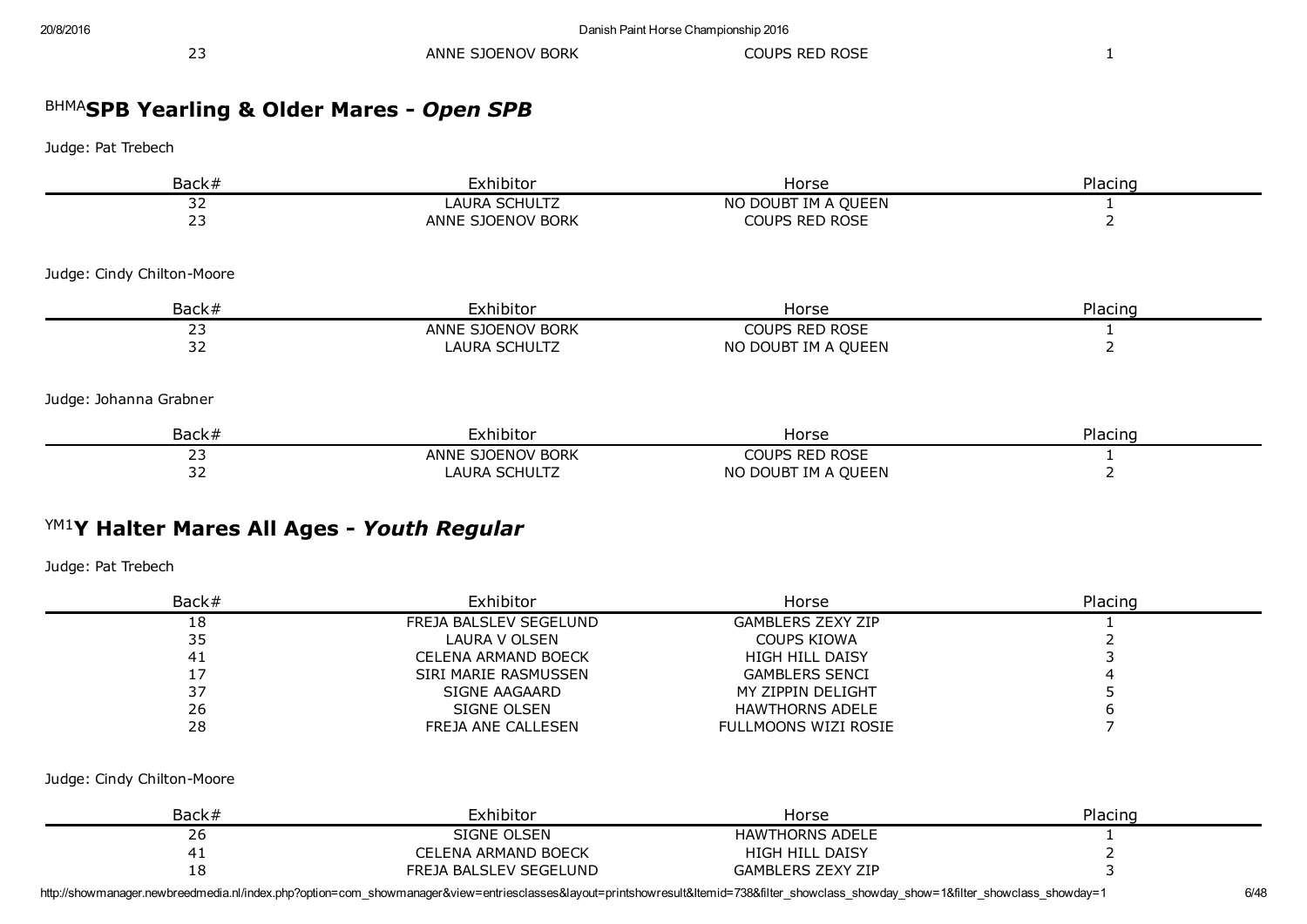| $\sim$ $\sim$<br>ANNE SJOENOV BORK<br>_ _ | <b>COUPS RED ROSE</b> |
|-------------------------------------------|-----------------------|
|-------------------------------------------|-----------------------|

## BHMA SPB Yearling & Older Mares *Open SPB*

Judge: Pat Trebech

| Back#                      | Exhibitor         | Horse                 | Placing |
|----------------------------|-------------------|-----------------------|---------|
| 32                         | LAURA SCHULTZ     | NO DOUBT IM A QUEEN   |         |
| 23                         | ANNE SJOENOV BORK | <b>COUPS RED ROSE</b> |         |
| Judge: Cindy Chilton-Moore |                   |                       |         |
| Back#                      | Exhibitor         | Horse                 | Placing |
| 23                         | ANNE SJOENOV BORK | COUPS RED ROSE        |         |
| 32                         | LAURA SCHULTZ     | NO DOUBT IM A QUEEN   |         |
| Judge: Johanna Grabner     |                   |                       |         |
| Back#                      | Exhibitor         | Horse                 | Placing |
| 23                         | ANNE SJOENOV BORK | <b>COUPS RED ROSE</b> |         |
| 32                         | LAURA SCHULTZ     | NO DOUBT IM A QUEEN   |         |

# YM1 Y Halter Mares All Ages *Youth Regular*

Judge: Pat Trebech

| Back# | Exhibitor              | Horse                       | Placing |
|-------|------------------------|-----------------------------|---------|
| 18    | FREJA BALSLEV SEGELUND | <b>GAMBLERS ZEXY ZIP</b>    |         |
| 35    | LAURA V OLSEN          | COUPS KIOWA                 |         |
| 41    | CELENA ARMAND BOECK    | <b>HIGH HILL DAISY</b>      |         |
|       | SIRI MARIE RASMUSSEN   | <b>GAMBLERS SENCI</b>       |         |
|       | SIGNE AAGAARD          | MY ZIPPIN DELIGHT           |         |
| 26    | SIGNE OLSEN            | <b>HAWTHORNS ADELE</b>      |         |
| 28    | FREJA ANE CALLESEN     | <b>FULLMOONS WIZI ROSIE</b> |         |

Judge: Cindy Chilton-Moore

| Back#      | Exhibitor                  | Horse                    | Placing |
|------------|----------------------------|--------------------------|---------|
| 26         | SIGNE OLSEN                | <b>HAWTHORNS ADELE</b>   |         |
|            | <b>CELENA ARMAND BOECK</b> | <b>HIGH HILL DAISY</b>   |         |
| ה ו-<br>ΙÖ | FREJA BALSLEV SEGELUND     | <b>GAMBLERS ZEXY ZIP</b> |         |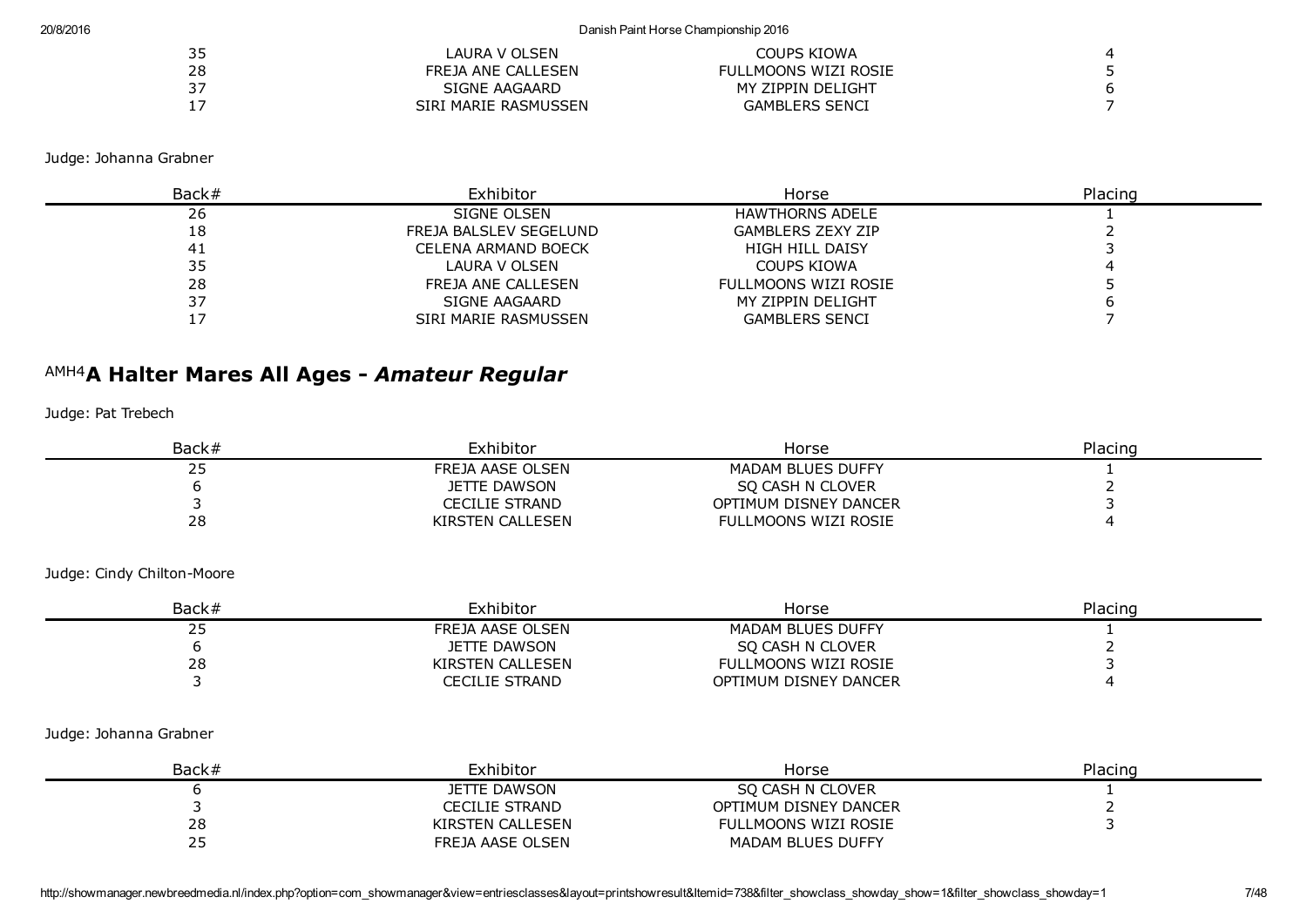#### 20/8/2016 Danish Paint Horse Championship 2016

| 35 | LAURA V OLSEN        | COUPS KIOWA           |   |
|----|----------------------|-----------------------|---|
| 28 | FREJA ANE CALLESEN   | FULLMOONS WIZI ROSIE  |   |
|    | SIGNE AAGAARD        | MY ZIPPIN DELIGHT     | b |
|    | SIRI MARIE RASMUSSEN | <b>GAMBLERS SENCI</b> |   |

Judge: Johanna Grabner

| Back# | Exhibitor              | Horse                    | Placino |
|-------|------------------------|--------------------------|---------|
| 26    | SIGNE OLSEN            | <b>HAWTHORNS ADELE</b>   |         |
| 18    | FREJA BALSLEV SEGELUND | <b>GAMBLERS ZEXY ZIP</b> |         |
| 41    | CELENA ARMAND BOECK    | <b>HIGH HILL DAISY</b>   |         |
| 35    | LAURA V OLSEN          | COUPS KIOWA              |         |
| 28    | FREJA ANE CALLESEN     | FULLMOONS WIZI ROSIE     |         |
|       | SIGNE AAGAARD          | MY ZIPPIN DELIGHT        |         |
|       | SIRI MARIE RASMUSSEN   | <b>GAMBLERS SENCI</b>    |         |

# AMH4 A Halter Mares All Ages *Amateur Regular*

Judge: Pat Trebech

| Back# | Exhibitor        | Horse                    | Placing |
|-------|------------------|--------------------------|---------|
| ر ے   | FREJA AASE OLSEN | <b>MADAM BLUES DUFFY</b> |         |
|       | JETTE DAWSON     | SO CASH N CLOVER         |         |
|       | CECILIE STRAND   | OPTIMUM DISNEY DANCER    |         |
| 28    | KIRSTEN CALLESEN | FULLMOONS WIZI ROSIE     |         |

Judge: Cindy Chilton-Moore

| Back#      | Exhibitor        | Horse                 | Placing |
|------------|------------------|-----------------------|---------|
| <u>_ _</u> | FREJA AASE OLSEN | MADAM BLUES DUFFY     |         |
|            | JETTE DAWSON     | SO CASH N CLOVER      |         |
| 28         | KIRSTEN CALLESEN | FULLMOONS WIZI ROSIE  |         |
|            | CECILIE STRAND   | OPTIMUM DISNEY DANCER |         |

#### Judge: Johanna Grabner

| Back# | Exhibitor        | Horse                 | Placing |
|-------|------------------|-----------------------|---------|
|       | JETTE DAWSON     | SO CASH N CLOVER      |         |
|       | CECILIE STRAND   | OPTIMUM DISNEY DANCER |         |
| 28    | KIRSTEN CALLESEN | FULLMOONS WIZI ROSIE  |         |
| ر ے   | FREJA AASE OLSEN | MADAM BLUES DUFFY     |         |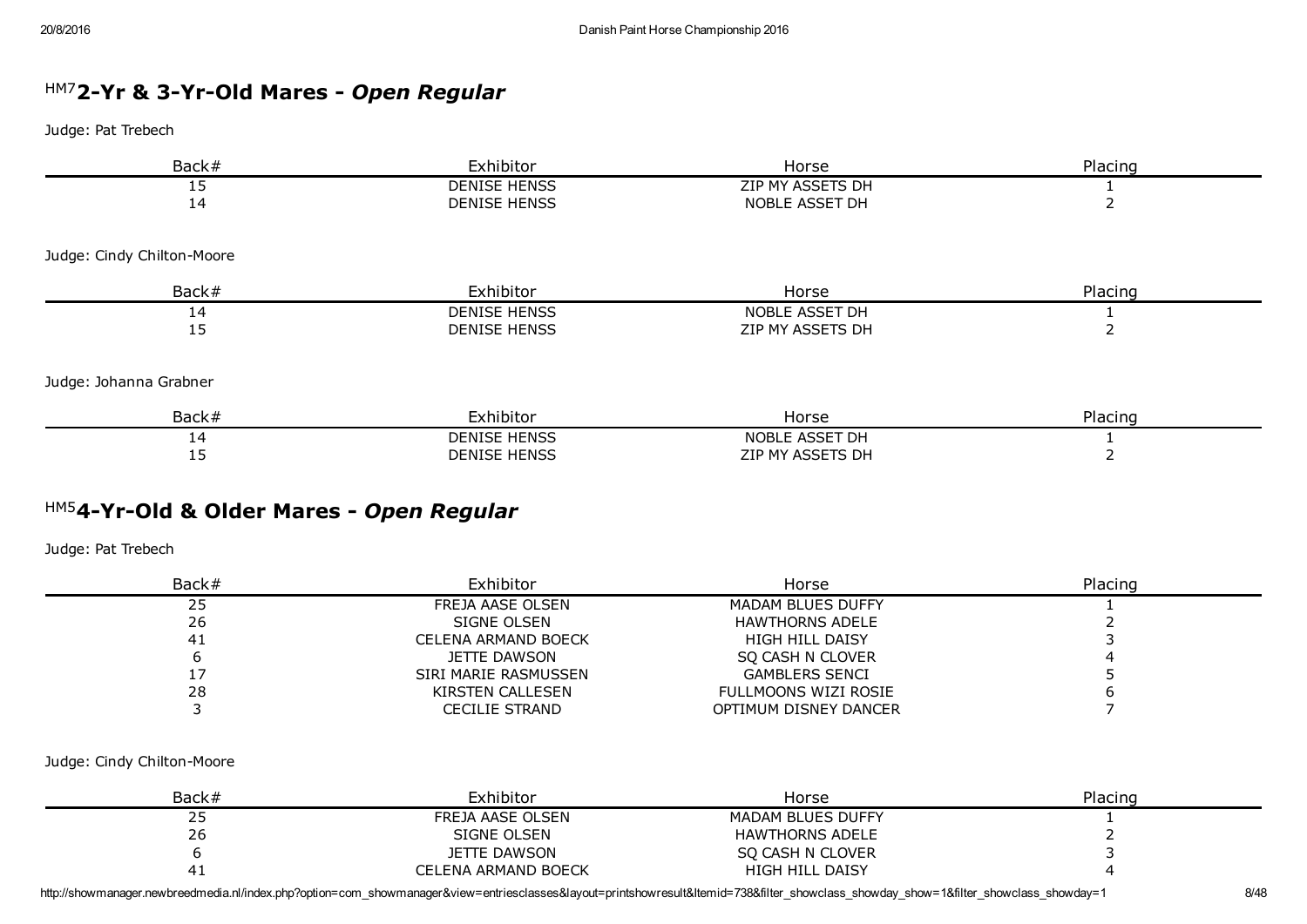# <sup>HM7</sup>2-Yr & 3-Yr-Old Mares - Open Regular

Judge: Pat Trebech

| Back#                      | Exhibitor           | Horse            | Placing |
|----------------------------|---------------------|------------------|---------|
| 15                         | <b>DENISE HENSS</b> | ZIP MY ASSETS DH |         |
| 14                         | <b>DENISE HENSS</b> | NOBLE ASSET DH   |         |
| Judge: Cindy Chilton-Moore |                     |                  |         |
| Back#                      | Exhibitor           | Horse            | Placing |
| 14                         | <b>DENISE HENSS</b> | NOBLE ASSET DH   |         |
| 15                         | <b>DENISE HENSS</b> | ZIP MY ASSETS DH |         |
| Judge: Johanna Grabner     |                     |                  |         |
| Back#                      | Exhibitor           | Horse            | Placing |
| 14                         | <b>DENISE HENSS</b> | NOBLE ASSET DH   |         |

15 DENISE HENSS 2IP MY ASSETS DH

# HM5 4YrOld & Older Mares *Open Regular*

Judge: Pat Trebech

| Back# | Exhibitor                  | Horse                  | Placing |
|-------|----------------------------|------------------------|---------|
| 25    | FREJA AASE OLSEN           | MADAM BLUES DUFFY      |         |
| 26    | SIGNE OLSEN                | <b>HAWTHORNS ADELE</b> |         |
| 41    | <b>CELENA ARMAND BOECK</b> | <b>HIGH HILL DAISY</b> |         |
|       | JETTE DAWSON               | SO CASH N CLOVER       |         |
|       | SIRI MARIE RASMUSSEN       | <b>GAMBLERS SENCI</b>  |         |
| 28    | KIRSTEN CALLESEN           | FULLMOONS WIZI ROSIE   |         |
|       | CECILIE STRAND             | OPTIMUM DISNEY DANCER  |         |

#### Judge: Cindy Chilton-Moore

| Back#         | Exhibitor                  | Horse                  | Placing |
|---------------|----------------------------|------------------------|---------|
| $\sim$<br>ر ے | FREJA AASE OLSEN           | MADAM BLUES DUFFY      |         |
| 26            | SIGNE OLSEN                | HAWTHORNS ADELE        |         |
|               | <b>JETTE DAWSON</b>        | SO CASH N CLOVER       |         |
|               | <b>CELENA ARMAND BOECK</b> | <b>HIGH HILL DAISY</b> |         |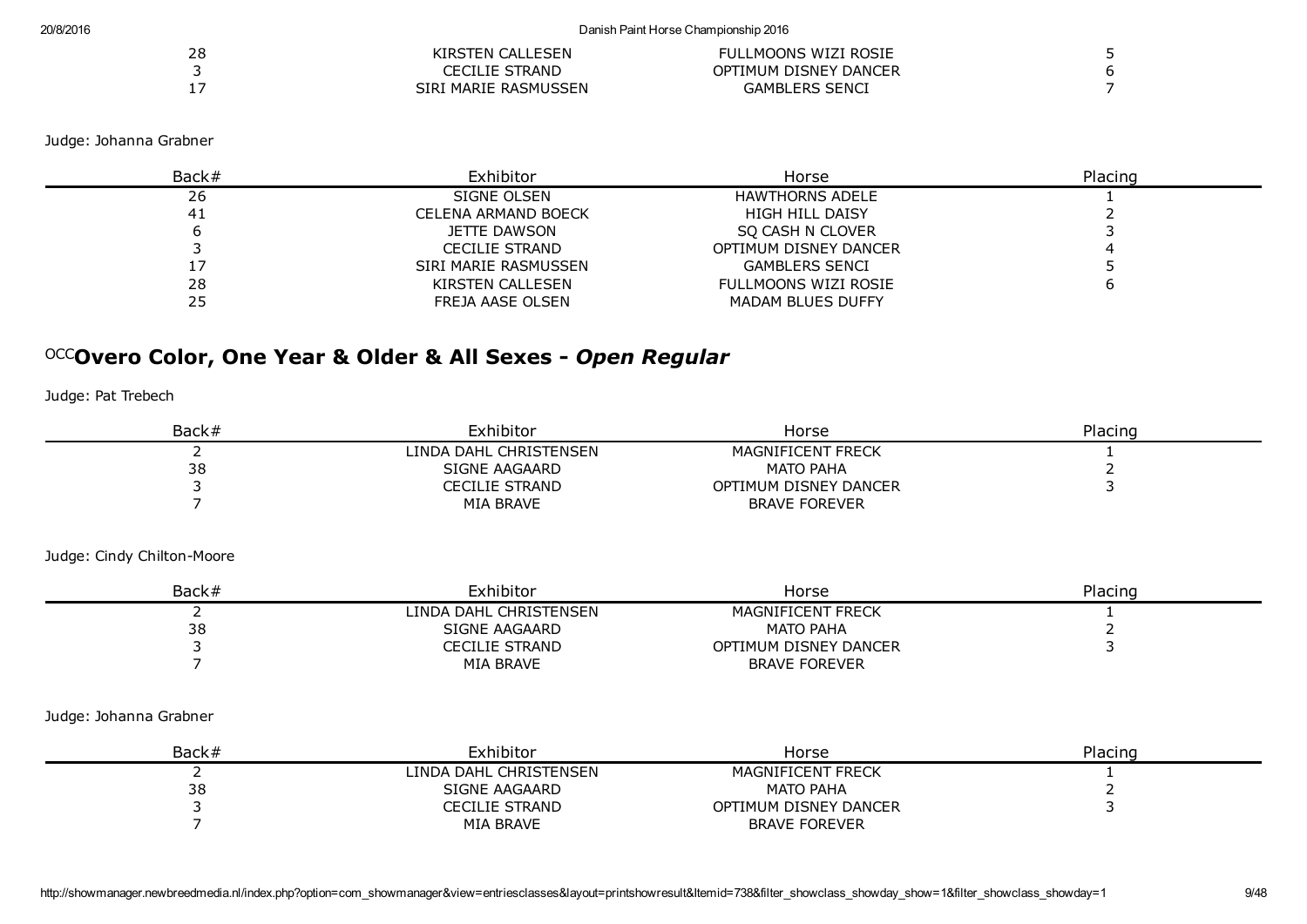| 28 | KIRSTEN CALLESEN     | FULLMOONS WIZI ROSIE  |  |
|----|----------------------|-----------------------|--|
|    | CECILIE STRAND       | OPTIMUM DISNEY DANCER |  |
|    | SIRI MARIE RASMUSSEN | <b>GAMBLERS SENCI</b> |  |

Judge: Johanna Grabner

| Back# | Exhibitor             | Horse                  | Placing |
|-------|-----------------------|------------------------|---------|
| 26    | SIGNE OLSEN           | <b>HAWTHORNS ADELE</b> |         |
| -41   | CELENA ARMAND BOECK   | <b>HIGH HILL DAISY</b> |         |
|       | JETTE DAWSON          | SO CASH N CLOVER       |         |
|       | <b>CECILIE STRAND</b> | OPTIMUM DISNEY DANCER  |         |
|       | SIRI MARIE RASMUSSEN  | <b>GAMBLERS SENCI</b>  |         |
| 28    | KIRSTEN CALLESEN      | FULLMOONS WIZI ROSIE   |         |
| 25    | FREJA AASE OLSEN      | MADAM BLUES DUFFY      |         |

# OCC Overo Color, One Year & Older & All Sexes *Open Regular*

Judge: Pat Trebech

| Back# | Exhibitor              | Horse                 | Placing |
|-------|------------------------|-----------------------|---------|
|       | LINDA DAHL CHRISTENSEN | MAGNIFICENT FRECK     |         |
| 38    | SIGNE AAGAARD          | MATO PAHA             |         |
|       | CECILIE STRAND         | OPTIMUM DISNEY DANCER |         |
|       | MIA BRAVE              | <b>BRAVE FOREVER</b>  |         |

Judge: Cindy Chilton-Moore

| Back# | Exhibitor              | Horse                    | Placing |
|-------|------------------------|--------------------------|---------|
|       | LINDA DAHL CHRISTENSEN | <b>MAGNIFICENT FRECK</b> |         |
| 38    | SIGNE AAGAARD          | <b>MATO PAHA</b>         |         |
|       | CECILIE STRAND         | OPTIMUM DISNEY DANCER    |         |
|       | MIA BRAVE              | <b>BRAVE FOREVER</b>     |         |

Judge: Johanna Grabner

| Back# | Exhibitor              | Horse                 | Placing |
|-------|------------------------|-----------------------|---------|
|       | LINDA DAHL CHRISTENSEN | MAGNIFICENT FRECK     |         |
| 38    | SIGNE AAGAARD          | MATO PAHA             |         |
|       | CECILIE STRAND         | OPTIMUM DISNEY DANCER |         |
|       | MIA BRAVE              | <b>BRAVE FOREVER</b>  |         |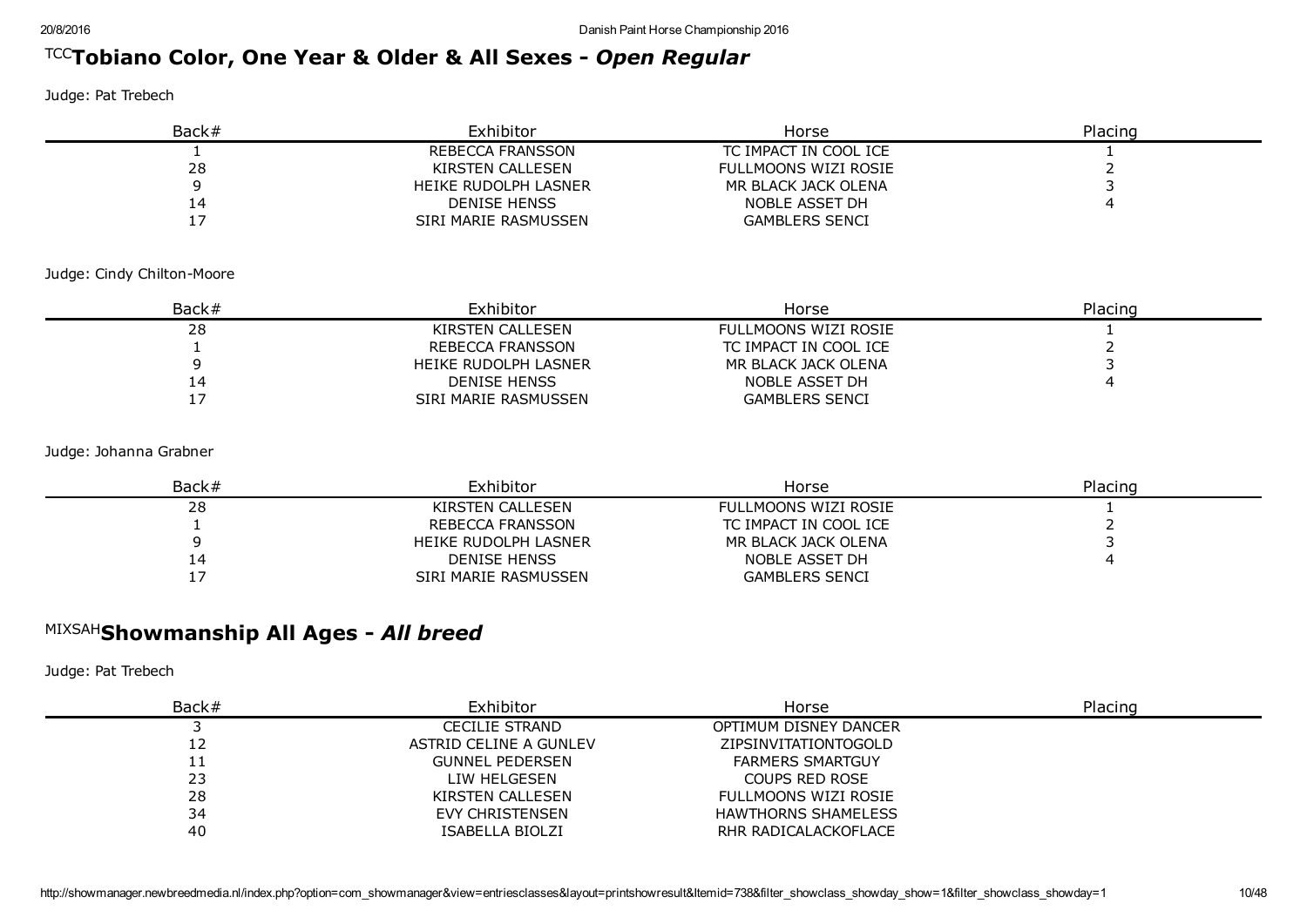# TCC Tobiano Color, One Year & Older & All Sexes *Open Regular*

Judge: Pat Trebech

| Back# | Exhibitor            | Horse                 | Placing |
|-------|----------------------|-----------------------|---------|
|       | REBECCA FRANSSON     | TC IMPACT IN COOL ICE |         |
| 28    | KIRSTEN CALLESEN     | FULLMOONS WIZI ROSIE  |         |
|       | HEIKE RUDOLPH LASNER | MR BLACK JACK OLENA   |         |
| 14    | DENISE HENSS         | NOBLE ASSET DH        |         |
|       | SIRI MARIE RASMUSSEN | <b>GAMBLERS SENCI</b> |         |

Judge: Cindy Chilton-Moore

| Back# | Exhibitor            | Horse                 | Placing |
|-------|----------------------|-----------------------|---------|
| 28    | KIRSTEN CALLESEN     | FULLMOONS WIZI ROSIE  |         |
|       | REBECCA FRANSSON     | TC IMPACT IN COOL ICE |         |
|       | HEIKE RUDOLPH LASNER | MR BLACK JACK OLENA   |         |
| 14    | <b>DENISE HENSS</b>  | NOBLE ASSET DH        |         |
|       | SIRI MARIE RASMUSSEN | <b>GAMBLERS SENCI</b> |         |

Judge: Johanna Grabner

| Back# | Exhibitor            | Horse                 | Placing |
|-------|----------------------|-----------------------|---------|
| 28    | KIRSTEN CALLESEN     | FULLMOONS WIZI ROSIE  |         |
|       | REBECCA FRANSSON     | TC IMPACT IN COOL ICE |         |
|       | HEIKE RUDOLPH LASNER | MR BLACK JACK OLENA   |         |
| 14    | DENISE HENSS         | NOBLE ASSET DH        |         |
|       | SIRI MARIE RASMUSSEN | <b>GAMBLERS SENCI</b> |         |

# MIXSAH Showmanship All Ages *All breed*

| Back# | Exhibitor              | Horse                      | Placing |
|-------|------------------------|----------------------------|---------|
|       | <b>CECILIE STRAND</b>  | OPTIMUM DISNEY DANCER      |         |
| 12    | ASTRID CELINE A GUNLEV | ZIPSINVITATIONTOGOLD       |         |
| 11    | <b>GUNNEL PEDERSEN</b> | <b>FARMERS SMARTGUY</b>    |         |
| 23    | LIW HELGESEN           | COUPS RED ROSE             |         |
| 28    | KIRSTEN CALLESEN       | FULLMOONS WIZI ROSIE       |         |
| 34    | EVY CHRISTENSEN        | <b>HAWTHORNS SHAMELESS</b> |         |
| 40    | ISABELLA BIOLZI        | RHR RADICALACKOFLACE       |         |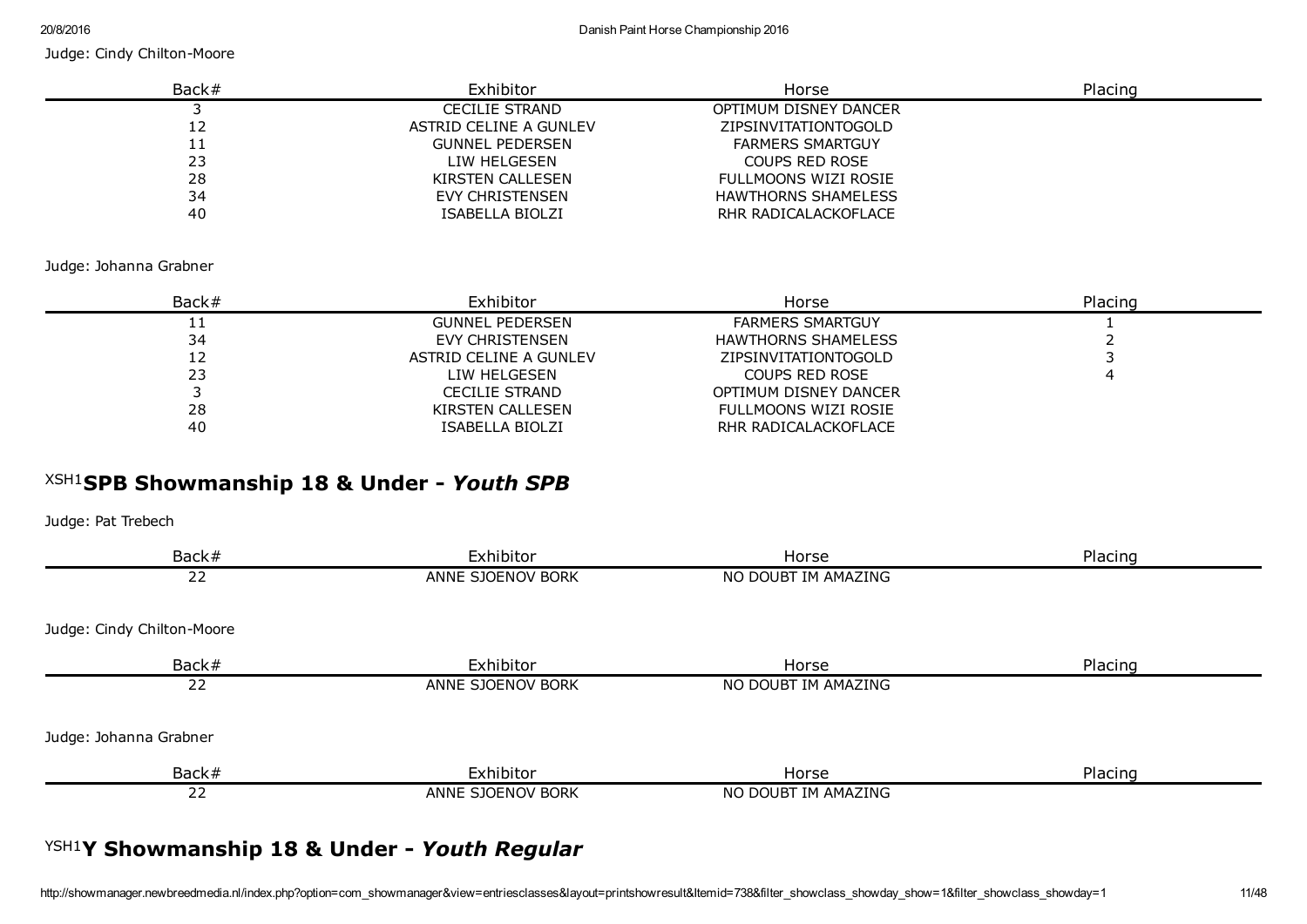| Back# | Exhibitor              | Horse                      | Placing |
|-------|------------------------|----------------------------|---------|
|       | <b>CECILIE STRAND</b>  | OPTIMUM DISNEY DANCER      |         |
| 12    | ASTRID CELINE A GUNLEV | ZIPSINVITATIONTOGOLD       |         |
|       | <b>GUNNEL PEDERSEN</b> | <b>FARMERS SMARTGUY</b>    |         |
| 23    | LIW HELGESEN           | <b>COUPS RED ROSE</b>      |         |
| 28    | KIRSTEN CALLESEN       | FULLMOONS WIZI ROSIE       |         |
| 34    | EVY CHRISTENSEN        | <b>HAWTHORNS SHAMELESS</b> |         |
| 40    | ISABELLA BIOLZI        | RHR RADICALACKOFLACE       |         |

#### Judge: Johanna Grabner

| Back# | Exhibitor              | Horse                      | Placing |
|-------|------------------------|----------------------------|---------|
| ᆂᆂ    | <b>GUNNEL PEDERSEN</b> | <b>FARMERS SMARTGUY</b>    |         |
| 34    | EVY CHRISTENSEN        | <b>HAWTHORNS SHAMELESS</b> |         |
| 12    | ASTRID CELINE A GUNLEV | ZIPSINVITATIONTOGOLD       |         |
| 23    | LIW HELGESEN           | COUPS RED ROSE             |         |
|       | <b>CECILIE STRAND</b>  | OPTIMUM DISNEY DANCER      |         |
| 28    | KIRSTEN CALLESEN       | FULLMOONS WIZI ROSIE       |         |
| 40    | ISABELLA BIOLZI        | RHR RADICALACKOFLACE       |         |

# XSH1 SPB Showmanship 18 & Under *Youth SPB*

Judge: Pat Trebech

| Back#                      | Exhibitor         | Horse               | Placing |
|----------------------------|-------------------|---------------------|---------|
| 22                         | ANNE SJOENOV BORK | NO DOUBT IM AMAZING |         |
| Judge: Cindy Chilton-Moore |                   |                     |         |
| Back#                      | Exhibitor         | Horse               | Placing |
| 22                         | ANNE SJOENOV BORK | NO DOUBT IM AMAZING |         |
| Judge: Johanna Grabner     |                   |                     |         |
| Back#                      | Exhibitor         | Horse               | Placing |
| 22                         | ANNE SJOENOV BORK | NO DOUBT IM AMAZING |         |
|                            |                   |                     |         |

# YSH1 Y Showmanship 18 & Under *Youth Regular*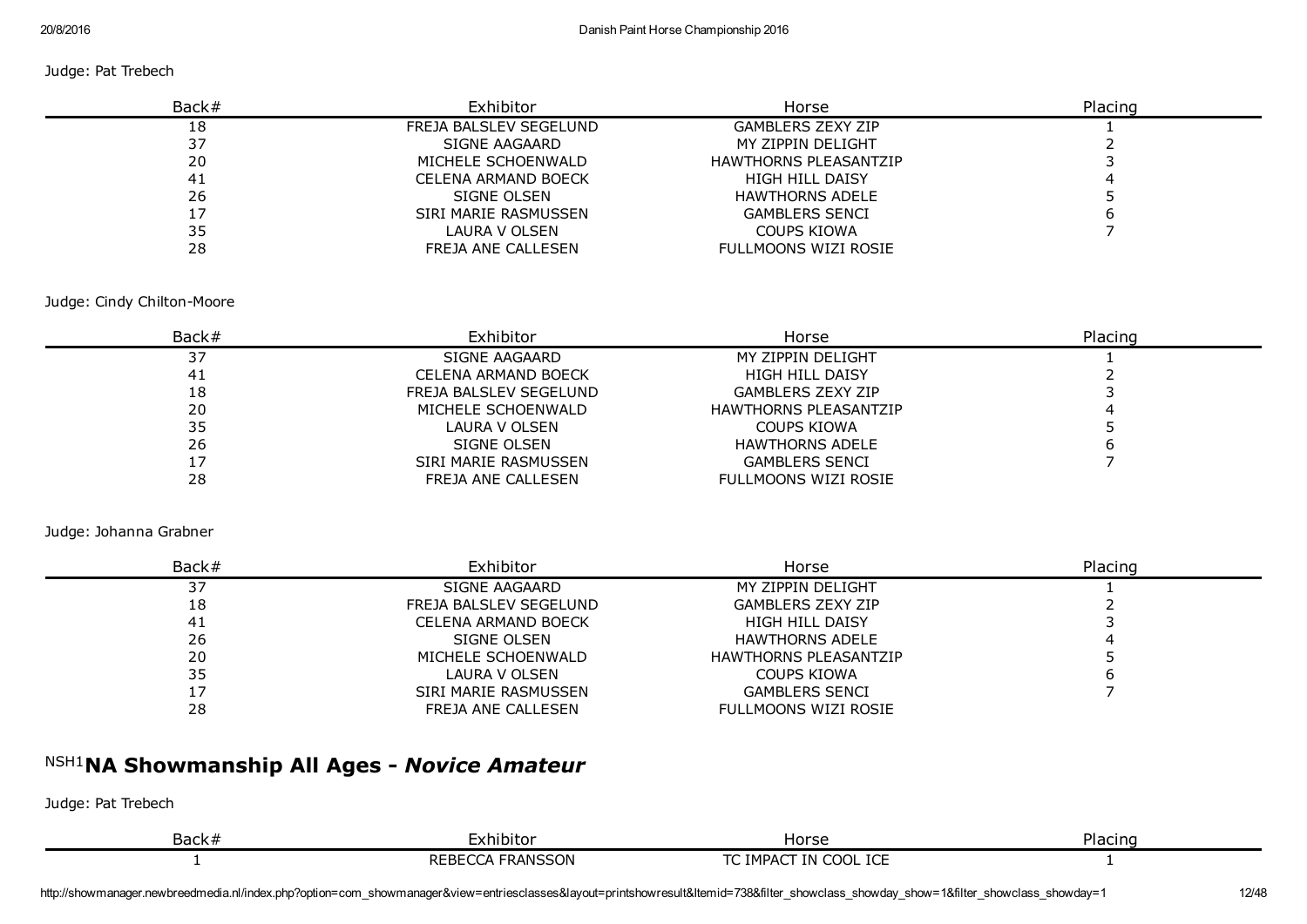#### Judge: Pat Trebech

| Back# | Exhibitor                  | Horse                        | Placing |
|-------|----------------------------|------------------------------|---------|
| 18    | FREJA BALSLEV SEGELUND     | <b>GAMBLERS ZEXY ZIP</b>     |         |
| 37    | SIGNE AAGAARD              | MY ZIPPIN DELIGHT            |         |
| 20    | MICHELE SCHOENWALD         | <b>HAWTHORNS PLEASANTZIP</b> |         |
| 41    | <b>CELENA ARMAND BOECK</b> | <b>HIGH HILL DAISY</b>       |         |
| 26    | SIGNE OLSEN                | <b>HAWTHORNS ADELE</b>       |         |
|       | SIRI MARIE RASMUSSEN       | <b>GAMBLERS SENCI</b>        |         |
| 35    | LAURA V OLSEN              | COUPS KIOWA                  |         |
| 28    | FREJA ANE CALLESEN         | FULLMOONS WIZI ROSIE         |         |

#### Judge: Cindy Chilton-Moore

| Back# | Exhibitor              | Horse                        | Placing |
|-------|------------------------|------------------------------|---------|
| 37    | SIGNE AAGAARD          | MY ZIPPIN DELIGHT            |         |
| 41    | CELENA ARMAND BOECK    | <b>HIGH HILL DAISY</b>       |         |
| 18    | FREJA BALSLEV SEGELUND | <b>GAMBLERS ZEXY ZIP</b>     |         |
| 20    | MICHELE SCHOENWALD     | <b>HAWTHORNS PLEASANTZIP</b> |         |
| 35    | LAURA V OLSEN          | COUPS KIOWA                  |         |
| 26    | SIGNE OLSEN            | <b>HAWTHORNS ADELE</b>       |         |
|       | SIRI MARIE RASMUSSEN   | <b>GAMBLERS SENCI</b>        |         |
| 28    | FREJA ANE CALLESEN     | FULLMOONS WIZI ROSIE         |         |

#### Judge: Johanna Grabner

| Back# | Exhibitor              | Horse                        | Placing |
|-------|------------------------|------------------------------|---------|
| 37    | SIGNE AAGAARD          | MY ZIPPIN DELIGHT            |         |
| 18    | FREJA BALSLEV SEGELUND | <b>GAMBLERS ZEXY ZIP</b>     |         |
| 41    | CELENA ARMAND BOECK    | HIGH HILL DAISY              |         |
| 26    | SIGNE OLSEN            | <b>HAWTHORNS ADELE</b>       |         |
| 20    | MICHELE SCHOENWALD     | <b>HAWTHORNS PLEASANTZIP</b> |         |
| 35    | LAURA V OLSEN          | COUPS KIOWA                  |         |
| 17    | SIRI MARIE RASMUSSEN   | <b>GAMBLERS SENCI</b>        |         |
| 28    | FREJA ANE CALLESEN     | FULLMOONS WIZI ROSIE         |         |

# NSH1 NA Showmanship All Ages *Novice Amateur*

| ショーレー<br>Dack, | miditol                  | Horse                                 | Plac. |
|----------------|--------------------------|---------------------------------------|-------|
|                | DE.<br>וררחו<br>◡<br>n., | <b>TOP</b><br>ിനി പ<br>. IMPAC<br>TN. |       |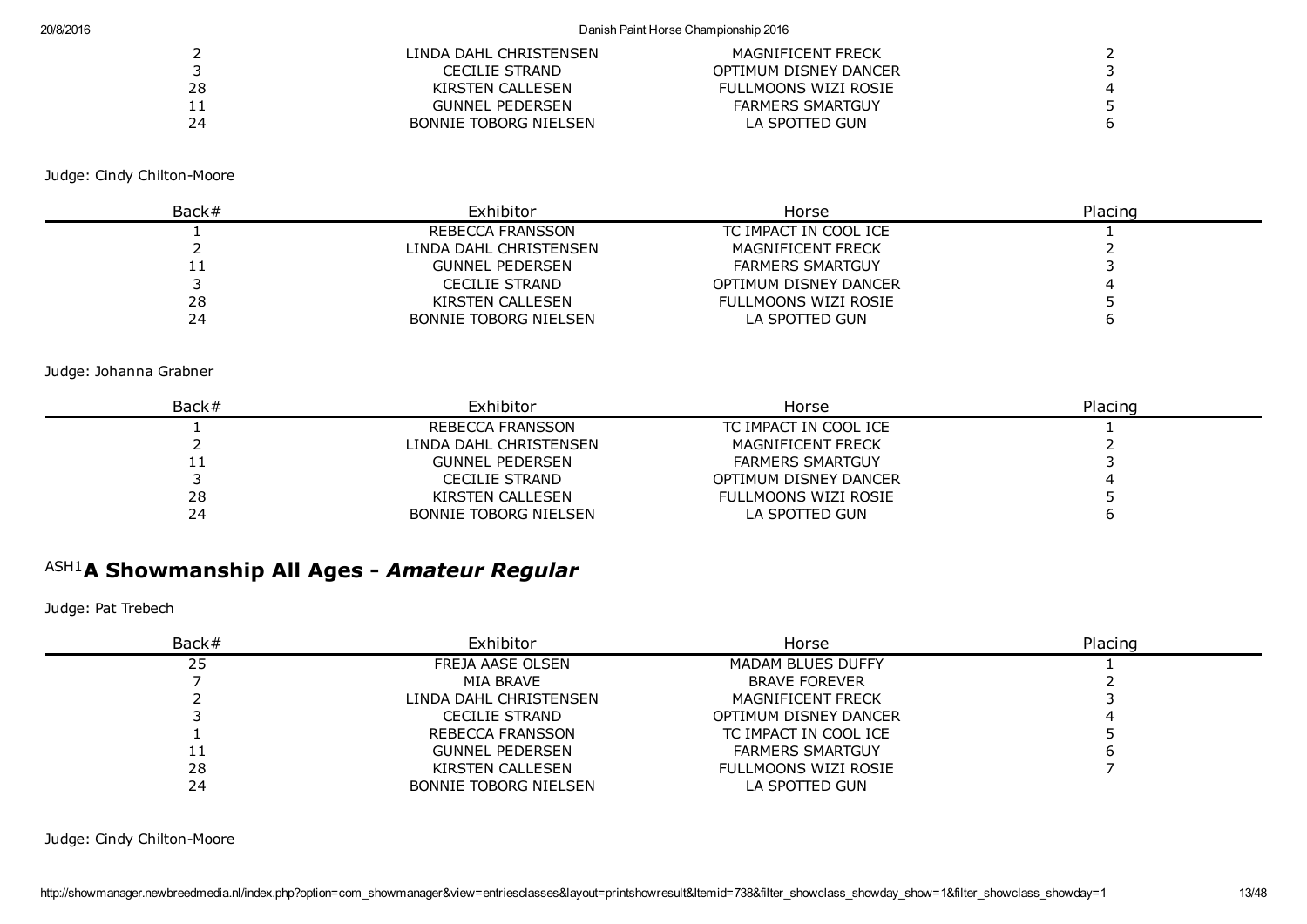#### 20/8/2016 Danish Paint Horse Championship 2016

|            | LINDA DAHL CHRISTENSEN       | MAGNIFICENT FRECK       |  |
|------------|------------------------------|-------------------------|--|
|            | CECILIE STRAND               | OPTIMUM DISNEY DANCER   |  |
| 28         | KIRSTEN CALLESEN             | FULLMOONS WIZI ROSIE    |  |
| <b>. .</b> | <b>GUNNEL PEDERSEN</b>       | <b>FARMERS SMARTGUY</b> |  |
| 24         | <b>BONNIE TOBORG NIELSEN</b> | LA SPOTTED GUN          |  |

Judge: Cindy Chilton-Moore

| Back#     | Exhibitor                    | Horse                   | Placing |  |
|-----------|------------------------------|-------------------------|---------|--|
|           | REBECCA FRANSSON             | TC IMPACT IN COOL ICE   |         |  |
|           | LINDA DAHL CHRISTENSEN       | MAGNIFICENT FRECK       |         |  |
| <b>__</b> | <b>GUNNEL PEDERSEN</b>       | <b>FARMERS SMARTGUY</b> |         |  |
|           | CECILIE STRAND               | OPTIMUM DISNEY DANCER   |         |  |
| 28        | KIRSTEN CALLESEN             | FULLMOONS WIZI ROSIE    |         |  |
| 24        | <b>BONNIE TOBORG NIELSEN</b> | LA SPOTTED GUN          |         |  |

Judge: Johanna Grabner

| Back# | Exhibitor                    | Horse                   | Placing |
|-------|------------------------------|-------------------------|---------|
|       | REBECCA FRANSSON             | TC IMPACT IN COOL ICE   |         |
|       | LINDA DAHL CHRISTENSEN       | MAGNIFICENT FRECK       |         |
| ᆠᆠ    | <b>GUNNEL PEDERSEN</b>       | <b>FARMERS SMARTGUY</b> |         |
|       | <b>CECILIE STRAND</b>        | OPTIMUM DISNEY DANCER   |         |
| 28    | KIRSTEN CALLESEN             | FULLMOONS WIZI ROSIE    |         |
| 24    | <b>BONNIE TOBORG NIELSEN</b> | LA SPOTTED GUN          |         |

# ASH1 A Showmanship All Ages *Amateur Regular*

Judge: Pat Trebech

| Back# | Exhibitor                    | Horse                    | Placing |
|-------|------------------------------|--------------------------|---------|
| 25    | FREJA AASE OLSEN             | <b>MADAM BLUES DUFFY</b> |         |
|       | MIA BRAVE                    | <b>BRAVE FOREVER</b>     |         |
|       | LINDA DAHL CHRISTENSEN       | <b>MAGNIFICENT FRECK</b> |         |
|       | <b>CECILIE STRAND</b>        | OPTIMUM DISNEY DANCER    |         |
|       | REBECCA FRANSSON             | TC IMPACT IN COOL ICE    |         |
| + +   | <b>GUNNEL PEDERSEN</b>       | <b>FARMERS SMARTGUY</b>  |         |
| 28    | KIRSTEN CALLESEN             | FULLMOONS WIZI ROSIE     |         |
| 24    | <b>BONNIE TOBORG NIELSEN</b> | LA SPOTTED GUN           |         |

Judge: Cindy Chilton-Moore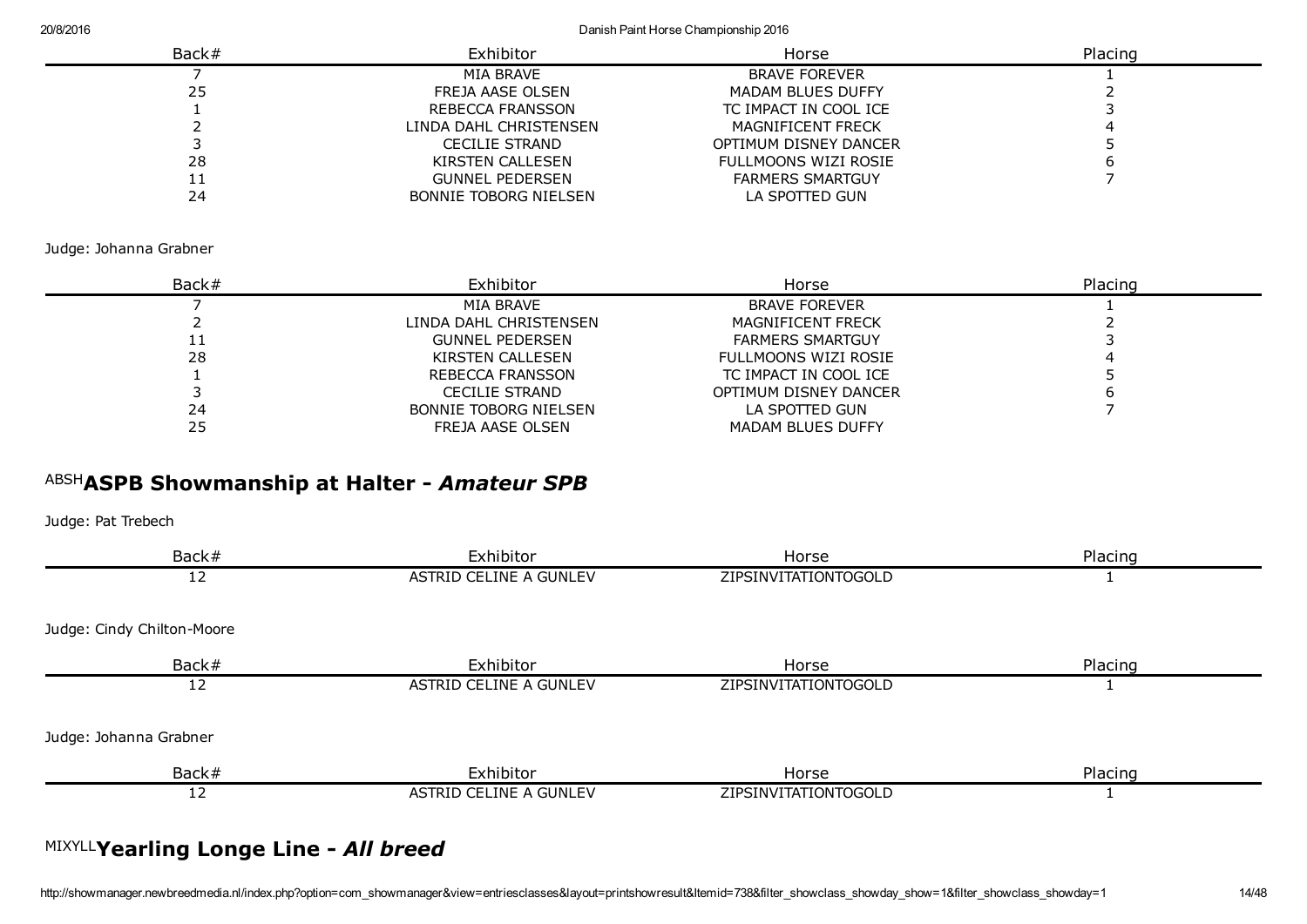20/8/2016 Danish Paint Horse Championship 2016

| Back# | Exhibitor                    | Horse                    | Placing |
|-------|------------------------------|--------------------------|---------|
|       | MIA BRAVE                    | <b>BRAVE FOREVER</b>     |         |
| 25    | FREJA AASE OLSEN             | <b>MADAM BLUES DUFFY</b> |         |
|       | REBECCA FRANSSON             | TC IMPACT IN COOL ICE    |         |
|       | LINDA DAHL CHRISTENSEN       | MAGNIFICENT FRECK        |         |
|       | <b>CECILIE STRAND</b>        | OPTIMUM DISNEY DANCER    |         |
| 28    | KIRSTEN CALLESEN             | FULLMOONS WIZI ROSIE     |         |
| ᆠᆂ    | <b>GUNNEL PEDERSEN</b>       | <b>FARMERS SMARTGUY</b>  |         |
| 24    | <b>BONNIE TOBORG NIELSEN</b> | LA SPOTTED GUN           |         |

Judge: Johanna Grabner

| Back#      | Exhibitor              | Horse                   | Placing |
|------------|------------------------|-------------------------|---------|
|            | MIA BRAVE              | <b>BRAVE FOREVER</b>    |         |
|            | LINDA DAHL CHRISTENSEN | MAGNIFICENT FRECK       |         |
| <b>. .</b> | <b>GUNNEL PEDERSEN</b> | <b>FARMERS SMARTGUY</b> |         |
| 28         | KIRSTEN CALLESEN       | FULLMOONS WIZI ROSIE    |         |
|            | REBECCA FRANSSON       | TC IMPACT IN COOL ICE   |         |
|            | CECILIE STRAND         | OPTIMUM DISNEY DANCER   |         |
| 24         | BONNIE TOBORG NIELSEN  | LA SPOTTED GUN          |         |
|            | FREJA AASE OLSEN       | MADAM BLUES DUFFY       |         |

# ABSH ASPB Showmanship at Halter *Amateur SPB*

Judge: Pat Trebech

| Back#                      | Exhibitor              | Horse                | Placing |
|----------------------------|------------------------|----------------------|---------|
| 12                         | ASTRID CELINE A GUNLEV | ZIPSINVITATIONTOGOLD |         |
| Judge: Cindy Chilton-Moore |                        |                      |         |
| Back#                      | Exhibitor              | Horse                | Placing |
| 12                         | ASTRID CELINE A GUNLEV | ZIPSINVITATIONTOGOLD |         |
| Judge: Johanna Grabner     |                        |                      |         |
| Back#                      | Exhibitor              | Horse                | Placing |
| 12                         | ASTRID CELINE A GUNLEV | ZIPSINVITATIONTOGOLD |         |
|                            |                        |                      |         |

# MIXYLL Yearling Longe Line *All breed*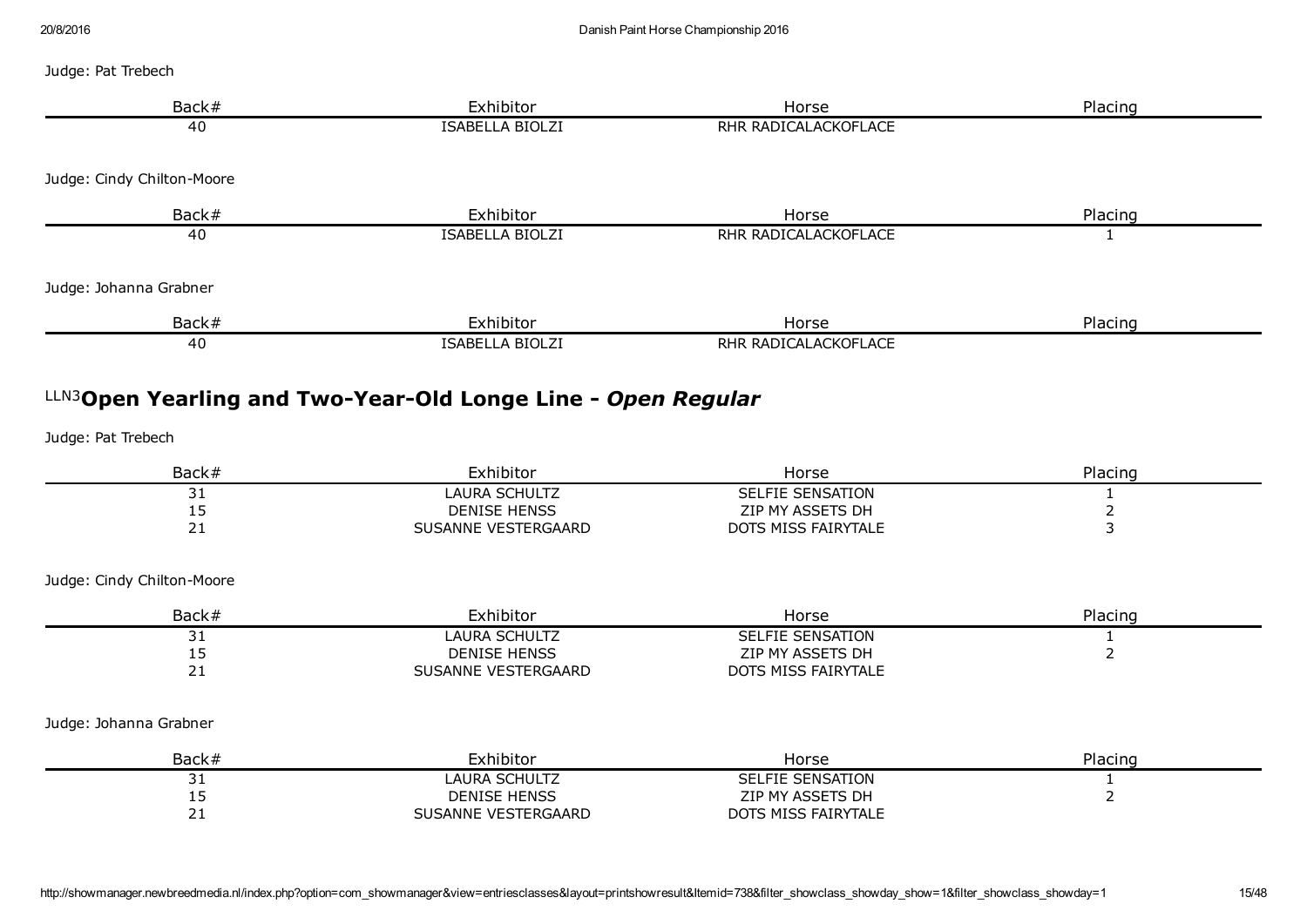| Back#                       | Exhibitor                                                                       | Horse                                   | Placing          |
|-----------------------------|---------------------------------------------------------------------------------|-----------------------------------------|------------------|
| 40                          | ISABELLA BIOLZI                                                                 | RHR RADICALACKOFLACE                    |                  |
| Judge: Cindy Chilton-Moore  |                                                                                 |                                         |                  |
|                             |                                                                                 |                                         |                  |
| Back#                       | Exhibitor                                                                       | Horse                                   | Placing          |
| 40                          | <b>ISABELLA BIOLZI</b>                                                          | RHR RADICALACKOFLACE                    | 1                |
| Judge: Johanna Grabner      |                                                                                 |                                         |                  |
| Back#                       | Exhibitor                                                                       | Horse                                   | Placing          |
|                             |                                                                                 |                                         |                  |
| 40                          | ISABELLA BIOLZI<br>LLN3Open Yearling and Two-Year-Old Longe Line - Open Regular | RHR RADICALACKOFLACE                    |                  |
|                             |                                                                                 |                                         |                  |
| Judge: Pat Trebech<br>Back# | Exhibitor                                                                       | Horse                                   | Placing          |
| 31                          | <b>LAURA SCHULTZ</b>                                                            | <b>SELFIE SENSATION</b>                 | $\mathbf{1}$     |
| 15<br>21                    | <b>DENISE HENSS</b><br>SUSANNE VESTERGAARD                                      | ZIP MY ASSETS DH<br>DOTS MISS FAIRYTALE | $\mathbf 2$<br>3 |
| Judge: Cindy Chilton-Moore  |                                                                                 |                                         |                  |
| Back#                       | Exhibitor                                                                       | Horse                                   | Placing          |
| 31                          | <b>LAURA SCHULTZ</b>                                                            | <b>SELFIE SENSATION</b>                 | $\mathbf{1}$     |
| 15<br>21                    | <b>DENISE HENSS</b><br>SUSANNE VESTERGAARD                                      | ZIP MY ASSETS DH<br>DOTS MISS FAIRYTALE | $\overline{2}$   |

| Back# | Exhibitor           | Horse                   | Placing |
|-------|---------------------|-------------------------|---------|
| ັ     | LAURA SCHULTZ       | <b>SELFIE SENSATION</b> |         |
| --    | <b>DENISE HENSS</b> | ZIP MY ASSETS DH        |         |
|       | SUSANNE VESTERGAARD | DOTS MISS FAIRYTALE     |         |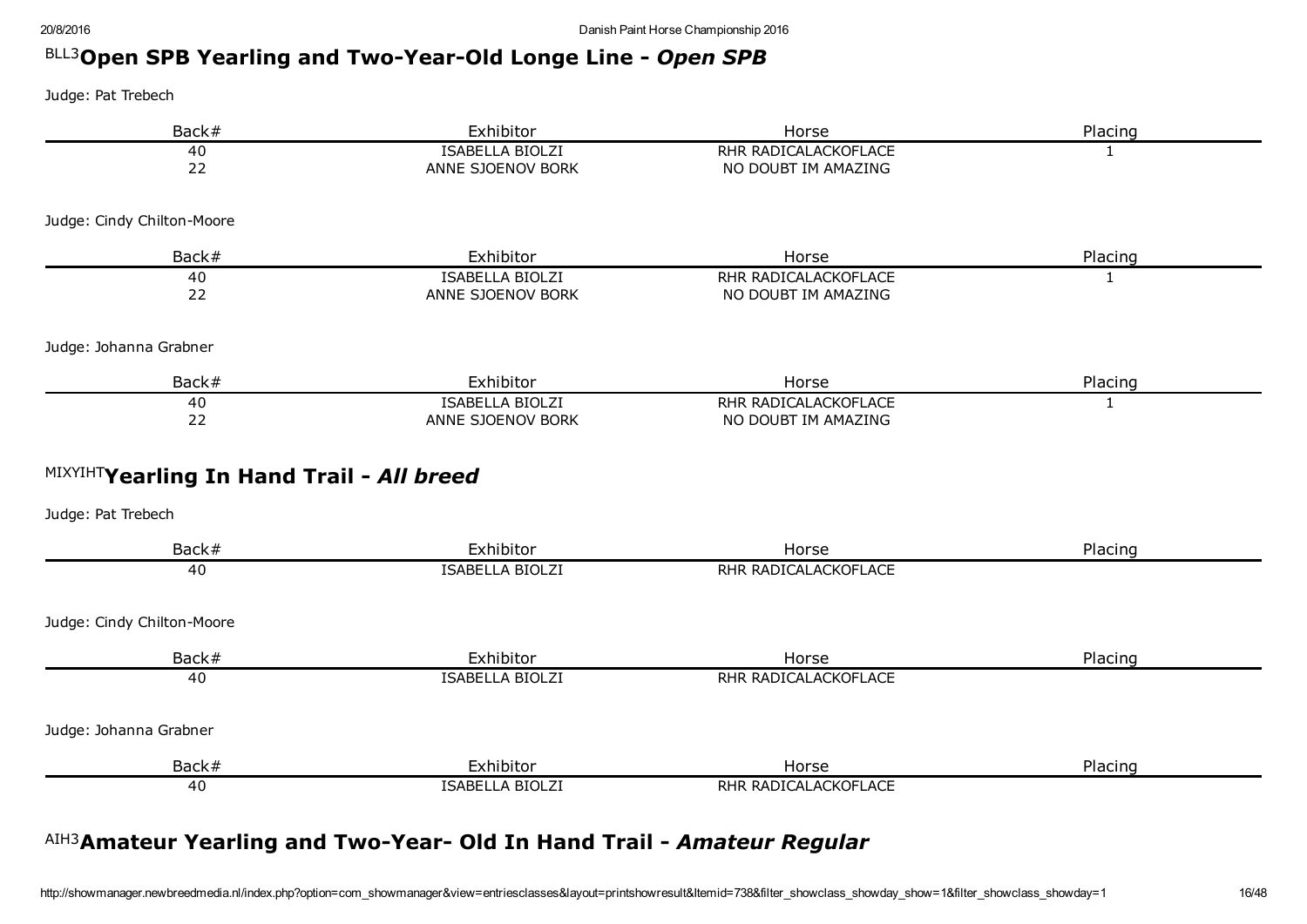# BLL3Open SPB Yearling and Two-Year-Old Longe Line - Open SPB

Judge: Pat Trebech

| Back#                                     | Exhibitor                                   | Horse                                       | Placing      |
|-------------------------------------------|---------------------------------------------|---------------------------------------------|--------------|
| 40<br>22                                  | <b>ISABELLA BIOLZI</b><br>ANNE SJOENOV BORK | RHR RADICALACKOFLACE<br>NO DOUBT IM AMAZING | $\mathbf{1}$ |
| Judge: Cindy Chilton-Moore                |                                             |                                             |              |
| Back#                                     | Exhibitor                                   | Horse                                       | Placing      |
| 40<br>22                                  | ISABELLA BIOLZI<br>ANNE SJOENOV BORK        | RHR RADICALACKOFLACE<br>NO DOUBT IM AMAZING | $\mathbf{1}$ |
| Judge: Johanna Grabner                    |                                             |                                             |              |
| Back#                                     | Exhibitor                                   | Horse                                       | Placing      |
| 40<br>22                                  | ISABELLA BIOLZI<br>ANNE SJOENOV BORK        | RHR RADICALACKOFLACE<br>NO DOUBT IM AMAZING | 1            |
| MIXYIHTYearling In Hand Trail - All breed |                                             |                                             |              |
| Judge: Pat Trebech                        |                                             |                                             |              |
| Back#                                     | Exhibitor                                   | Horse                                       | Placing      |
| 40                                        | <b>ISABELLA BIOLZI</b>                      | RHR RADICALACKOFLACE                        |              |
| Judge: Cindy Chilton-Moore                |                                             |                                             |              |
| Back#                                     | Exhibitor                                   | Horse                                       | Placing      |
| 40                                        | <b>ISABELLA BIOLZI</b>                      | RHR RADICALACKOFLACE                        |              |
| Judge: Johanna Grabner                    |                                             |                                             |              |
| Back#                                     | Exhibitor                                   | Horse                                       | Placing      |
| 40                                        | ISABELLA BIOLZI                             | RHR RADICALACKOFLACE                        |              |

# <sup>AIH3</sup>Amateur Yearling and Two-Year- Old In Hand Trail - Amateur Regular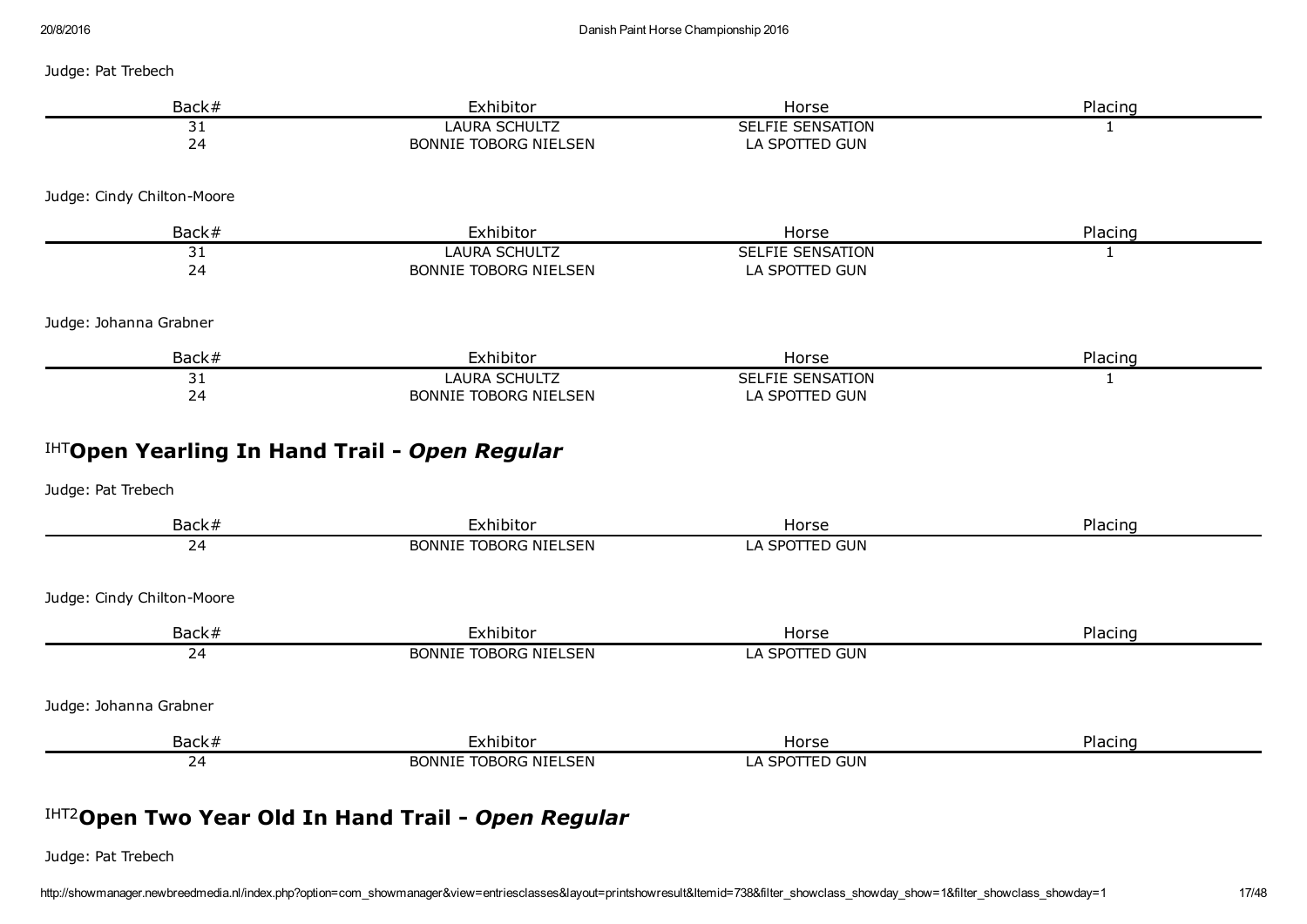Judge: Pat Trebech

| Back#                                         | Exhibitor                                            | Horse                                     | Placing      |
|-----------------------------------------------|------------------------------------------------------|-------------------------------------------|--------------|
| 31<br>24                                      | <b>LAURA SCHULTZ</b><br>BONNIE TOBORG NIELSEN        | <b>SELFIE SENSATION</b><br>LA SPOTTED GUN | 1            |
| Judge: Cindy Chilton-Moore                    |                                                      |                                           |              |
| Back#                                         | Exhibitor                                            | Horse                                     | Placing      |
| 31<br>24                                      | <b>LAURA SCHULTZ</b><br><b>BONNIE TOBORG NIELSEN</b> | <b>SELFIE SENSATION</b><br>LA SPOTTED GUN | $\mathbf{1}$ |
| Judge: Johanna Grabner                        |                                                      |                                           |              |
| Back#                                         | Exhibitor                                            | Horse                                     | Placing      |
| 31<br>24                                      | <b>LAURA SCHULTZ</b><br><b>BONNIE TOBORG NIELSEN</b> | <b>SELFIE SENSATION</b><br>LA SPOTTED GUN | $\mathbf{1}$ |
| IHTOpen Yearling In Hand Trail - Open Regular |                                                      |                                           |              |
| Judge: Pat Trebech                            |                                                      |                                           |              |
| Back#                                         | Exhibitor                                            | Horse                                     | Placing      |
| $\overline{24}$                               | <b>BONNIE TOBORG NIELSEN</b>                         | LA SPOTTED GUN                            |              |
| Judge: Cindy Chilton-Moore                    |                                                      |                                           |              |
| Back#                                         | Exhibitor                                            | Horse                                     | Placing      |
| 24                                            | <b>BONNIE TOBORG NIELSEN</b>                         | LA SPOTTED GUN                            |              |
| Judge: Johanna Grabner                        |                                                      |                                           |              |
| Back#                                         | Exhibitor                                            | Horse                                     | Placing      |
| 24                                            | <b>BONNIE TOBORG NIELSEN</b>                         | LA SPOTTED GUN                            |              |

# IHT2 Open Two Year Old In Hand Trail *Open Regular*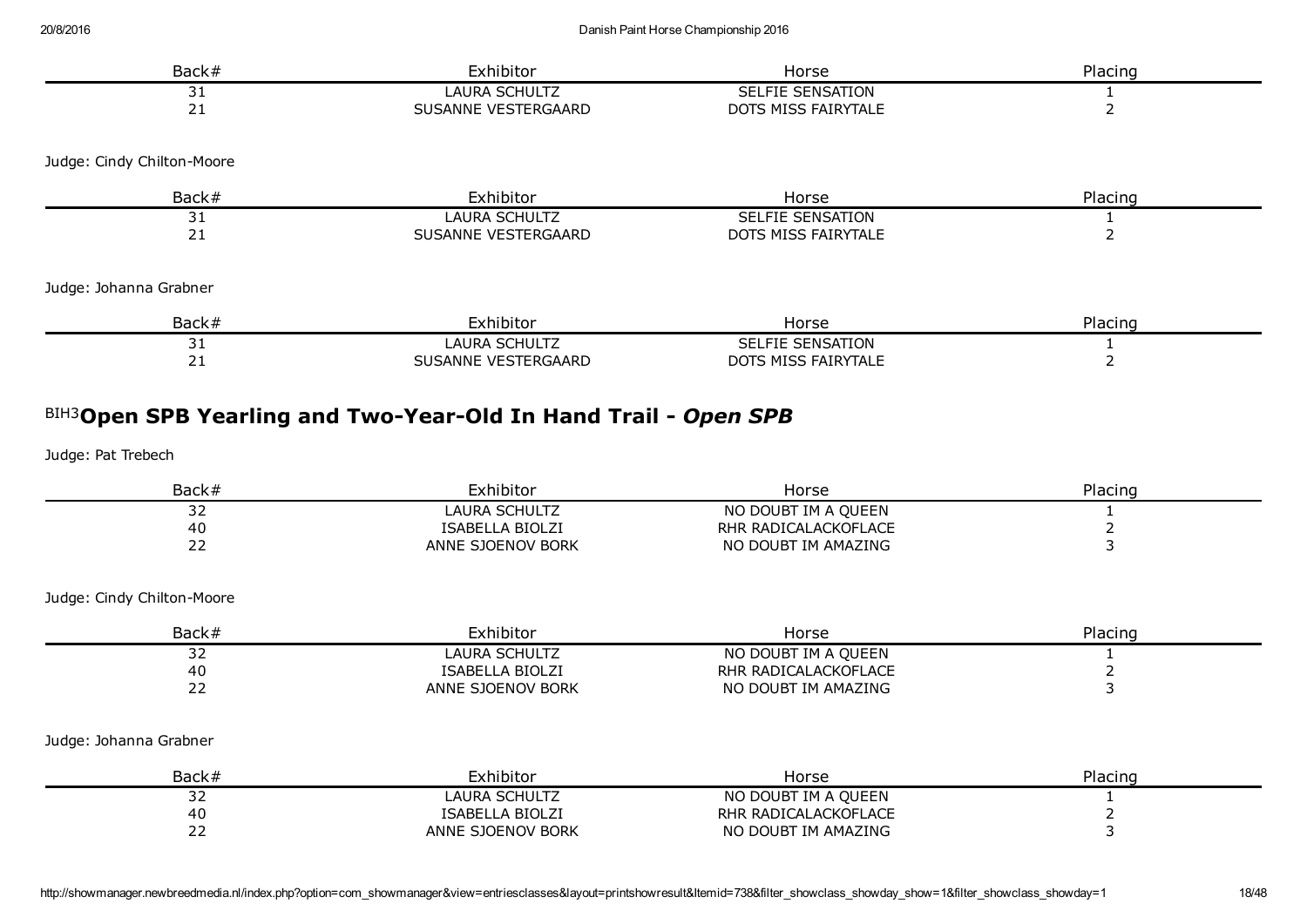| Back#                      | Exhibitor                                                       | Horse                   | Placing |
|----------------------------|-----------------------------------------------------------------|-------------------------|---------|
| 31                         | LAURA SCHULTZ                                                   | SELFIE SENSATION        |         |
| 21                         | SUSANNE VESTERGAARD                                             | DOTS MISS FAIRYTALE     |         |
| Judge: Cindy Chilton-Moore |                                                                 |                         |         |
| Back#                      | Exhibitor                                                       | Horse                   | Placing |
| 31                         | <b>LAURA SCHULTZ</b>                                            | SELFIE SENSATION        |         |
| 21                         | SUSANNE VESTERGAARD                                             | DOTS MISS FAIRYTALE     |         |
| Judge: Johanna Grabner     |                                                                 |                         |         |
| Back#                      | Exhibitor                                                       | Horse                   | Placing |
| 31                         | LAURA SCHULTZ                                                   | <b>SELFIE SENSATION</b> |         |
| 21                         | SUSANNE VESTERGAARD                                             | DOTS MISS FAIRYTALE     | 2       |
|                            | BIH3Open SPB Yearling and Two-Year-Old In Hand Trail - Open SPB |                         |         |
| Judge: Pat Trebech         |                                                                 |                         |         |

| Back#                       | Exhibitor              | Horse                | Placing |
|-----------------------------|------------------------|----------------------|---------|
| --                          | LAURA SCHULTZ          | NO DOUBT IM A QUEEN  |         |
| 40                          | <b>ISABELLA BIOLZI</b> | RHR RADICALACKOFLACE |         |
| $\sim$ $\sim$<br><u>_ _</u> | ANNE SJOENOV BORK      | NO DOUBT IM AMAZING  |         |

| Back# | Exhibitor              | Horse                | Placing |
|-------|------------------------|----------------------|---------|
| ے ب   | LAURA SCHULTZ          | NO DOUBT IM A QUEEN  |         |
| 40    | <b>ISABELLA BIOLZI</b> | RHR RADICALACKOFLACE |         |
| ້     | ANNE SJOENOV BORK      | NO DOUBT IM AMAZING  |         |

#### Judge: Johanna Grabner

| Back#      | Exhibitor              | Horse                | Placing |
|------------|------------------------|----------------------|---------|
| ∼<br>ے ر   | LAURA SCHULTZ          | NO DOUBT IM A QUEEN  |         |
| 40         | <b>ISABELLA BIOLZI</b> | RHR RADICALACKOFLACE |         |
| <u>_ _</u> | ANNE SJOENOV BORK      | NO DOUBT IM AMAZING  |         |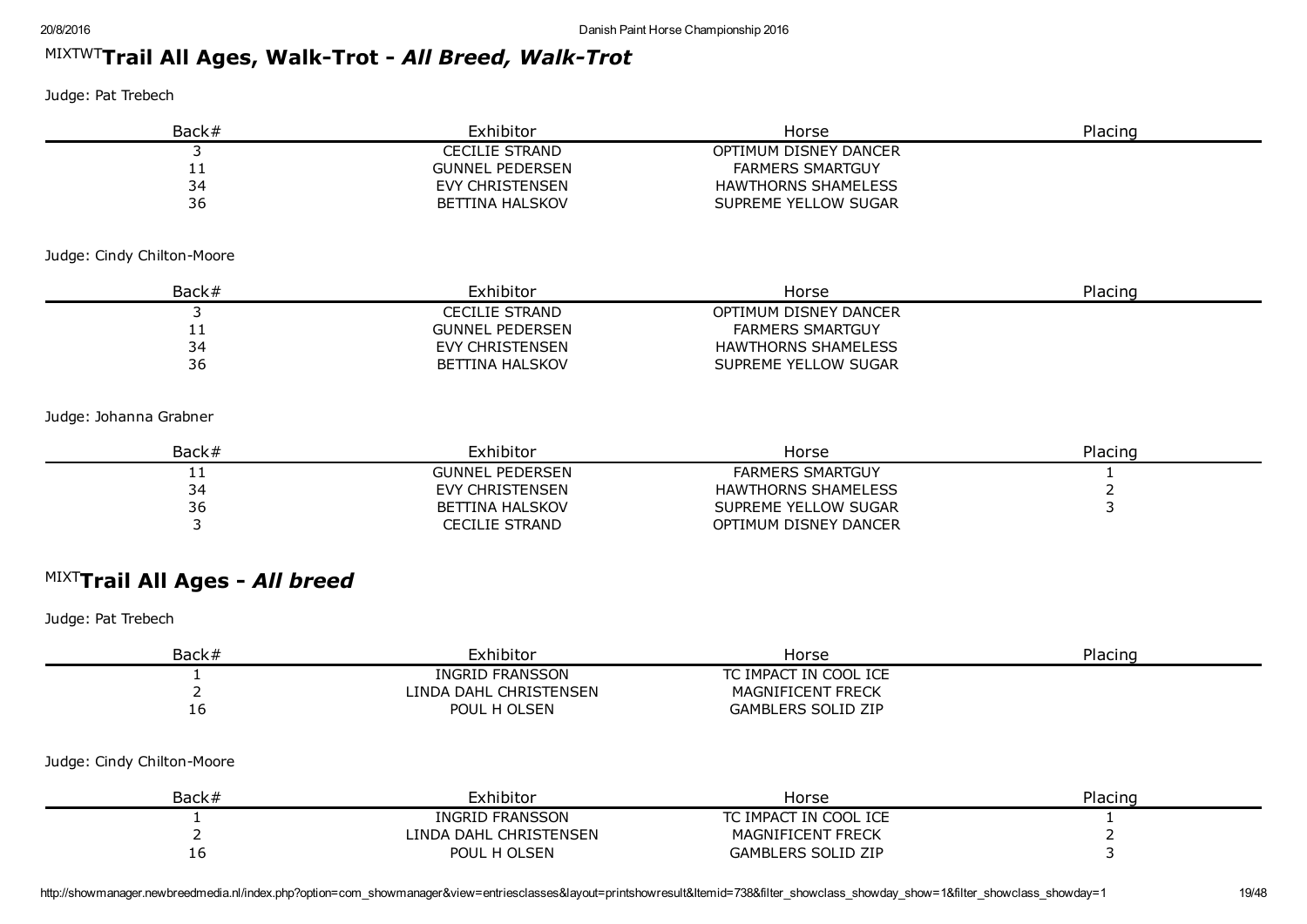# <sup>MIXTWT</sup>Trail All Ages, Walk-Trot - *All Breed, Walk-Trot*

Judge: Pat Trebech

| Back# | Exhibitor              | Horse                      | Placing |
|-------|------------------------|----------------------------|---------|
|       | <b>CECILIE STRAND</b>  | OPTIMUM DISNEY DANCER      |         |
| . .   | <b>GUNNEL PEDERSEN</b> | <b>FARMERS SMARTGUY</b>    |         |
| 34    | EVY CHRISTENSEN        | <b>HAWTHORNS SHAMELESS</b> |         |
| 36    | BETTINA HALSKOV        | SUPREME YELLOW SUGAR       |         |

#### Judge: Cindy Chilton-Moore

| Back#    | Exhibitor              | Horse                   | Placing |
|----------|------------------------|-------------------------|---------|
|          | CECILIE STRAND         | OPTIMUM DISNEY DANCER   |         |
| <u>_</u> | <b>GUNNEL PEDERSEN</b> | <b>FARMERS SMARTGUY</b> |         |
| 34       | EVY CHRISTENSEN        | HAWTHORNS SHAMELESS     |         |
| 36       | BETTINA HALSKOV        | SUPREME YELLOW SUGAR    |         |

#### Judge: Johanna Grabner

| Back# | Exhibitor              | Horse                      | Placing |
|-------|------------------------|----------------------------|---------|
| . .   | <b>GUNNEL PEDERSEN</b> | <b>FARMERS SMARTGUY</b>    |         |
| 34    | EVY CHRISTENSEN        | <b>HAWTHORNS SHAMELESS</b> |         |
| 36    | BETTINA HALSKOV        | SUPREME YELLOW SUGAR       |         |
|       | CECILIE STRAND         | OPTIMUM DISNEY DANCER      |         |

# MIXT Trail All Ages *All breed*

| Back#                      | Exhibitor              | Horse                     | Placing |
|----------------------------|------------------------|---------------------------|---------|
|                            | INGRID FRANSSON        | TC IMPACT IN COOL ICE     |         |
|                            | LINDA DAHL CHRISTENSEN | MAGNIFICENT FRECK         |         |
| 16                         | POUL H OLSEN           | <b>GAMBLERS SOLID ZIP</b> |         |
| Judge: Cindy Chilton-Moore |                        |                           |         |
| Back#                      | Exhibitor              | Horse                     | Placing |
|                            | <b>INGRID FRANSSON</b> | TC IMPACT IN COOL ICE     |         |
|                            | LINDA DAHL CHRISTENSEN | <b>MAGNIFICENT FRECK</b>  |         |
| 16                         | POUL H OLSEN           | <b>GAMBLERS SOLID ZIP</b> |         |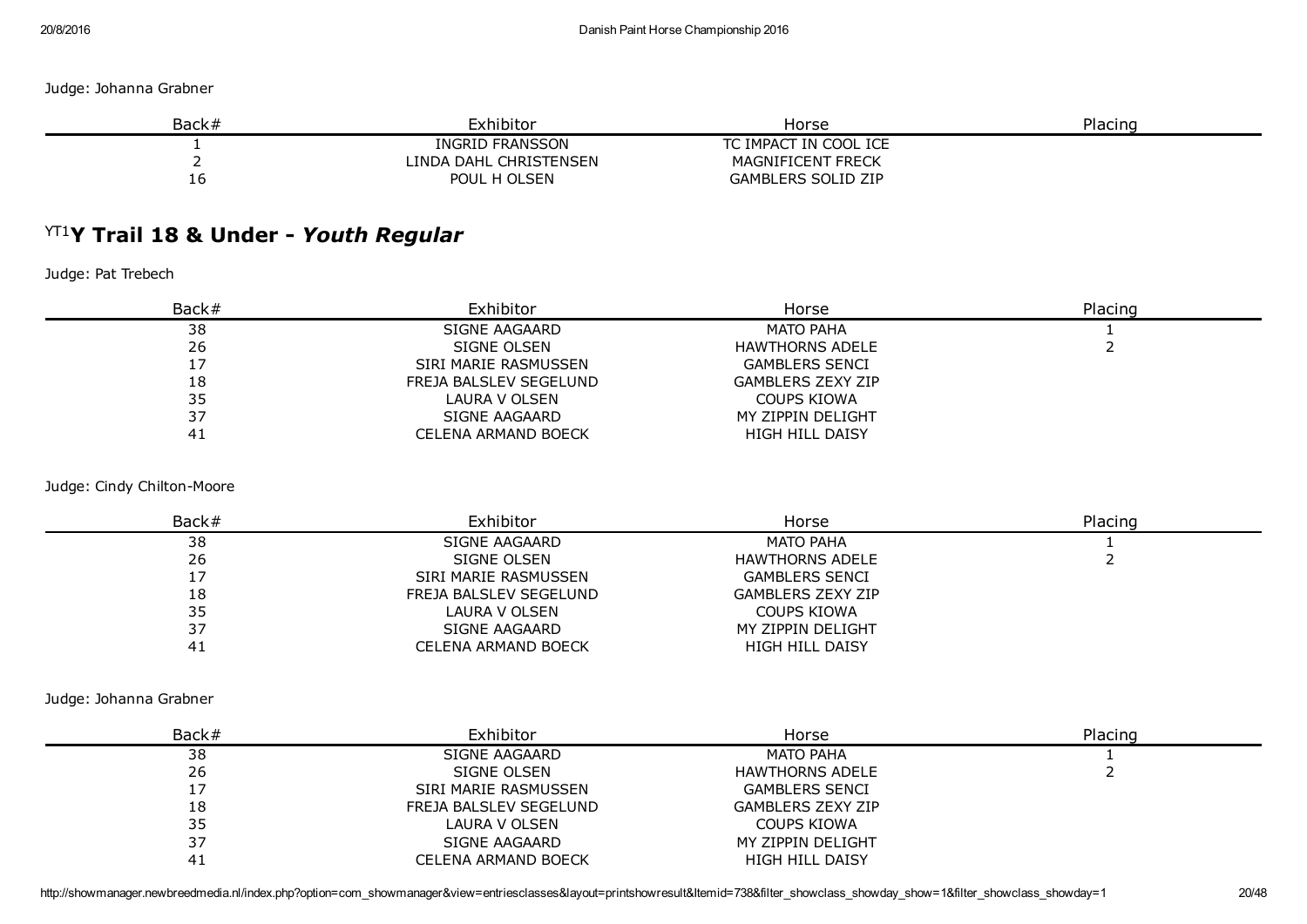Judge: Johanna Grabner

| Back# | Exhibitor              | Horse                     | Placing |
|-------|------------------------|---------------------------|---------|
|       | INGRID FRANSSON        | TC IMPACT IN COOL ICE     |         |
|       | LINDA DAHL CHRISTENSEN | MAGNIFICENT FRECK         |         |
| TO.   | POUL H OLSEN           | <b>GAMBLERS SOLID ZIP</b> |         |

# YT1 Y Trail 18 & Under *Youth Regular*

Judge: Pat Trebech

| Back# | Exhibitor              | Horse                    | Placing |
|-------|------------------------|--------------------------|---------|
| 38    | SIGNE AAGAARD          | <b>MATO PAHA</b>         |         |
| 26    | SIGNE OLSEN            | <b>HAWTHORNS ADELE</b>   |         |
| ᆠ     | SIRI MARIE RASMUSSEN   | <b>GAMBLERS SENCI</b>    |         |
| 18    | FREJA BALSLEV SEGELUND | <b>GAMBLERS ZEXY ZIP</b> |         |
| 35    | LAURA V OLSEN          | <b>COUPS KIOWA</b>       |         |
| 37    | SIGNE AAGAARD          | MY ZIPPIN DELIGHT        |         |
| 4⊥    | CELENA ARMAND BOECK    | HIGH HILL DAISY          |         |

Judge: Cindy Chilton-Moore

| Back# | Exhibitor              | Horse                    | Placing |
|-------|------------------------|--------------------------|---------|
| 38    | SIGNE AAGAARD          | <b>MATO PAHA</b>         |         |
| 26    | SIGNE OLSEN            | <b>HAWTHORNS ADELE</b>   |         |
|       | SIRI MARIE RASMUSSEN   | <b>GAMBLERS SENCI</b>    |         |
| 18    | FREJA BALSLEV SEGELUND | <b>GAMBLERS ZEXY ZIP</b> |         |
| 35    | LAURA V OLSEN          | COUPS KIOWA              |         |
| 37    | SIGNE AAGAARD          | MY ZIPPIN DELIGHT        |         |
| 41    | CELENA ARMAND BOECK    | <b>HIGH HILL DAISY</b>   |         |

Judge: Johanna Grabner

| Back# | Exhibitor              | Horse                    | Placing |
|-------|------------------------|--------------------------|---------|
| 38    | SIGNE AAGAARD          | <b>MATO PAHA</b>         |         |
| 26    | SIGNE OLSEN            | <b>HAWTHORNS ADELE</b>   |         |
| 17    | SIRI MARIE RASMUSSEN   | <b>GAMBLERS SENCI</b>    |         |
| 18    | FREJA BALSLEV SEGELUND | <b>GAMBLERS ZEXY ZIP</b> |         |
| 35    | LAURA V OLSEN          | <b>COUPS KIOWA</b>       |         |
| 37    | SIGNE AAGAARD          | MY ZIPPIN DELIGHT        |         |
|       | CELENA ARMAND BOECK    | <b>HIGH HILL DAISY</b>   |         |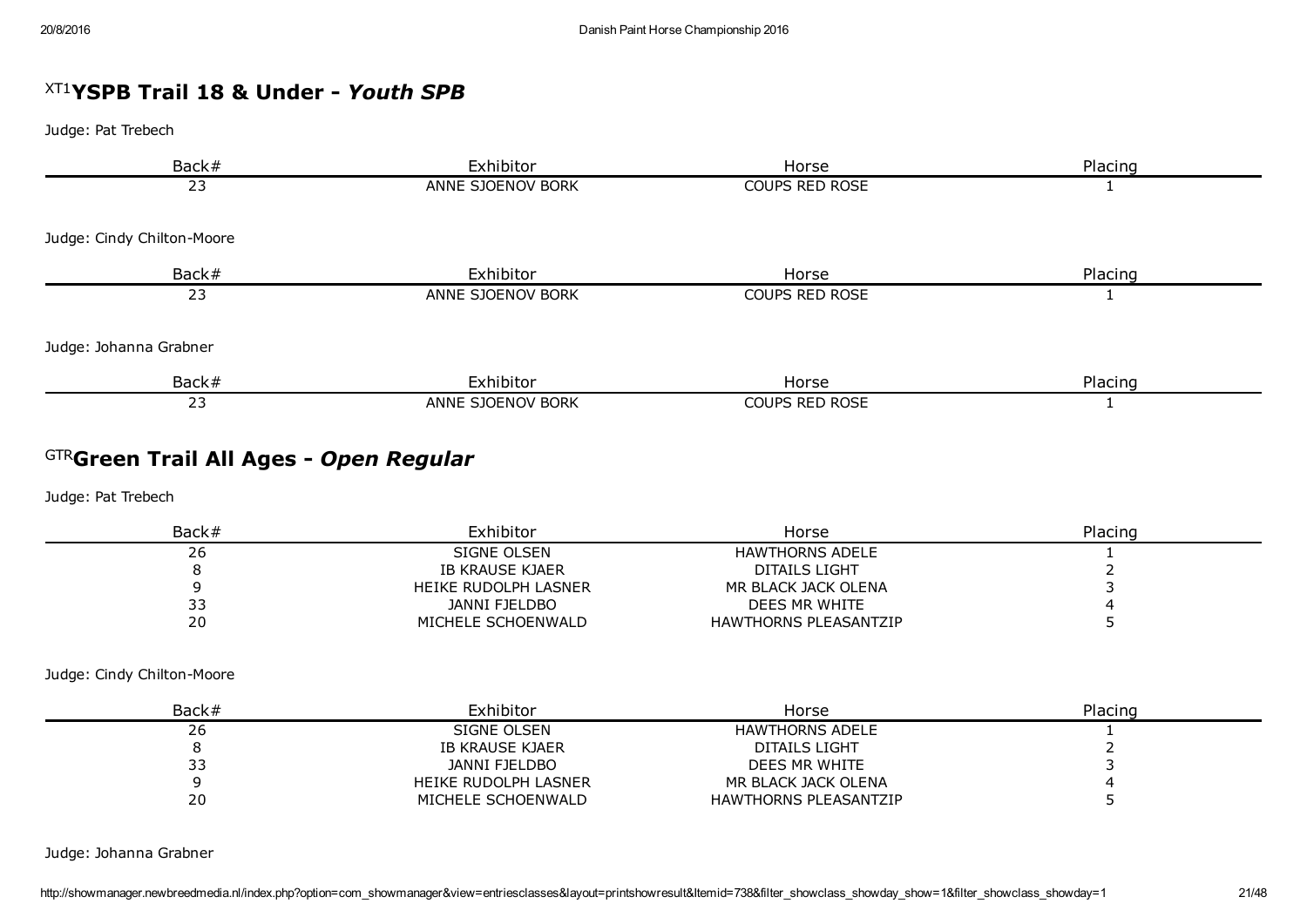# XT1 YSPB Trail 18 & Under *Youth SPB*

Judge: Pat Trebech

| Back#                      | Exhibitor         | Horse                 | Placing |
|----------------------------|-------------------|-----------------------|---------|
| 23                         | ANNE SJOENOV BORK | COUPS RED ROSE        |         |
|                            |                   |                       |         |
| Judge: Cindy Chilton-Moore |                   |                       |         |
| Back#                      | Exhibitor         | Horse                 | Placing |
| 23                         | ANNE SJOENOV BORK | COUPS RED ROSE        |         |
| Judge: Johanna Grabner     |                   |                       |         |
|                            |                   |                       |         |
| Back#                      | Exhibitor         | Horse                 | Placing |
| 23                         | ANNE SJOENOV BORK | <b>COUPS RED ROSE</b> |         |

# GTR Green Trail All Ages *Open Regular*

Judge: Pat Trebech

| Back# | Exhibitor            | Horse                        | Placing |
|-------|----------------------|------------------------------|---------|
| ۷۵    | SIGNE OLSEN          | <b>HAWTHORNS ADELE</b>       |         |
|       | IB KRAUSE KJAER      | DITAILS LIGHT                |         |
|       | HEIKE RUDOLPH LASNER | MR BLACK JACK OLENA          |         |
| ر ر   | JANNI FJELDBO        | DEES MR WHITE                |         |
| 20    | MICHELE SCHOENWALD   | <b>HAWTHORNS PLEASANTZIP</b> |         |

Judge: Cindy Chilton-Moore

| Back# | Exhibitor            | Horse                        | Placing |
|-------|----------------------|------------------------------|---------|
| 26    | SIGNE OLSEN          | HAWTHORNS ADELE              |         |
|       | IB KRAUSE KJAER      | DITAILS LIGHT                |         |
| 33    | JANNI FJELDBO        | DEES MR WHITE                |         |
|       | HEIKE RUDOLPH LASNER | MR BLACK JACK OLENA          |         |
| 20    | MICHELE SCHOENWALD   | <b>HAWTHORNS PLEASANTZIP</b> |         |

Judge: Johanna Grabner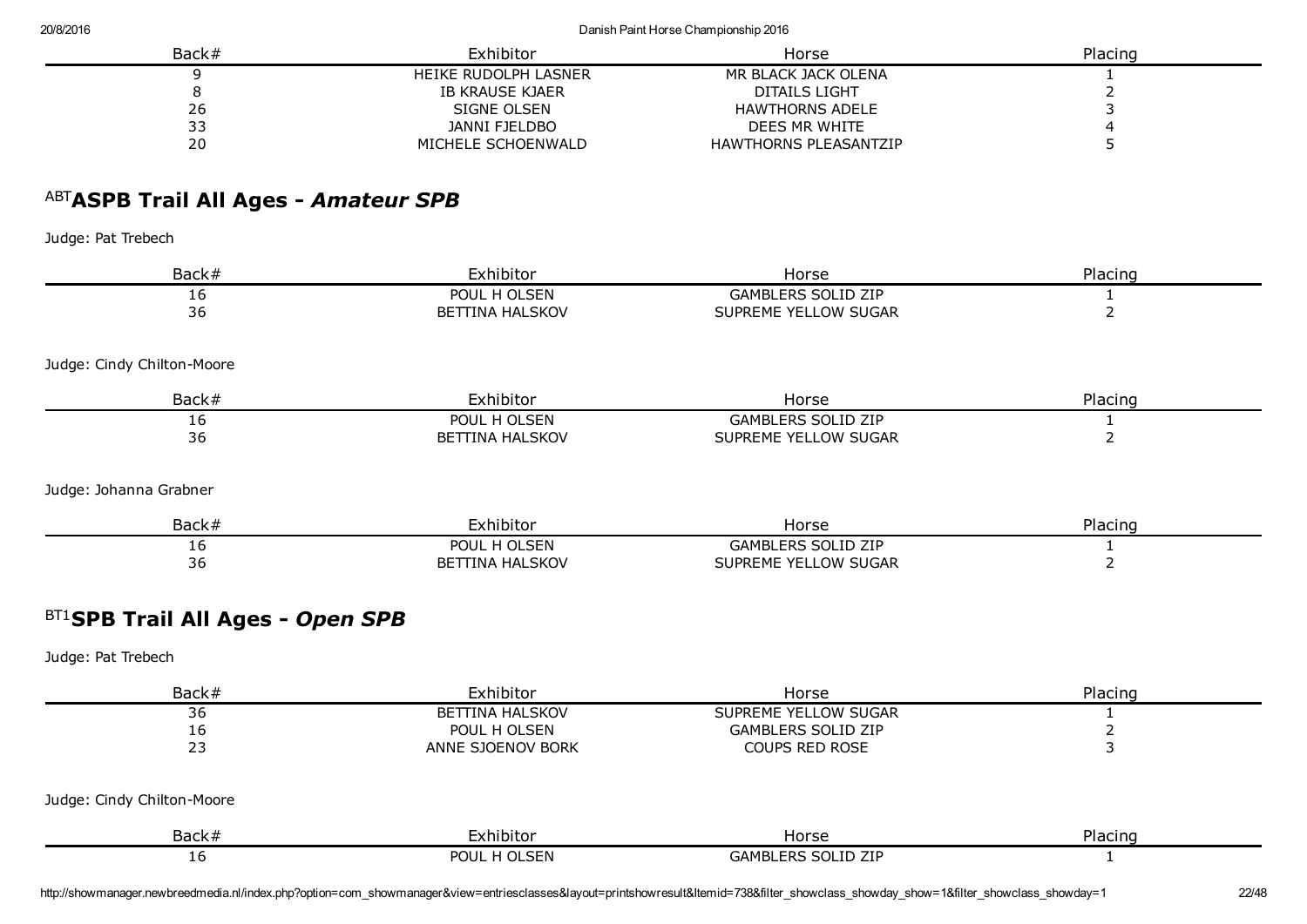20/8/2016 Danish Paint Horse Championship 2016

| Back# | Exhibitor            | Horse                        | Placing |
|-------|----------------------|------------------------------|---------|
|       | HEIKE RUDOLPH LASNER | MR BLACK JACK OLENA          |         |
|       | IB KRAUSE KJAER      | DITAILS LIGHT                |         |
| 26    | SIGNE OLSEN          | <b>HAWTHORNS ADELE</b>       |         |
| 33    | JANNI FJELDBO        | DEES MR WHITE                |         |
| 20    | MICHELE SCHOENWALD   | <b>HAWTHORNS PLEASANTZIP</b> |         |

# ABT ASPB Trail All Ages *Amateur SPB*

Judge: Pat Trebech

| Back#                      | Exhibitor              | Horse                     | Placing |
|----------------------------|------------------------|---------------------------|---------|
| 16                         | POUL H OLSEN           | <b>GAMBLERS SOLID ZIP</b> |         |
| 36                         | <b>BETTINA HALSKOV</b> | SUPREME YELLOW SUGAR      |         |
| Judge: Cindy Chilton-Moore |                        |                           |         |
| Back#                      | Exhibitor              | Horse                     | Placing |
| 16                         | POUL H OLSEN           | <b>GAMBLERS SOLID ZIP</b> |         |
| 36                         | <b>BETTINA HALSKOV</b> | SUPREME YELLOW SUGAR      |         |
| Judge: Johanna Grabner     |                        |                           |         |
| Back#                      | Exhibitor              | Horse                     | Placing |
| 16                         | POUL H OLSEN           | <b>GAMBLERS SOLID ZIP</b> |         |
| 36                         | <b>BETTINA HALSKOV</b> | SUPREME YELLOW SUGAR      |         |

# BT1 SPB Trail All Ages *Open SPB*

Judge: Pat Trebech

| Back#                      | Exhibitor              | Horse                     | Placing |
|----------------------------|------------------------|---------------------------|---------|
| 36                         | <b>BETTINA HALSKOV</b> | SUPREME YELLOW SUGAR      |         |
| 16                         | POUL H OLSEN           | <b>GAMBLERS SOLID ZIP</b> |         |
| 23                         | ANNE SJOENOV BORK      | <b>COUPS RED ROSE</b>     |         |
| Judge: Cindy Chilton-Moore |                        |                           |         |
| Back#                      | Exhibitor              | Horse                     | Placing |
| 16                         | POUL H OLSEN           | <b>GAMBLERS SOLID ZIP</b> |         |

http://showmanager.newbreedmedia.nl/index.php?option=com\_showmanager&view=entriesclasses&layout=printshowresult&Itemid=738&filter\_showclass\_showday\_show=1&filter\_showclass\_showday=1 22/48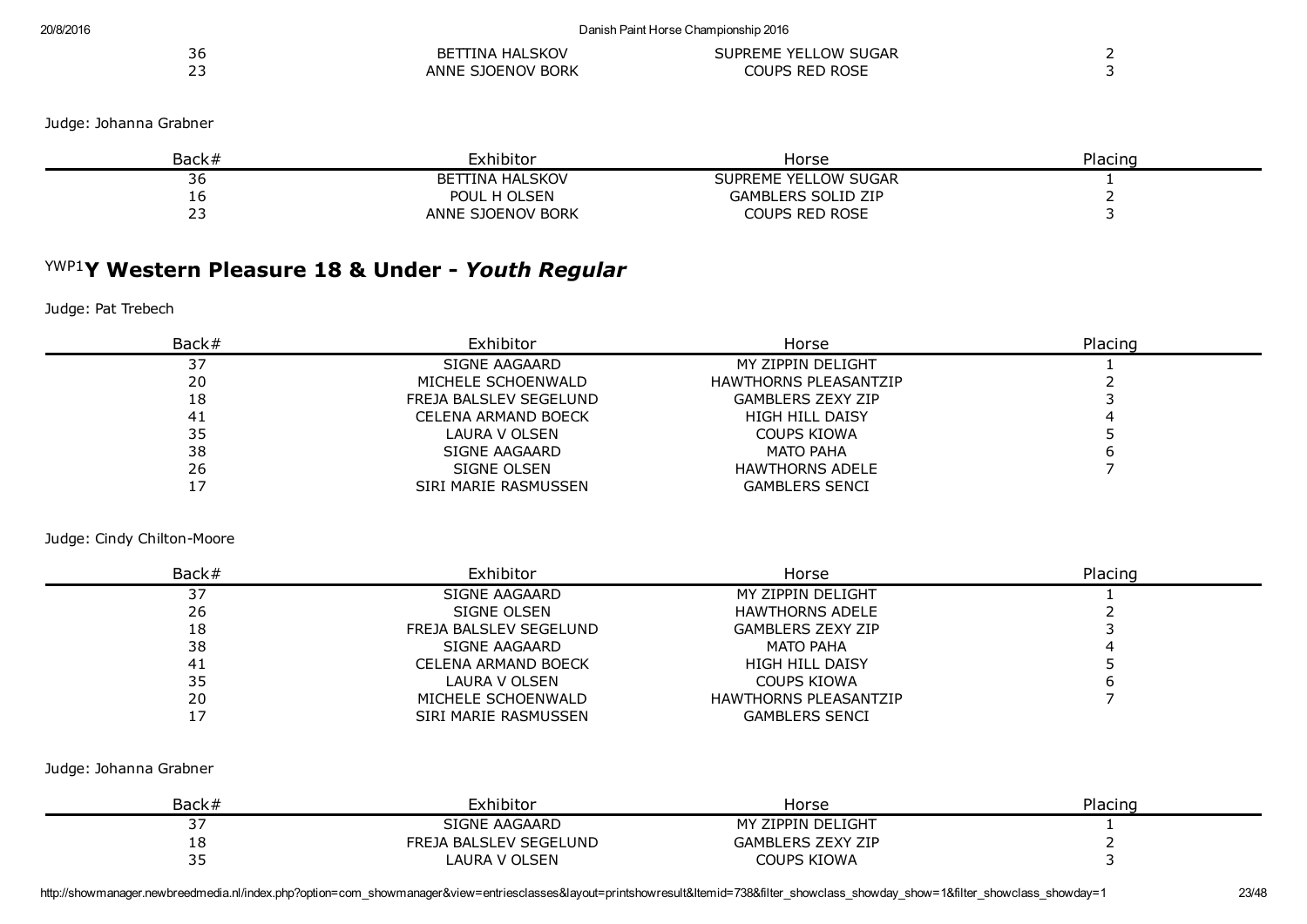|               | ITINA HALSKOV        |                      |  |
|---------------|----------------------|----------------------|--|
| 36            | BET                  | SUPREME YELLOW SUGAR |  |
| $\sim$ $\sim$ | SJOENOV BORK<br>ANNE | COUPS RED ROSE       |  |

#### Judge: Johanna Grabner

| Back# | Exhibitor              | Horse                     | Placing |
|-------|------------------------|---------------------------|---------|
| 36    | <b>BETTINA HALSKOV</b> | SUPREME YELLOW SUGAR      |         |
| тo    | POUL H OLSEN           | <b>GAMBLERS SOLID ZIP</b> |         |
|       | ANNE SJOENOV BORK      | <b>COUPS RED ROSE</b>     |         |

## YWP1 Y Western Pleasure 18 & Under *Youth Regular*

#### Judge: Pat Trebech

| Back# | Exhibitor              | Horse                        | Placing |
|-------|------------------------|------------------------------|---------|
| 37    | SIGNE AAGAARD          | MY ZIPPIN DELIGHT            |         |
| 20    | MICHELE SCHOENWALD     | <b>HAWTHORNS PLEASANTZIP</b> |         |
| 18    | FREJA BALSLEV SEGELUND | <b>GAMBLERS ZEXY ZIP</b>     |         |
| 41    | CELENA ARMAND BOECK    | <b>HIGH HILL DAISY</b>       |         |
| 35    | LAURA V OLSEN          | COUPS KIOWA                  |         |
| 38    | SIGNE AAGAARD          | <b>MATO PAHA</b>             |         |
| 26    | SIGNE OLSEN            | <b>HAWTHORNS ADELE</b>       |         |
|       | SIRI MARIE RASMUSSEN   | <b>GAMBLERS SENCI</b>        |         |

#### Judge: Cindy Chilton-Moore

| Back# | Exhibitor              | Horse                        | Placing |
|-------|------------------------|------------------------------|---------|
| ر ر   | SIGNE AAGAARD          | MY ZIPPIN DELIGHT            |         |
| 26    | SIGNE OLSEN            | <b>HAWTHORNS ADELE</b>       |         |
| 18    | FREJA BALSLEV SEGELUND | <b>GAMBLERS ZEXY ZIP</b>     |         |
| 38    | SIGNE AAGAARD          | MATO PAHA                    |         |
| 41    | CELENA ARMAND BOECK    | <b>HIGH HILL DAISY</b>       |         |
| 35    | LAURA V OLSEN          | <b>COUPS KIOWA</b>           |         |
| 20    | MICHELE SCHOENWALD     | <b>HAWTHORNS PLEASANTZIP</b> |         |
|       | SIRI MARIE RASMUSSEN   | <b>GAMBLERS SENCI</b>        |         |

#### Judge: Johanna Grabner

| Back#     | Exhibitor              | Horse                    | Placing |
|-----------|------------------------|--------------------------|---------|
| --<br>، ب | SIGNE AAGAARD          | MY ZIPPIN DELIGHT        |         |
| 10<br>ΤO  | FREJA BALSLEV SEGELUND | <b>GAMBLERS ZEXY ZIP</b> |         |
| --        | LAURA V OLSEN          | <b>COUPS KIOWA</b>       |         |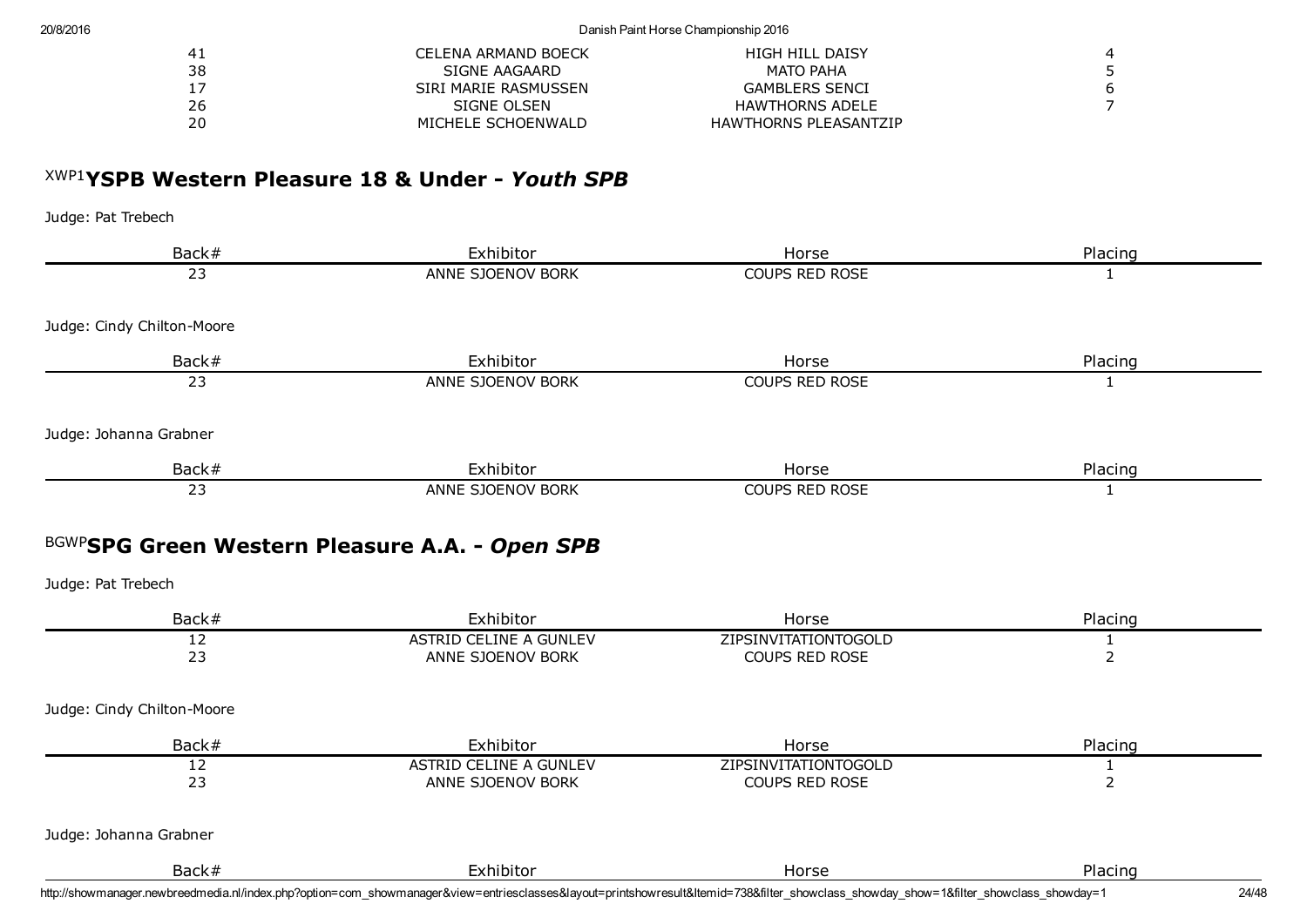| 41 | CELENA ARMAND BOECK  | HIGH HILL DAISY              |  |
|----|----------------------|------------------------------|--|
| 38 | SIGNE AAGAARD        | MATO PAHA                    |  |
| 17 | SIRI MARIE RASMUSSEN | <b>GAMBLERS SENCI</b>        |  |
| 26 | SIGNE OLSEN          | HAWTHORNS ADELE              |  |
| 20 | MICHELE SCHOENWALD   | <b>HAWTHORNS PLEASANTZIP</b> |  |

# XWP1 YSPB Western Pleasure 18 & Under *Youth SPB*

Judge: Pat Trebech

|                            | Exhibitor                                          | Horse                                  | Placing                        |
|----------------------------|----------------------------------------------------|----------------------------------------|--------------------------------|
| 23                         | ANNE SJOENOV BORK                                  | COUPS RED ROSE                         | 1                              |
| Judge: Cindy Chilton-Moore |                                                    |                                        |                                |
| Back#                      | Exhibitor                                          | Horse                                  | Placing                        |
| $\overline{23}$            | ANNE SJOENOV BORK                                  | <b>COUPS RED ROSE</b>                  | 1                              |
| Judge: Johanna Grabner     |                                                    |                                        |                                |
| Back#                      | Exhibitor                                          | Horse                                  | Placing                        |
| 23                         | ANNE SJOENOV BORK                                  | <b>COUPS RED ROSE</b>                  | 1                              |
|                            |                                                    |                                        |                                |
| Judge: Pat Trebech         |                                                    |                                        |                                |
| Back#                      | Exhibitor                                          | Horse                                  | Placing                        |
| 12<br>23                   | <b>ASTRID CELINE A GUNLEV</b><br>ANNE SJOENOV BORK | ZIPSINVITATIONTOGOLD<br>COUPS RED ROSE | $\mathbf{1}$<br>$\overline{2}$ |
| Judge: Cindy Chilton-Moore |                                                    |                                        |                                |
| Back#                      | Exhibitor                                          | Horse                                  | Placing                        |
| 12                         | <b>ASTRID CELINE A GUNLEV</b>                      | ZIPSINVITATIONTOGOLD                   | $\mathbf{1}$                   |
| 23                         | ANNE SJOENOV BORK                                  | COUPS RED ROSE                         | $\overline{2}$                 |
| Judge: Johanna Grabner     |                                                    |                                        |                                |

http://showmanager.newbreedmedia.nl/index.php?option=com\_showmanager&view=entriesclasses&layout=printshowresult&Itemid=738&filter\_showclass\_showday\_show=1&filter\_showclass\_showday=1 24/48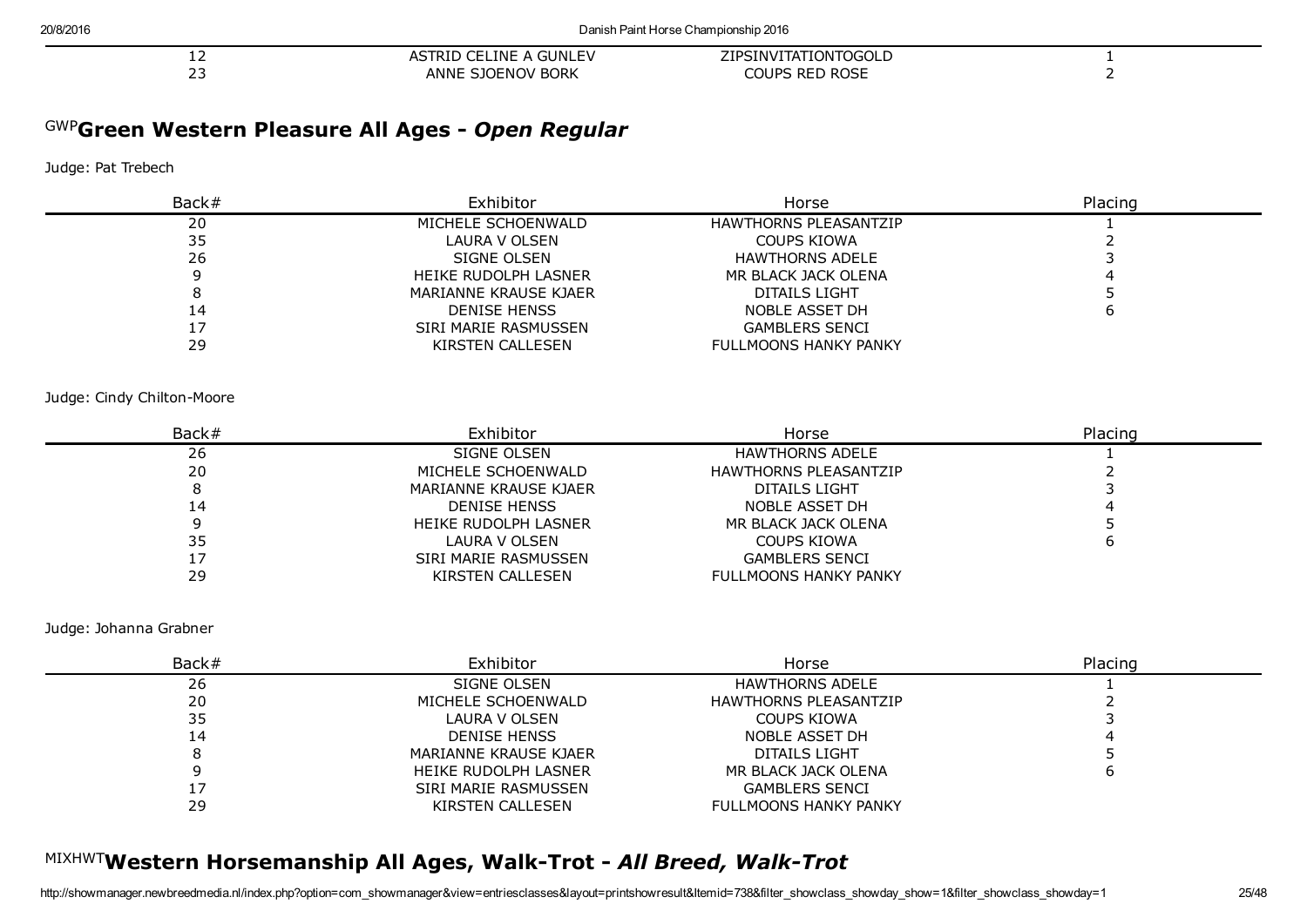| --                  | A GUNLEV<br>--<br><b>FLINE A</b><br>AS<br>IRID ( | <b>CANVILIATIONTOGOL D</b><br>ZIPSINVI              |  |
|---------------------|--------------------------------------------------|-----------------------------------------------------|--|
| $\sim$ $\sim$<br>-- | SJOENOV BORK<br>ANNE                             | <b>DOOF</b><br><b>DED</b><br>COUPS<br>RUSE<br>™ KEL |  |

# GWP Green Western Pleasure All Ages *Open Regular*

#### Judge: Pat Trebech

| Back# | Exhibitor             | Horse                        | Placing |
|-------|-----------------------|------------------------------|---------|
| 20    | MICHELE SCHOENWALD    | <b>HAWTHORNS PLEASANTZIP</b> |         |
| 35    | LAURA V OLSEN         | COUPS KIOWA                  |         |
| 26    | SIGNE OLSEN           | <b>HAWTHORNS ADELE</b>       |         |
|       | HEIKE RUDOLPH LASNER  | MR BLACK JACK OLENA          |         |
|       | MARIANNE KRAUSE KJAER | DITAILS LIGHT                |         |
| 14    | <b>DENISE HENSS</b>   | NOBLE ASSET DH               |         |
|       | SIRI MARIE RASMUSSEN  | <b>GAMBLERS SENCI</b>        |         |
| 29    | KIRSTEN CALLESEN      | <b>FULLMOONS HANKY PANKY</b> |         |

#### Judge: Cindy Chilton-Moore

| Back# | Exhibitor             | Horse                        | Placing |
|-------|-----------------------|------------------------------|---------|
| 26    | SIGNE OLSEN           | HAWTHORNS ADELE              |         |
| 20    | MICHELE SCHOENWALD    | <b>HAWTHORNS PLEASANTZIP</b> |         |
|       | MARIANNE KRAUSE KJAER | DITAILS LIGHT                |         |
| 14    | <b>DENISE HENSS</b>   | NOBLE ASSET DH               |         |
|       | HEIKE RUDOLPH LASNER  | MR BLACK JACK OLENA          |         |
| 35    | LAURA V OLSEN         | COUPS KIOWA                  |         |
|       | SIRI MARIE RASMUSSEN  | <b>GAMBLERS SENCI</b>        |         |
| 29    | KIRSTEN CALLESEN      | FULLMOONS HANKY PANKY        |         |

Judge: Johanna Grabner

| Back# | Exhibitor             | Horse                        | Placing |
|-------|-----------------------|------------------------------|---------|
| 26    | SIGNE OLSEN           | <b>HAWTHORNS ADELE</b>       |         |
| 20    | MICHELE SCHOENWALD    | <b>HAWTHORNS PLEASANTZIP</b> |         |
| 35    | LAURA V OLSEN         | COUPS KIOWA                  |         |
| 14    | <b>DENISE HENSS</b>   | NOBLE ASSET DH               |         |
|       | MARIANNE KRAUSE KJAER | DITAILS LIGHT                |         |
|       | HEIKE RUDOLPH LASNER  | MR BLACK JACK OLENA          |         |
|       | SIRI MARIE RASMUSSEN  | <b>GAMBLERS SENCI</b>        |         |
| 29    | KIRSTEN CALLESEN      | <b>FULLMOONS HANKY PANKY</b> |         |

# MIXHWTWestern Horsemanship All Ages, Walk-Trot - All Breed, Walk-Trot

-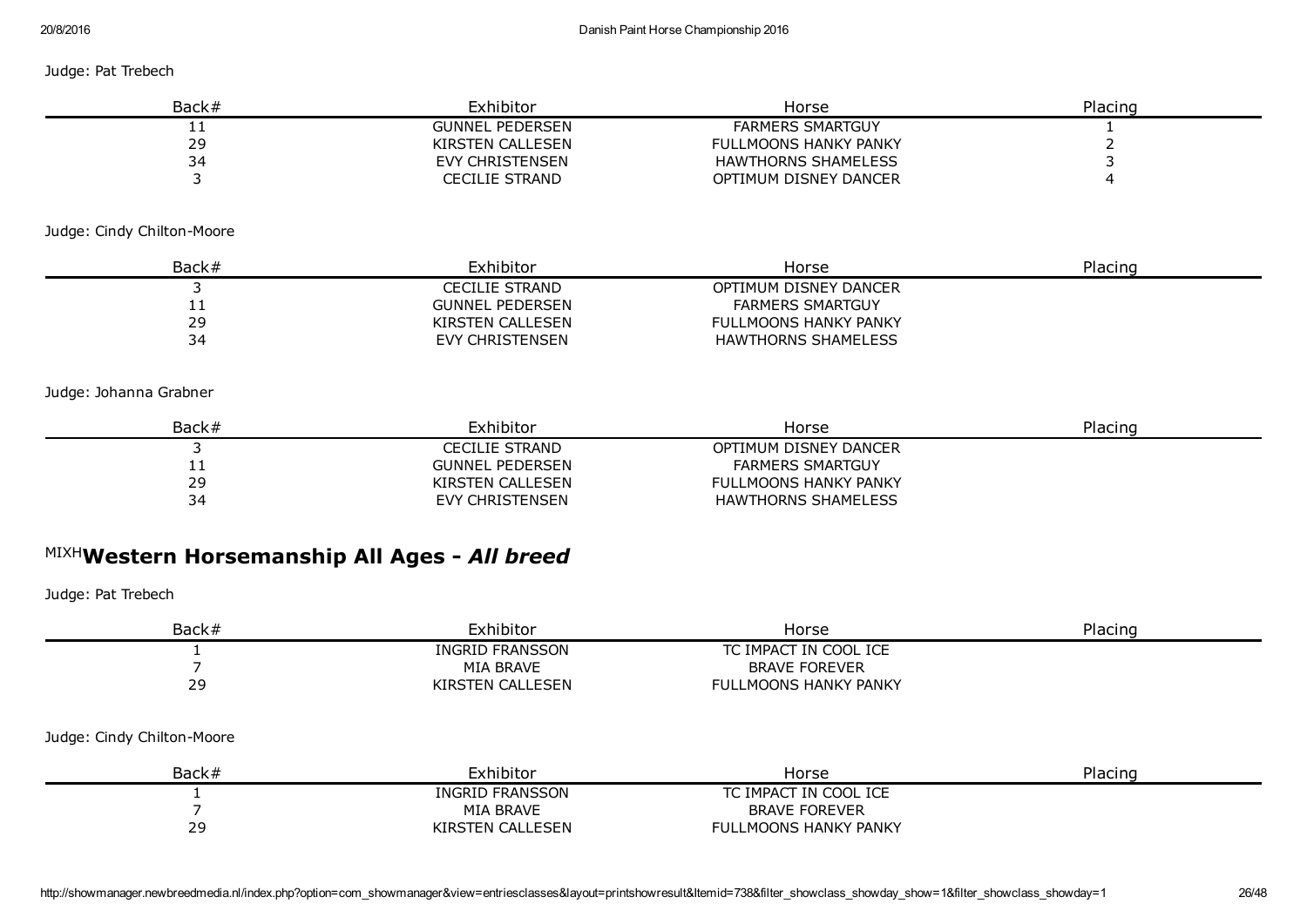Judge: Pat Trebech

| Back#    | Exhibitor              | Horse                        | Placing |
|----------|------------------------|------------------------------|---------|
| <u>_</u> | <b>GUNNEL PEDERSEN</b> | <b>FARMERS SMARTGUY</b>      |         |
| 29       | KIRSTEN CALLESEN       | <b>FULLMOONS HANKY PANKY</b> |         |
|          | EVY CHRISTENSEN        | HAWTHORNS SHAMELESS          |         |
|          | CECILIE STRAND         | OPTIMUM DISNEY DANCER        |         |

#### Judge: Cindy Chilton-Moore

| Back#      | Exhibitor              | Horse                   | Placing |
|------------|------------------------|-------------------------|---------|
|            | CECILIE STRAND         | OPTIMUM DISNEY DANCER   |         |
| <b>. .</b> | <b>GUNNEL PEDERSEN</b> | <b>FARMERS SMARTGUY</b> |         |
| 29         | KIRSTEN CALLESEN       | FULLMOONS HANKY PANKY   |         |
| 34         | EVY CHRISTENSEN        | HAWTHORNS SHAMELESS     |         |

#### Judge: Johanna Grabner

| Back# | Exhibitor              | Horse                        | Placing |
|-------|------------------------|------------------------------|---------|
|       | CECILIE STRAND         | OPTIMUM DISNEY DANCER        |         |
| . .   | <b>GUNNEL PEDERSEN</b> | <b>FARMERS SMARTGUY</b>      |         |
| 29    | KIRSTEN CALLESEN       | <b>FULLMOONS HANKY PANKY</b> |         |
| 34    | EVY CHRISTENSEN        | HAWTHORNS SHAMELESS          |         |

# MIXH Western Horsemanship All Ages *All breed*

| Back#                      | Exhibitor        | Horse                        | Placing |
|----------------------------|------------------|------------------------------|---------|
|                            | INGRID FRANSSON  | TC IMPACT IN COOL ICE        |         |
|                            | MIA BRAVE        | <b>BRAVE FOREVER</b>         |         |
| 29                         | KIRSTEN CALLESEN | <b>FULLMOONS HANKY PANKY</b> |         |
| Judge: Cindy Chilton-Moore |                  |                              |         |
| Back#                      | Exhibitor        | Horse                        | Placing |
|                            | INGRID FRANSSON  | TC IMPACT IN COOL ICE        |         |
|                            | MIA BRAVE        | <b>BRAVE FOREVER</b>         |         |
| 29                         | KIRSTEN CALLESEN | <b>FULLMOONS HANKY PANKY</b> |         |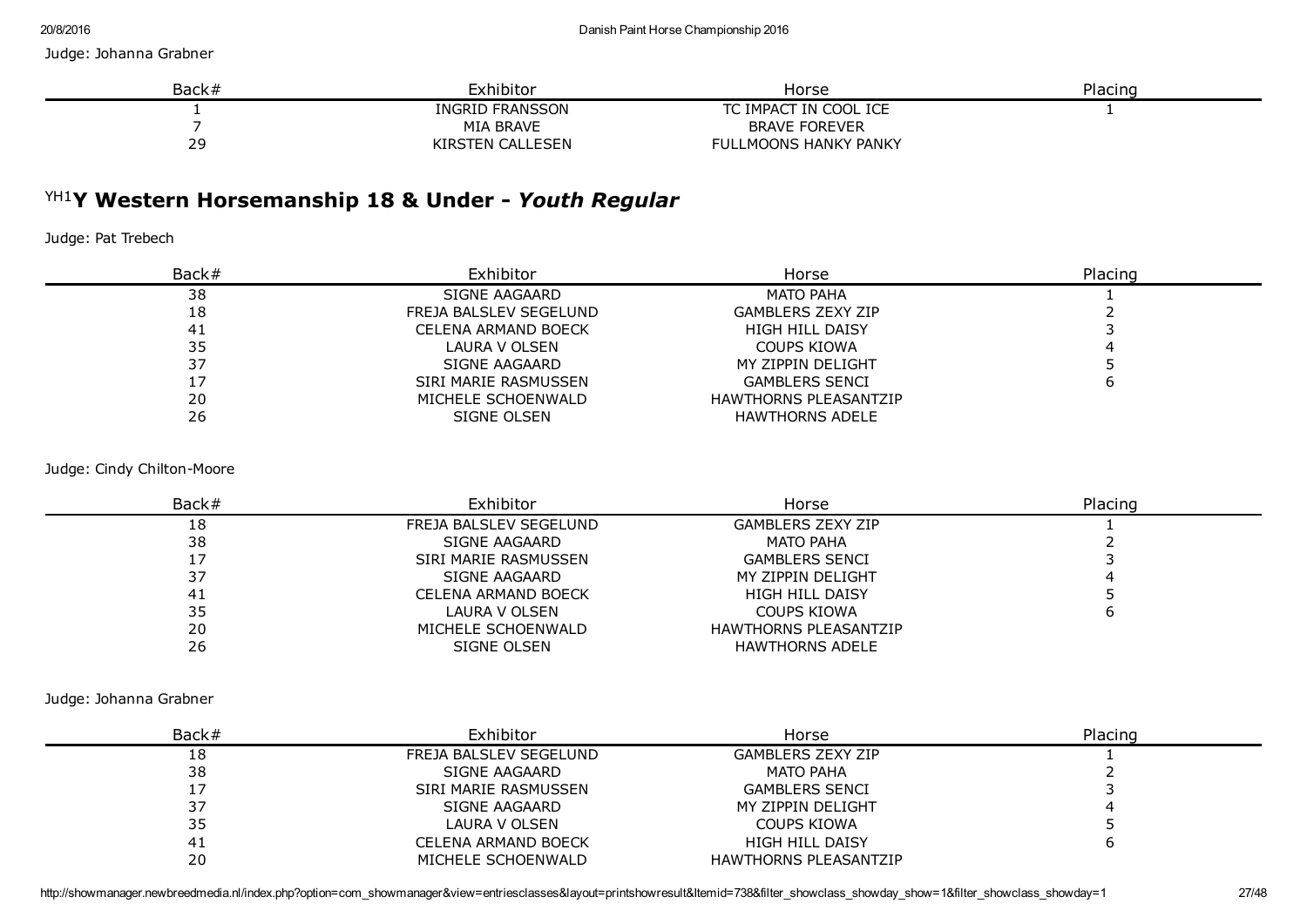#### Judge: Johanna Grabner

| Back# | Exhibitor        | Horse                        | Placing |
|-------|------------------|------------------------------|---------|
|       | INGRID FRANSSON  | TC IMPACT IN COOL ICE        |         |
|       | MIA BRAVE        | <b>BRAVE FOREVER</b>         |         |
| 29    | KIRSTEN CALLESEN | <b>FULLMOONS HANKY PANKY</b> |         |

# YH1 Y Western Horsemanship 18 & Under *Youth Regular*

Judge: Pat Trebech

| Back# | Exhibitor              | Horse                        | Placing |
|-------|------------------------|------------------------------|---------|
| 38    | SIGNE AAGAARD          | MATO PAHA                    |         |
| 18    | FREJA BALSLEV SEGELUND | <b>GAMBLERS ZEXY ZIP</b>     |         |
| 41    | CELENA ARMAND BOECK    | <b>HIGH HILL DAISY</b>       |         |
| 35    | LAURA V OLSEN          | COUPS KIOWA                  |         |
| 37    | SIGNE AAGAARD          | MY ZIPPIN DELIGHT            |         |
|       | SIRI MARIE RASMUSSEN   | <b>GAMBLERS SENCI</b>        |         |
| 20    | MICHELE SCHOENWALD     | <b>HAWTHORNS PLEASANTZIP</b> |         |
| 26    | SIGNE OLSEN            | <b>HAWTHORNS ADELE</b>       |         |

#### Judge: Cindy Chilton-Moore

| Back# | Exhibitor              | Horse                        | Placing |
|-------|------------------------|------------------------------|---------|
| 18    | FREJA BALSLEV SEGELUND | <b>GAMBLERS ZEXY ZIP</b>     |         |
| 38    | SIGNE AAGAARD          | <b>MATO PAHA</b>             |         |
|       | SIRI MARIE RASMUSSEN   | <b>GAMBLERS SENCI</b>        |         |
| 37    | SIGNE AAGAARD          | MY ZIPPIN DELIGHT            |         |
| 41    | CELENA ARMAND BOECK    | <b>HIGH HILL DAISY</b>       |         |
| 35    | <b>LAURA V OLSEN</b>   | <b>COUPS KIOWA</b>           |         |
| 20    | MICHELE SCHOENWALD     | <b>HAWTHORNS PLEASANTZIP</b> |         |
| 26    | SIGNE OLSEN            | <b>HAWTHORNS ADELE</b>       |         |

Judge: Johanna Grabner

| Back#     | Exhibitor              | Horse                        | Placing |
|-----------|------------------------|------------------------------|---------|
| 18        | FREJA BALSLEV SEGELUND | <b>GAMBLERS ZEXY ZIP</b>     |         |
| 38        | SIGNE AAGAARD          | MATO PAHA                    |         |
|           | SIRI MARIE RASMUSSEN   | <b>GAMBLERS SENCI</b>        |         |
| ر ر       | SIGNE AAGAARD          | MY ZIPPIN DELIGHT            |         |
| 35<br>ر ر | LAURA V OLSEN          | COUPS KIOWA                  |         |
| ⊥4        | CELENA ARMAND BOECK    | <b>HIGH HILL DAISY</b>       |         |
| 20        | MICHELE SCHOENWALD     | <b>HAWTHORNS PLEASANTZIP</b> |         |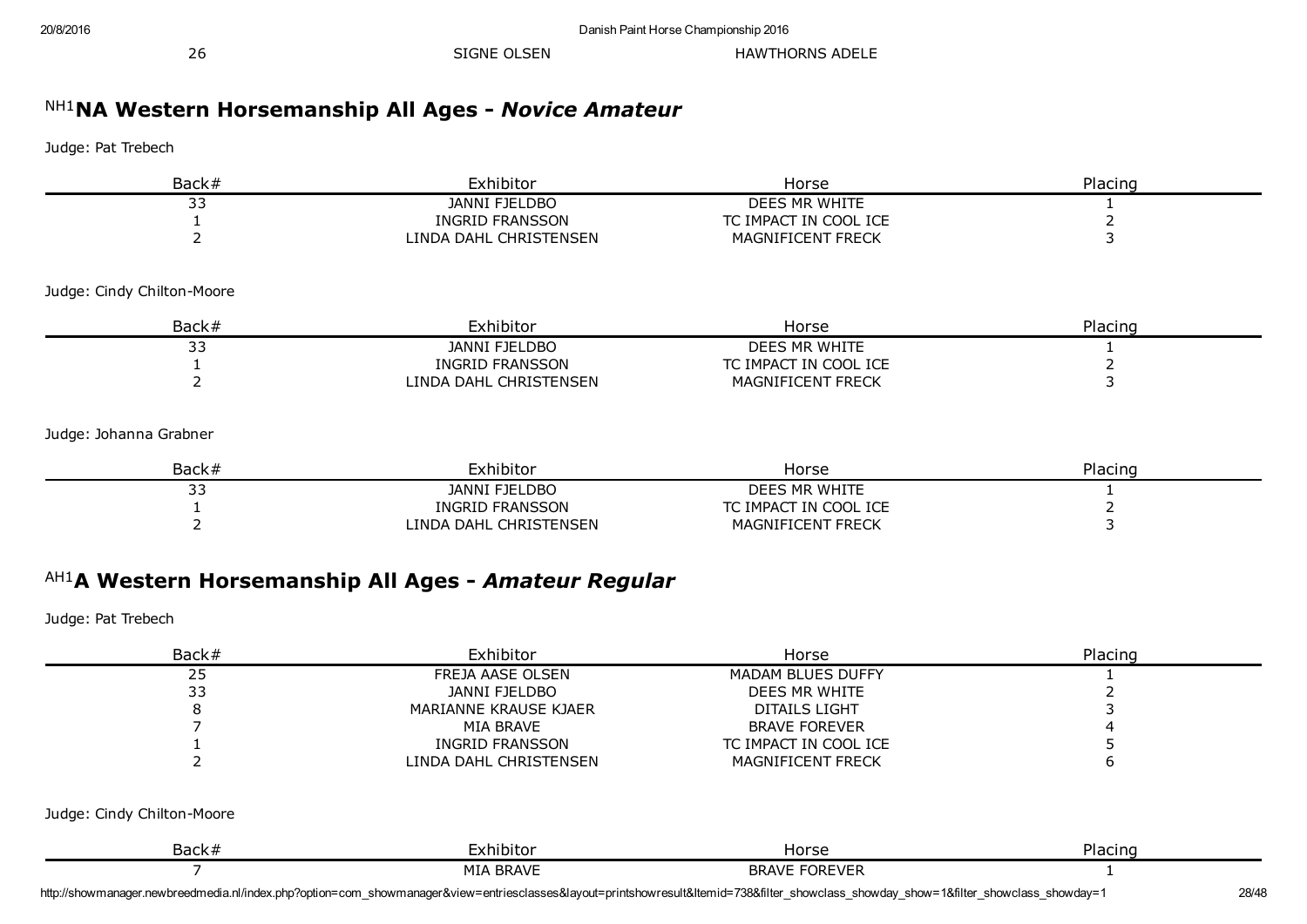26 SIGNE OLSEN HAWTHORNS ADELE

# NH1 NA Western Horsemanship All Ages *Novice Amateur*

Judge: Pat Trebech

| Back#                      | Exhibitor                                            | Horse                 | Placing        |
|----------------------------|------------------------------------------------------|-----------------------|----------------|
| 33                         | <b>JANNI FJELDBO</b>                                 | DEES MR WHITE         |                |
|                            | <b>INGRID FRANSSON</b>                               | TC IMPACT IN COOL ICE | $\overline{2}$ |
| $\overline{2}$             | LINDA DAHL CHRISTENSEN                               | MAGNIFICENT FRECK     | 3              |
| Judge: Cindy Chilton-Moore |                                                      |                       |                |
| Back#                      | Exhibitor                                            | Horse                 | Placing        |
| 33                         | <b>JANNI FJELDBO</b>                                 | DEES MR WHITE         |                |
|                            | <b>INGRID FRANSSON</b>                               | TC IMPACT IN COOL ICE | 2              |
| $\overline{2}$             | LINDA DAHL CHRISTENSEN                               | MAGNIFICENT FRECK     | 3              |
| Judge: Johanna Grabner     |                                                      |                       |                |
| Back#                      | Exhibitor                                            | Horse                 | Placing        |
| 33                         | <b>JANNI FJELDBO</b>                                 | DEES MR WHITE         | 1              |
|                            | <b>INGRID FRANSSON</b>                               | TC IMPACT IN COOL ICE | 2              |
| $\overline{2}$             | LINDA DAHL CHRISTENSEN                               | MAGNIFICENT FRECK     | 3              |
| Judge: Pat Trebech         | AH1A Western Horsemanship All Ages - Amateur Regular |                       |                |
| Back#                      | Exhibitor                                            | Horse                 | Placing        |
| 25                         | FREJA AASE OLSEN                                     | MADAM BLUES DUFFY     |                |
| 33                         | <b>JANNI FJELDBO</b>                                 | DEES MR WHITE         | 2              |
| 8                          | MARIANNE KRAUSE KJAER                                | <b>DITAILS LIGHT</b>  | 3              |
|                            | MIA BRAVE                                            | <b>BRAVE FOREVER</b>  |                |
|                            | <b>INGRID FRANSSON</b>                               | TC IMPACT IN COOL ICE |                |
|                            | LINDA DAHL CHRISTENSEN                               | MAGNIFICENT FRECK     | 6              |

Judge: Cindy Chilton-Moore

| ו۔ - י<br>3ack7 | nır<br>.or                   | $-1$                                          | п<br>παι |
|-----------------|------------------------------|-----------------------------------------------|----------|
|                 | MT/<br><b>BRAVE</b><br>1 V L | .<br>חח<br>ז הר<br>- \/ F<br>ĸк.<br><b>AV</b> |          |

http://showmanager.newbreedmedia.nl/index.php?option=com\_showmanager&view=entriesclasses&layout=printshowresult&Itemid=738&filter\_showclass\_showday\_show=1&filter\_showclass\_showday=1 28/48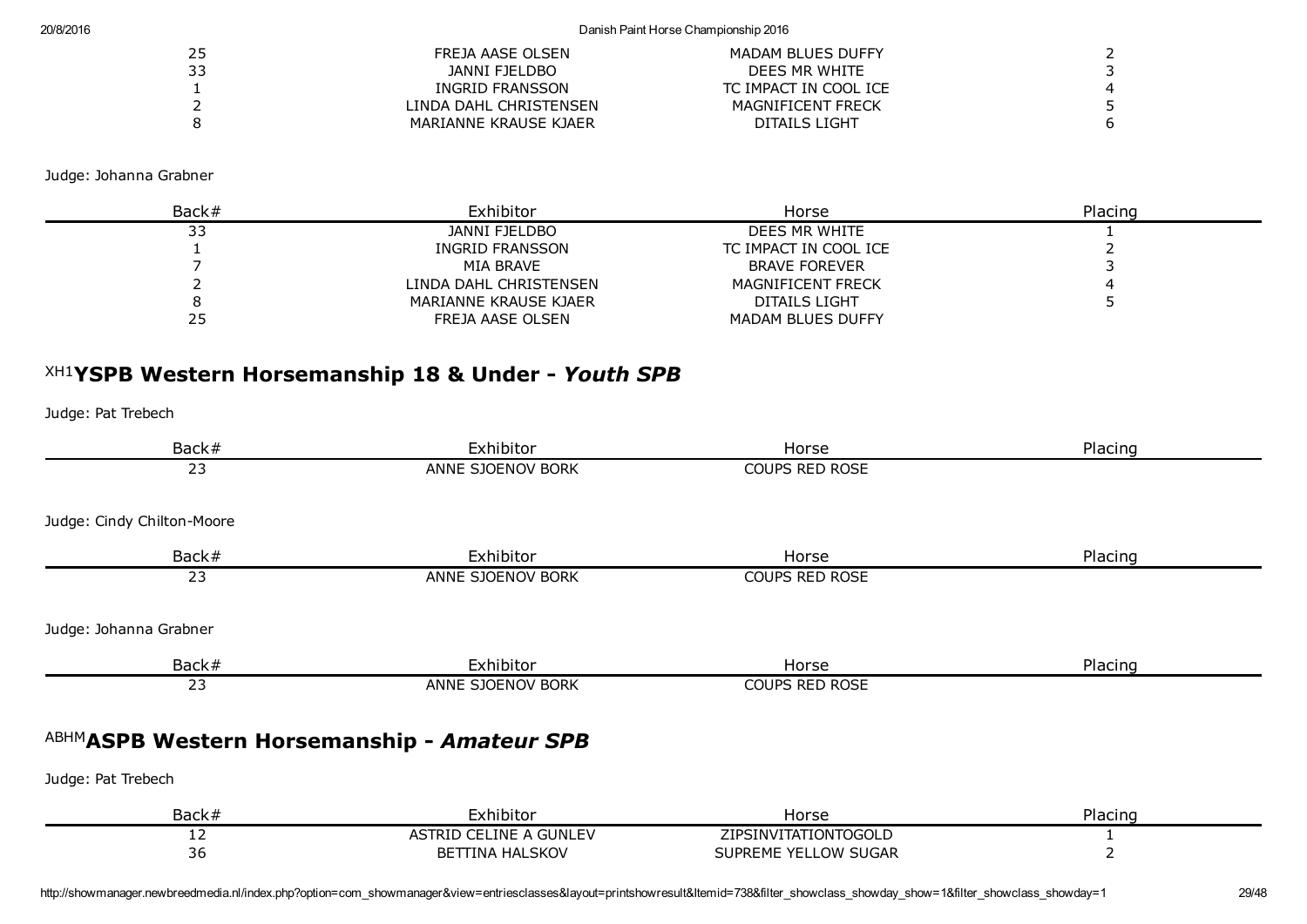#### 20/8/2016 Danish Paint Horse Championship 2016

| 25 | FREJA AASE OLSEN       | MADAM BLUES DUFFY     |  |
|----|------------------------|-----------------------|--|
| 33 | JANNI FJELDBO          | DEES MR WHITE         |  |
|    | INGRID FRANSSON        | TC IMPACT IN COOL ICE |  |
|    | LINDA DAHL CHRISTENSEN | MAGNIFICENT FRECK     |  |
| R  | MARIANNE KRAUSE KJAER  | DITAILS LIGHT         |  |

Judge: Johanna Grabner

| Back# | Exhibitor              | Horse                    | Placing |
|-------|------------------------|--------------------------|---------|
| ر ر   | JANNI FJELDBO          | DEES MR WHITE            |         |
|       | INGRID FRANSSON        | TC IMPACT IN COOL ICE    |         |
|       | MIA BRAVE              | <b>BRAVE FOREVER</b>     |         |
|       | LINDA DAHL CHRISTENSEN | <b>MAGNIFICENT FRECK</b> |         |
|       | MARIANNE KRAUSE KJAER  | DITAILS LIGHT            |         |
| 25    | FREJA AASE OLSEN       | MADAM BLUES DUFFY        |         |

# XH1 YSPB Western Horsemanship 18 & Under *Youth SPB*

Judge: Pat Trebech

| Back#                      | Exhibitor                                        | Horse                                        | Placing |
|----------------------------|--------------------------------------------------|----------------------------------------------|---------|
| 23                         | ANNE SJOENOV BORK                                | COUPS RED ROSE                               |         |
|                            |                                                  |                                              |         |
| Judge: Cindy Chilton-Moore |                                                  |                                              |         |
| Back#                      | Exhibitor                                        | Horse                                        | Placing |
| 23                         | ANNE SJOENOV BORK                                | COUPS RED ROSE                               |         |
| Judge: Johanna Grabner     |                                                  |                                              |         |
| Back#                      | Exhibitor                                        | Horse                                        | Placing |
| 23                         | ANNE SJOENOV BORK                                | COUPS RED ROSE                               |         |
|                            | ABHMASPB Western Horsemanship - Amateur SPB      |                                              |         |
| Judge: Pat Trebech         |                                                  |                                              |         |
| Back#                      | Exhibitor                                        | Horse                                        | Placing |
| 12<br>36                   | ASTRID CELINE A GUNLEV<br><b>BETTINA HALSKOV</b> | ZIPSINVITATIONTOGOLD<br>SUPREME YELLOW SUGAR |         |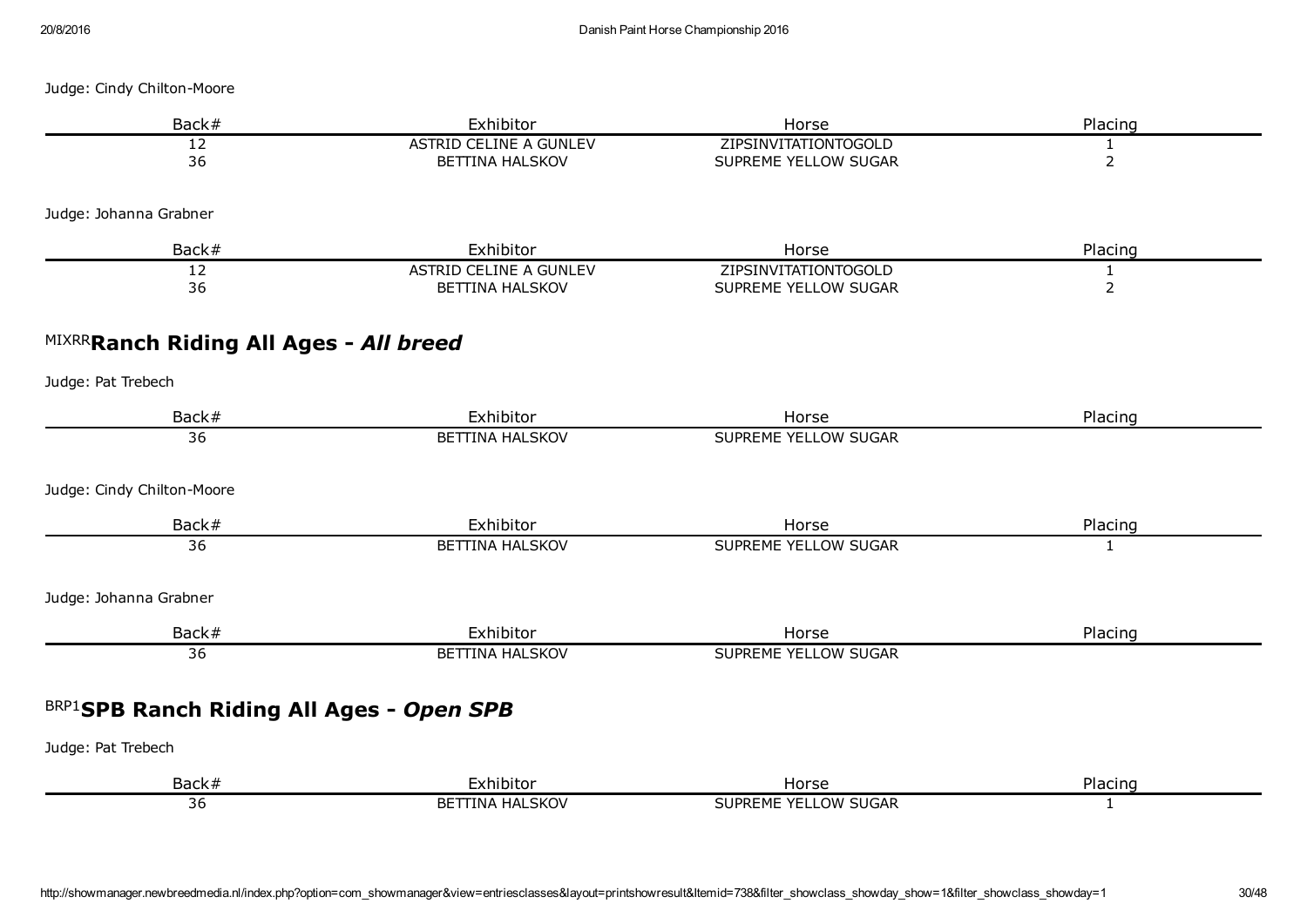| Back#                                           | Exhibitor                                               | Horse                                        | Placing                        |
|-------------------------------------------------|---------------------------------------------------------|----------------------------------------------|--------------------------------|
| 12<br>36                                        | ASTRID CELINE A GUNLEV<br><b>BETTINA HALSKOV</b>        | ZIPSINVITATIONTOGOLD<br>SUPREME YELLOW SUGAR | $\mathbf{1}$<br>$\overline{2}$ |
| Judge: Johanna Grabner                          |                                                         |                                              |                                |
| Back#                                           | Exhibitor                                               | Horse                                        | Placing                        |
| 12<br>36                                        | <b>ASTRID CELINE A GUNLEV</b><br><b>BETTINA HALSKOV</b> | ZIPSINVITATIONTOGOLD<br>SUPREME YELLOW SUGAR | $\mathbf{1}$<br>$\overline{2}$ |
| MIXRRRanch Riding All Ages - All breed          |                                                         |                                              |                                |
| Judge: Pat Trebech                              |                                                         |                                              |                                |
| Back#                                           | Exhibitor                                               | Horse                                        | Placing                        |
| 36                                              | <b>BETTINA HALSKOV</b>                                  | SUPREME YELLOW SUGAR                         |                                |
| Judge: Cindy Chilton-Moore                      |                                                         |                                              |                                |
| Back#                                           | Exhibitor                                               | Horse                                        | Placing                        |
| $\overline{36}$                                 | <b>BETTINA HALSKOV</b>                                  | SUPREME YELLOW SUGAR                         | $\mathbf{1}$                   |
| Judge: Johanna Grabner                          |                                                         |                                              |                                |
| Back#                                           | Exhibitor                                               | Horse                                        | Placing                        |
| $\overline{36}$                                 | <b>BETTINA HALSKOV</b>                                  | <b>SUPREME YELLOW SUGAR</b>                  |                                |
| <b>BRP1SPB Ranch Riding All Ages - Open SPB</b> |                                                         |                                              |                                |
| Judge: Pat Trebech                              |                                                         |                                              |                                |
| Back#                                           | Exhibitor                                               | Horse                                        | Placing                        |
| 36                                              | <b>BETTINA HALSKOV</b>                                  | SUPREME YELLOW SUGAR                         | $\mathbf{1}$                   |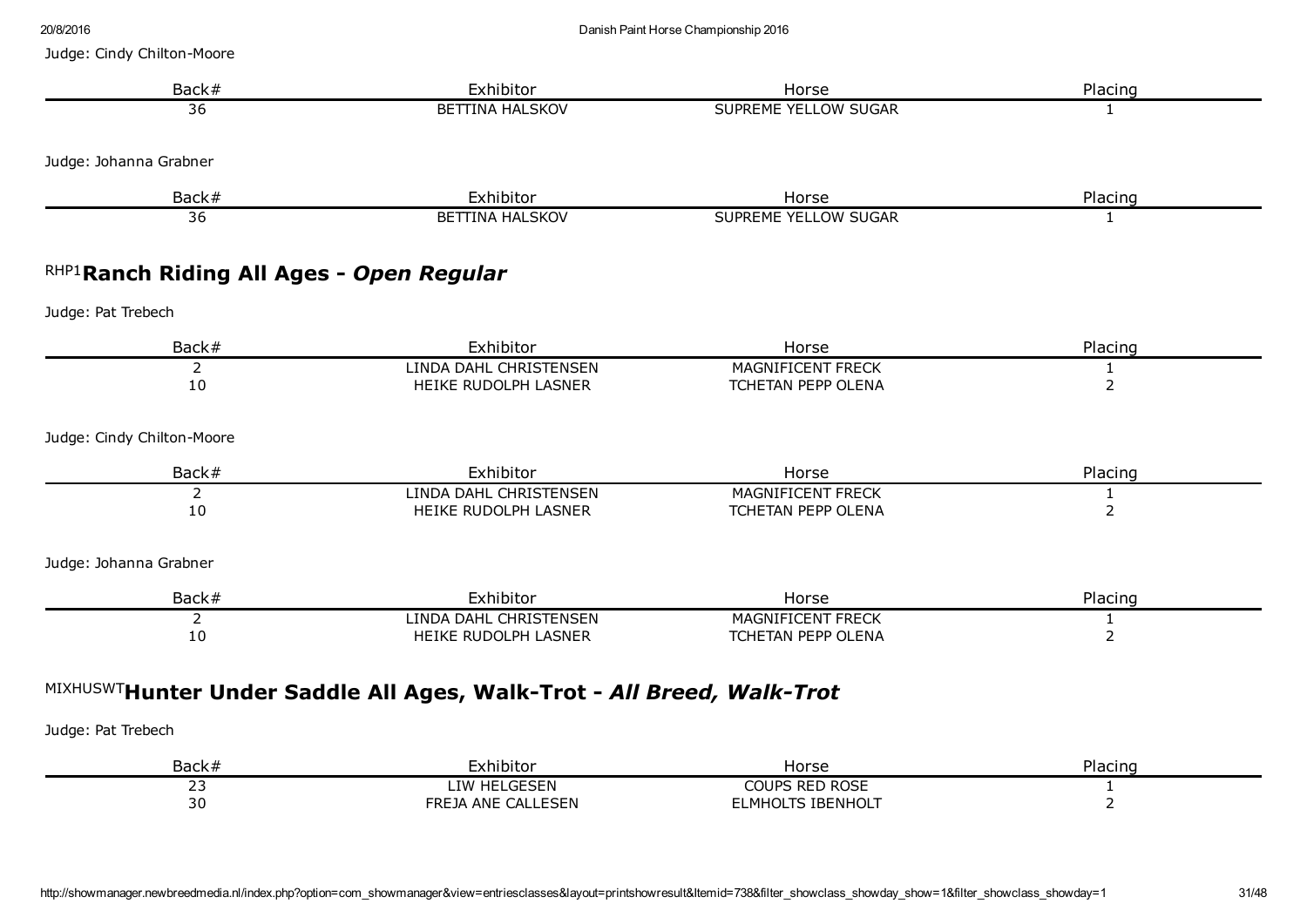| Back#                                     | Exhibitor                                                              | Horse                                          | Placing                        |
|-------------------------------------------|------------------------------------------------------------------------|------------------------------------------------|--------------------------------|
| 36                                        | <b>BETTINA HALSKOV</b>                                                 | SUPREME YELLOW SUGAR                           | 1                              |
| Judge: Johanna Grabner                    |                                                                        |                                                |                                |
| Back#                                     | Exhibitor                                                              | Horse                                          | Placing                        |
| 36                                        | <b>BETTINA HALSKOV</b>                                                 | SUPREME YELLOW SUGAR                           | 1                              |
| RHP1 Ranch Riding All Ages - Open Regular |                                                                        |                                                |                                |
| Judge: Pat Trebech                        |                                                                        |                                                |                                |
| Back#                                     | Exhibitor                                                              | Horse                                          | Placing                        |
| $\overline{2}$<br>10                      | LINDA DAHL CHRISTENSEN<br>HEIKE RUDOLPH LASNER                         | MAGNIFICENT FRECK<br>TCHETAN PEPP OLENA        | $\mathbf{1}$<br>$\overline{2}$ |
| Judge: Cindy Chilton-Moore                |                                                                        |                                                |                                |
| Back#                                     | Exhibitor                                                              | Horse                                          | Placing                        |
| 2<br>10                                   | LINDA DAHL CHRISTENSEN<br>HEIKE RUDOLPH LASNER                         | <b>MAGNIFICENT FRECK</b><br>TCHETAN PEPP OLENA | 1<br>$\overline{2}$            |
| Judge: Johanna Grabner                    |                                                                        |                                                |                                |
| Back#                                     | Exhibitor                                                              | Horse                                          | Placing                        |
| $\overline{2}$<br>10                      | LINDA DAHL CHRISTENSEN<br>HEIKE RUDOLPH LASNER                         | <b>MAGNIFICENT FRECK</b><br>TCHETAN PEPP OLENA | 1<br>$\overline{2}$            |
|                                           | MIXHUSWTHunter Under Saddle All Ages, Walk-Trot - All Breed, Walk-Trot |                                                |                                |
|                                           |                                                                        |                                                |                                |
| Judge: Pat Trebech                        |                                                                        |                                                |                                |

| <b>Back</b>         | -<br>∽∽<br>mibitu                            | Horse                                      | Dlocin.<br>ınc<br>-iaci |
|---------------------|----------------------------------------------|--------------------------------------------|-------------------------|
| ر ے                 |                                              | $. \n$<br>-RF<br>…∪IP⊆<br><u>.</u><br>וכשת |                         |
| $\sim$<br><u>JU</u> | ---<br>ANF<br>∙RF<br>IΔ<br>$\Delta$ i<br>-∽⊢ | ⋯                                          |                         |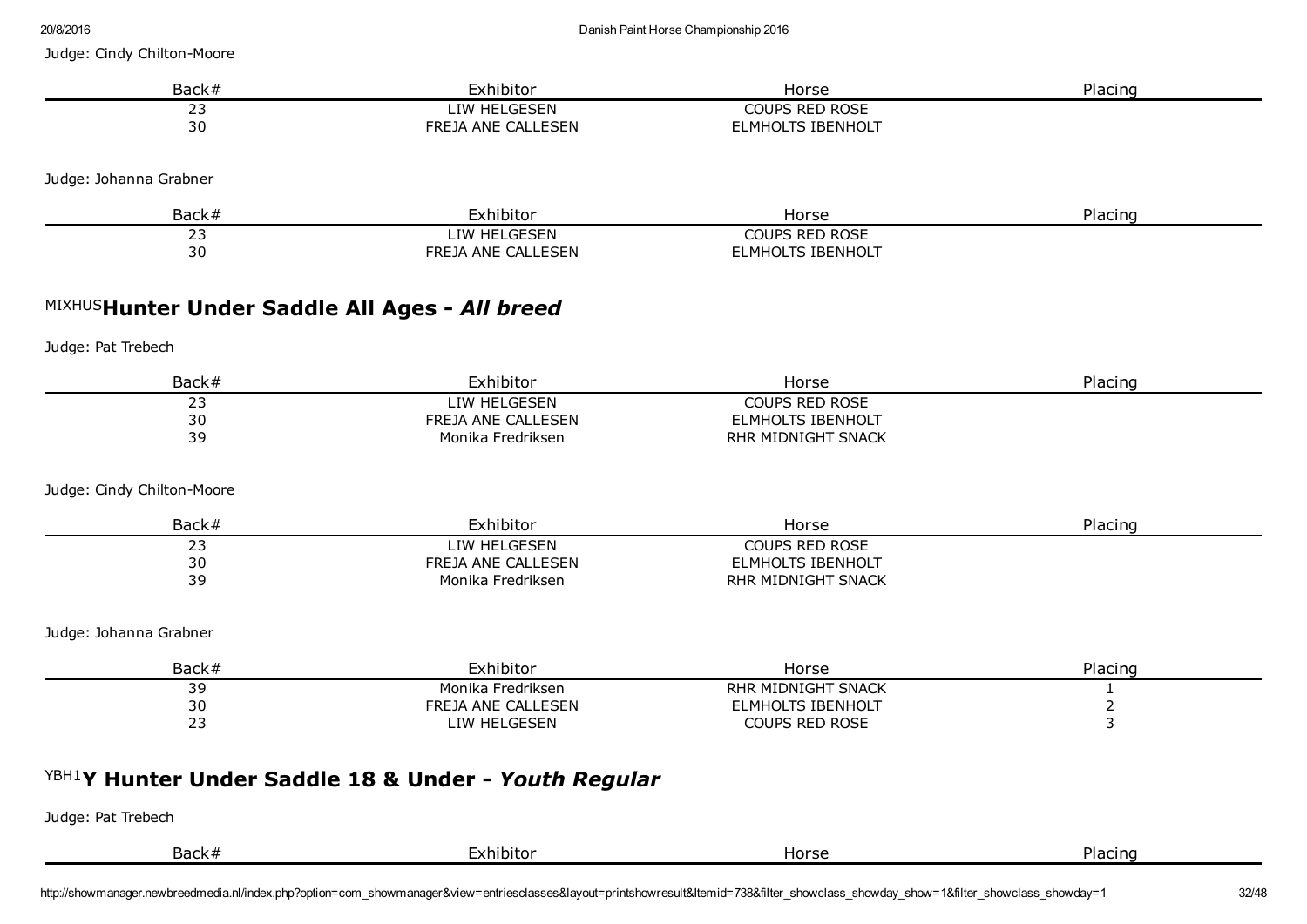| ZUI OI ZU I D                                  |                     | Danish Paint Horse Championship 2016 |         |
|------------------------------------------------|---------------------|--------------------------------------|---------|
| Judge: Cindy Chilton-Moore                     |                     |                                      |         |
| Back#                                          | Exhibitor           | Horse                                | Placing |
| 23                                             | <b>LIW HELGESEN</b> | <b>COUPS RED ROSE</b>                |         |
| 30                                             | FREJA ANE CALLESEN  | <b>ELMHOLTS IBENHOLT</b>             |         |
| Judge: Johanna Grabner                         |                     |                                      |         |
| Back#                                          | Exhibitor           | Horse                                | Placing |
| 23                                             | LIW HELGESEN        | <b>COUPS RED ROSE</b>                |         |
| 30                                             | FREJA ANE CALLESEN  | <b>ELMHOLTS IBENHOLT</b>             |         |
| MIXHUSHunter Under Saddle All Ages - All breed |                     |                                      |         |
| Judge: Pat Trebech                             |                     |                                      |         |
| Back#                                          | Exhibitor           | Horse                                | Placing |
| 23                                             | LIW HELGESEN        | <b>COUPS RED ROSE</b>                |         |
| 30                                             | FREJA ANE CALLESEN  | <b>ELMHOLTS IBENHOLT</b>             |         |
| 39                                             | Monika Fredriksen   | RHR MIDNIGHT SNACK                   |         |
| Judge: Cindy Chilton-Moore                     |                     |                                      |         |
| Back#                                          | Exhibitor           | Horse                                | Placing |
| 23                                             | LIW HELGESEN        | <b>COUPS RED ROSE</b>                |         |
| 30                                             | FREJA ANE CALLESEN  | <b>ELMHOLTS IBENHOLT</b>             |         |
| 39                                             | Monika Fredriksen   | RHR MIDNIGHT SNACK                   |         |
| Judge: Johanna Grabner                         |                     |                                      |         |
| Back#                                          | Exhibitor           | Horse                                | Placing |

| Back#           | cxhibitor                            | Horse                        | Placing. |
|-----------------|--------------------------------------|------------------------------|----------|
| - -<br><u>-</u> | Monika Fredriksen                    | MIDNIGHT SNACK<br><b>RHR</b> |          |
| $\sim$<br>υc    | CALL FSEN<br>FREJA<br>ANF            | IBENHOLT<br>LMHOLT!          |          |
| <b></b><br>--   | C <sub>CT</sub><br>TW HFI<br>・・・ートトー | Coups Red Rose               |          |
|                 |                                      |                              |          |

# YBH1 Y Hunter Under Saddle 18 & Under *Youth Regular*

| Back# | -xhibitor | Horse | Placino<br>. IU |
|-------|-----------|-------|-----------------|
|       |           |       |                 |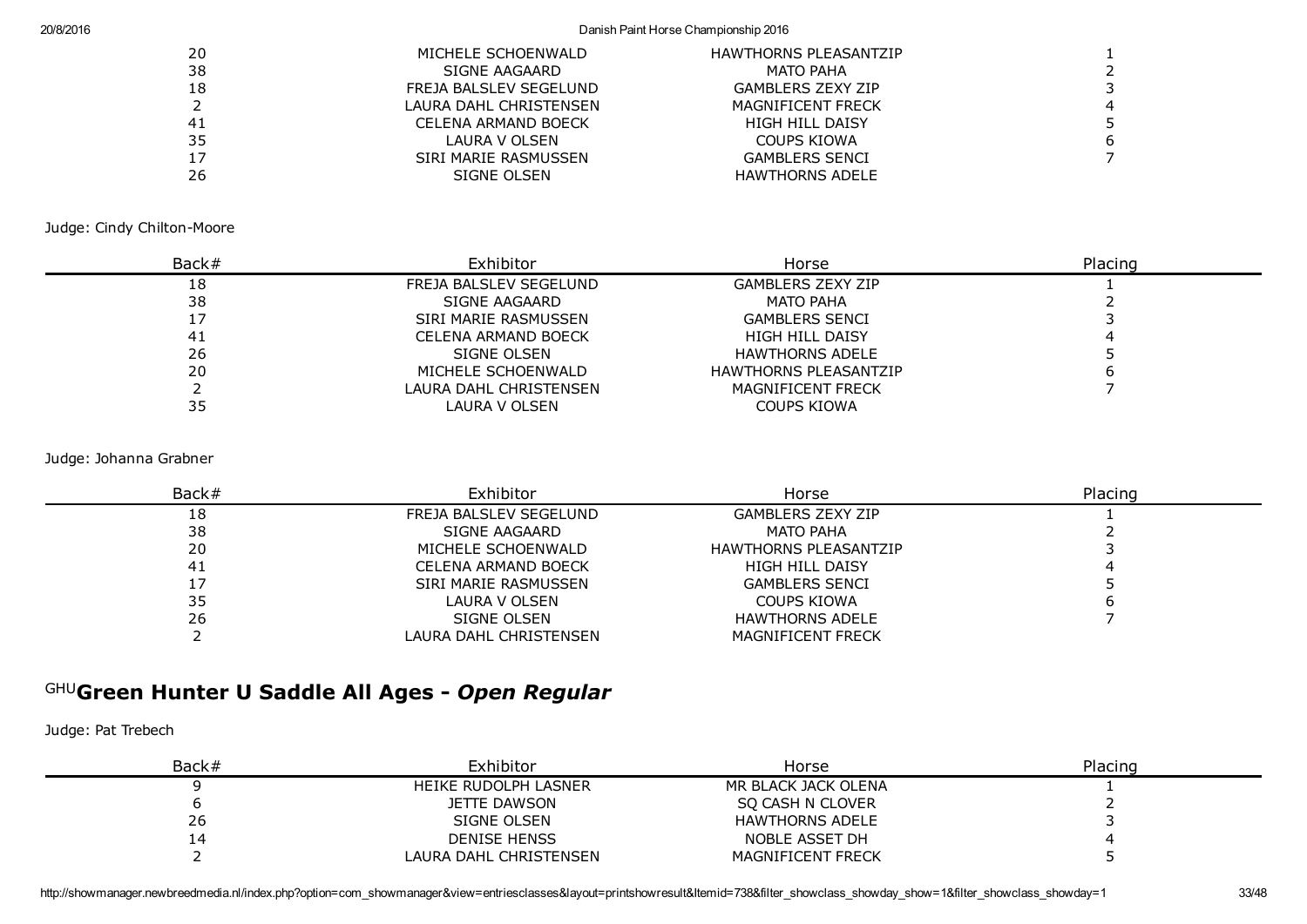#### 20/8/2016 Danish Paint Horse Championship 2016

| 20 | MICHELE SCHOENWALD     | <b>HAWTHORNS PLEASANTZIP</b> |    |
|----|------------------------|------------------------------|----|
| 38 | SIGNE AAGAARD          | MATO PAHA                    |    |
| 18 | FREJA BALSLEV SEGELUND | <b>GAMBLERS ZEXY ZIP</b>     |    |
|    | LAURA DAHL CHRISTENSEN | <b>MAGNIFICENT FRECK</b>     | -4 |
| 41 | CELENA ARMAND BOECK    | HIGH HILL DAISY              |    |
| 35 | LAURA V OLSEN          | COUPS KIOWA                  | 6  |
| 17 | SIRI MARIE RASMUSSEN   | <b>GAMBLERS SENCI</b>        |    |
| 26 | SIGNE OLSEN            | <b>HAWTHORNS ADELE</b>       |    |
|    |                        |                              |    |

Judge: Cindy Chilton-Moore

| Back# | Exhibitor              | Horse                        | Placing |
|-------|------------------------|------------------------------|---------|
| 18    | FREJA BALSLEV SEGELUND | <b>GAMBLERS ZEXY ZIP</b>     |         |
| 38    | SIGNE AAGAARD          | <b>MATO PAHA</b>             |         |
|       | SIRI MARIE RASMUSSEN   | <b>GAMBLERS SENCI</b>        |         |
| -41   | CELENA ARMAND BOECK    | HIGH HILL DAISY              |         |
| 26    | SIGNE OLSEN            | <b>HAWTHORNS ADELE</b>       |         |
| 20    | MICHELE SCHOENWALD     | <b>HAWTHORNS PLEASANTZIP</b> |         |
|       | LAURA DAHL CHRISTENSEN | <b>MAGNIFICENT FRECK</b>     |         |
| 35    | LAURA V OLSEN          | COUPS KIOWA                  |         |

Judge: Johanna Grabner

| Back# | Exhibitor                  | Horse                        | Placing |
|-------|----------------------------|------------------------------|---------|
| 18    | FREJA BALSLEV SEGELUND     | <b>GAMBLERS ZEXY ZIP</b>     |         |
| 38    | SIGNE AAGAARD              | <b>MATO PAHA</b>             |         |
| 20    | MICHELE SCHOENWALD         | <b>HAWTHORNS PLEASANTZIP</b> |         |
| -41   | <b>CELENA ARMAND BOECK</b> | <b>HIGH HILL DAISY</b>       |         |
|       | SIRI MARIE RASMUSSEN       | <b>GAMBLERS SENCI</b>        |         |
| 35    | LAURA V OLSEN              | COUPS KIOWA                  |         |
| 26    | SIGNE OLSEN                | <b>HAWTHORNS ADELE</b>       |         |
|       | LAURA DAHL CHRISTENSEN     | MAGNIFICENT FRECK            |         |

### GHU Green Hunter U Saddle All Ages *Open Regular*

| Back# | Exhibitor              | Horse                  | Placing |
|-------|------------------------|------------------------|---------|
|       | HEIKE RUDOLPH LASNER   | MR BLACK JACK OLENA    |         |
|       | JETTE DAWSON           | SO CASH N CLOVER       |         |
| 26    | SIGNE OLSEN            | <b>HAWTHORNS ADELE</b> |         |
| 14    | <b>DENISE HENSS</b>    | NOBLE ASSET DH         |         |
|       | LAURA DAHL CHRISTENSEN | MAGNIFICENT FRECK      |         |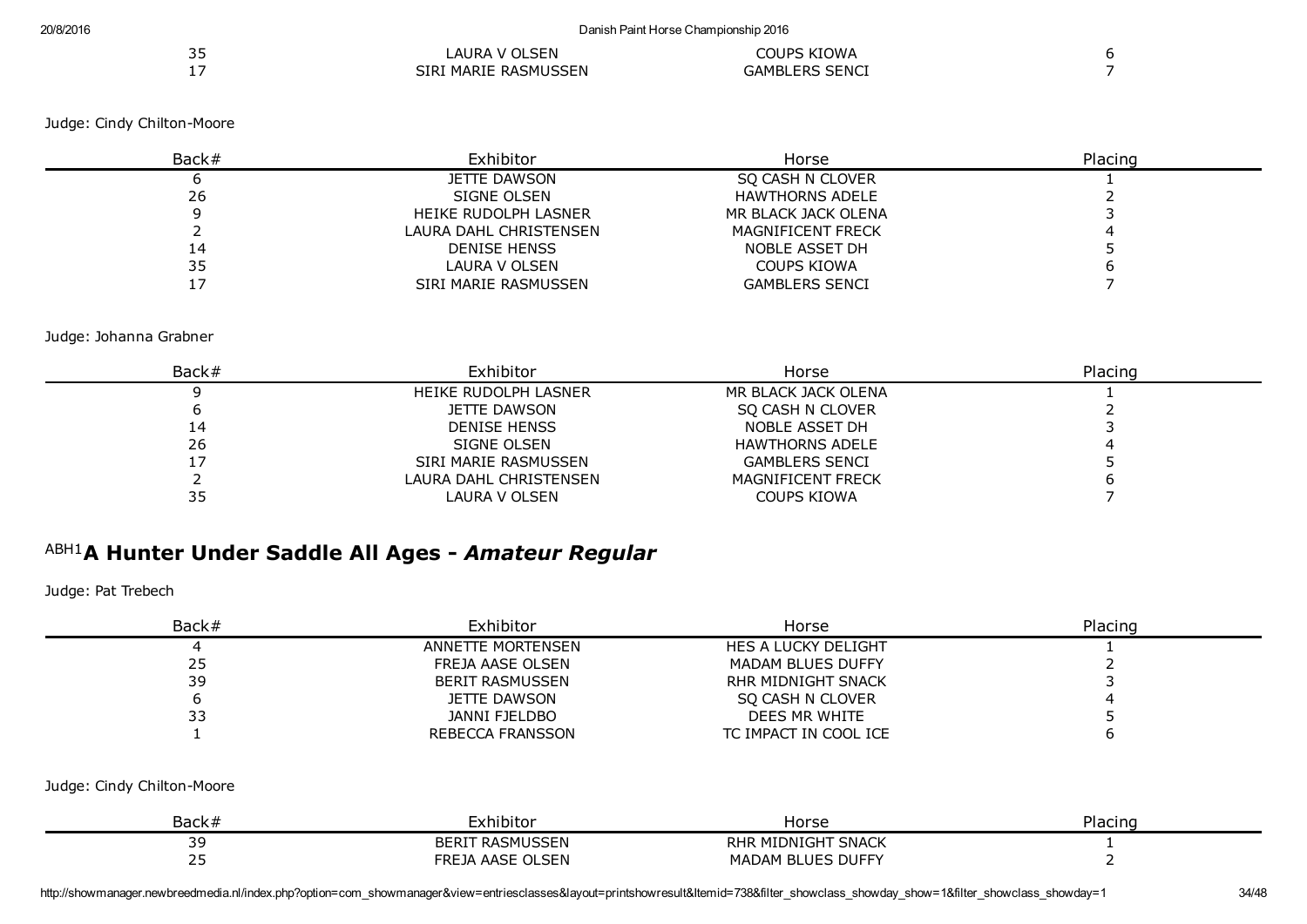| <u>__</u> | LAURA V OLSEN        | COUPS KIOWA           |  |
|-----------|----------------------|-----------------------|--|
| . —       | SIRI MARIE RASMUSSEN | <b>GAMBLERS SENCI</b> |  |

| Back# | Exhibitor              | Horse                    | Placing |  |
|-------|------------------------|--------------------------|---------|--|
|       | JETTE DAWSON           | SQ CASH N CLOVER         |         |  |
| 26    | SIGNE OLSEN            | <b>HAWTHORNS ADELE</b>   |         |  |
|       | HEIKE RUDOLPH LASNER   | MR BLACK JACK OLENA      |         |  |
|       | LAURA DAHL CHRISTENSEN | <b>MAGNIFICENT FRECK</b> |         |  |
| 14    | <b>DENISE HENSS</b>    | NOBLE ASSET DH           |         |  |
| 35    | LAURA V OLSEN          | COUPS KIOWA              |         |  |
|       | SIRI MARIE RASMUSSEN   | <b>GAMBLERS SENCI</b>    |         |  |

Judge: Johanna Grabner

| Back# | Exhibitor              | Horse                    | Placing |
|-------|------------------------|--------------------------|---------|
|       | HEIKE RUDOLPH LASNER   | MR BLACK JACK OLENA      |         |
|       | JETTE DAWSON           | SO CASH N CLOVER         |         |
| 14    | <b>DENISE HENSS</b>    | NOBLE ASSET DH           |         |
| 26    | SIGNE OLSEN            | <b>HAWTHORNS ADELE</b>   |         |
|       | SIRI MARIE RASMUSSEN   | <b>GAMBLERS SENCI</b>    |         |
|       | LAURA DAHL CHRISTENSEN | <b>MAGNIFICENT FRECK</b> |         |
| 35    | LAURA V OLSEN          | <b>COUPS KIOWA</b>       |         |

# ABH1 A Hunter Under Saddle All Ages *Amateur Regular*

Judge: Pat Trebech

| Back# | Exhibitor              | Horse                      | Placing |
|-------|------------------------|----------------------------|---------|
|       | ANNETTE MORTENSEN      | <b>HES A LUCKY DELIGHT</b> |         |
| 25    | FREJA AASE OLSEN       | <b>MADAM BLUES DUFFY</b>   |         |
| 39    | <b>BERIT RASMUSSEN</b> | RHR MIDNIGHT SNACK         |         |
|       | JETTE DAWSON           | SO CASH N CLOVER           |         |
|       | JANNI FJELDBO          | DEES MR WHITE              |         |
|       | REBECCA FRANSSON       | TC IMPACT IN COOL ICE      |         |

#### Judge: Cindy Chilton-Moore

| Back:               | -xhibitor                                                       | '∩rc≏<br>סכ וטו                                       | ≘ind<br>$-$<br>۱ач |
|---------------------|-----------------------------------------------------------------|-------------------------------------------------------|--------------------|
| $\sim$<br>--        | <b>RFR</b><br>שטע<br>r.                                         | <b>RHI</b><br>$\sim$<br>$\sim$<br>NHC<br>SNA(<br>יושר |                    |
| $\sim$ $\sim$<br>-- | FRE<br>$\sim$ $\sim$ $\sim$ $\sim$<br><b>AACF</b><br>ıΛ<br>∗⊢N⊾ | DUFFY<br>I IF (<br>וכ<br>--<br>"<br>v I L             |                    |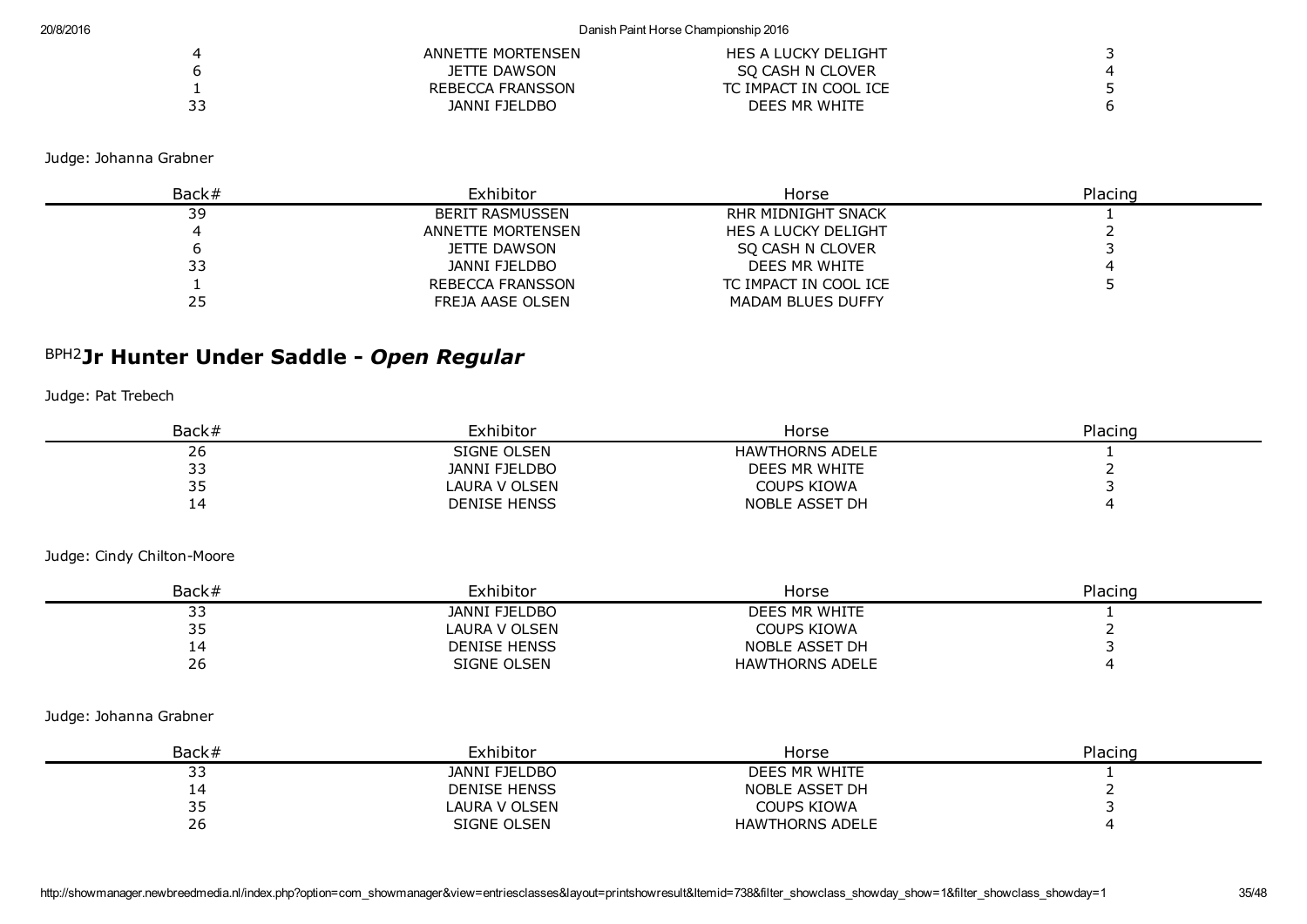|    | ANNETTE MORTENSEN | HES A LUCKY DELIGHT   |  |
|----|-------------------|-----------------------|--|
|    | JETTE DAWSON      | SO CASH N CLOVER      |  |
|    | REBECCA FRANSSON  | TC IMPACT IN COOL ICE |  |
| 33 | JANNI FJELDBO     | DEES MR WHITE         |  |

Judge: Johanna Grabner

| Back# | Exhibitor               | Horse                     | Placing |
|-------|-------------------------|---------------------------|---------|
| 39    | <b>BERIT RASMUSSEN</b>  | <b>RHR MIDNIGHT SNACK</b> |         |
|       | ANNETTE MORTENSEN       | HES A LUCKY DELIGHT       |         |
|       | JETTE DAWSON            | SO CASH N CLOVER          |         |
| 33    | JANNI FJELDBO           | DEES MR WHITE             |         |
|       | <b>REBECCA FRANSSON</b> | TC IMPACT IN COOL ICE     |         |
| 25    | FREJA AASE OLSEN        | MADAM BLUES DUFFY         |         |

# BPH2 Jr Hunter Under Saddle *Open Regular*

Judge: Pat Trebech

| Back#     | Exhibitor            | Horse                  | Placing |
|-----------|----------------------|------------------------|---------|
| ۷o        | SIGNE OLSEN          | <b>HAWTHORNS ADELE</b> |         |
| --        | <b>JANNI FJELDBO</b> | DEES MR WHITE          |         |
| <u>JJ</u> | LAURA V OLSEN        | COUPS KIOWA            |         |
|           | <b>DENISE HENSS</b>  | NOBLE ASSET DH         |         |

#### Judge: Cindy Chilton-Moore

| Back#            | Exhibitor           | Horse                  | Placing |
|------------------|---------------------|------------------------|---------|
| --<br><u>ے ر</u> | JANNI FJELDBO       | DEES MR WHITE          |         |
| . _              | LAURA V OLSEN       | <b>COUPS KIOWA</b>     |         |
| 14               | <b>DENISE HENSS</b> | NOBLE ASSET DH         |         |
| 26               | SIGNE OLSEN         | <b>HAWTHORNS ADELE</b> |         |

#### Judge: Johanna Grabner

| Back#     | Exhibitor           | Horse                  | Placing |
|-----------|---------------------|------------------------|---------|
| <u>JJ</u> | JANNI FJELDBO       | DEES MR WHITE          |         |
| . .       | <b>DENISE HENSS</b> | NOBLE ASSET DH         |         |
| <u>JJ</u> | LAURA V OLSEN       | COUPS KIOWA            |         |
| 26        | SIGNE OLSEN         | <b>HAWTHORNS ADELE</b> |         |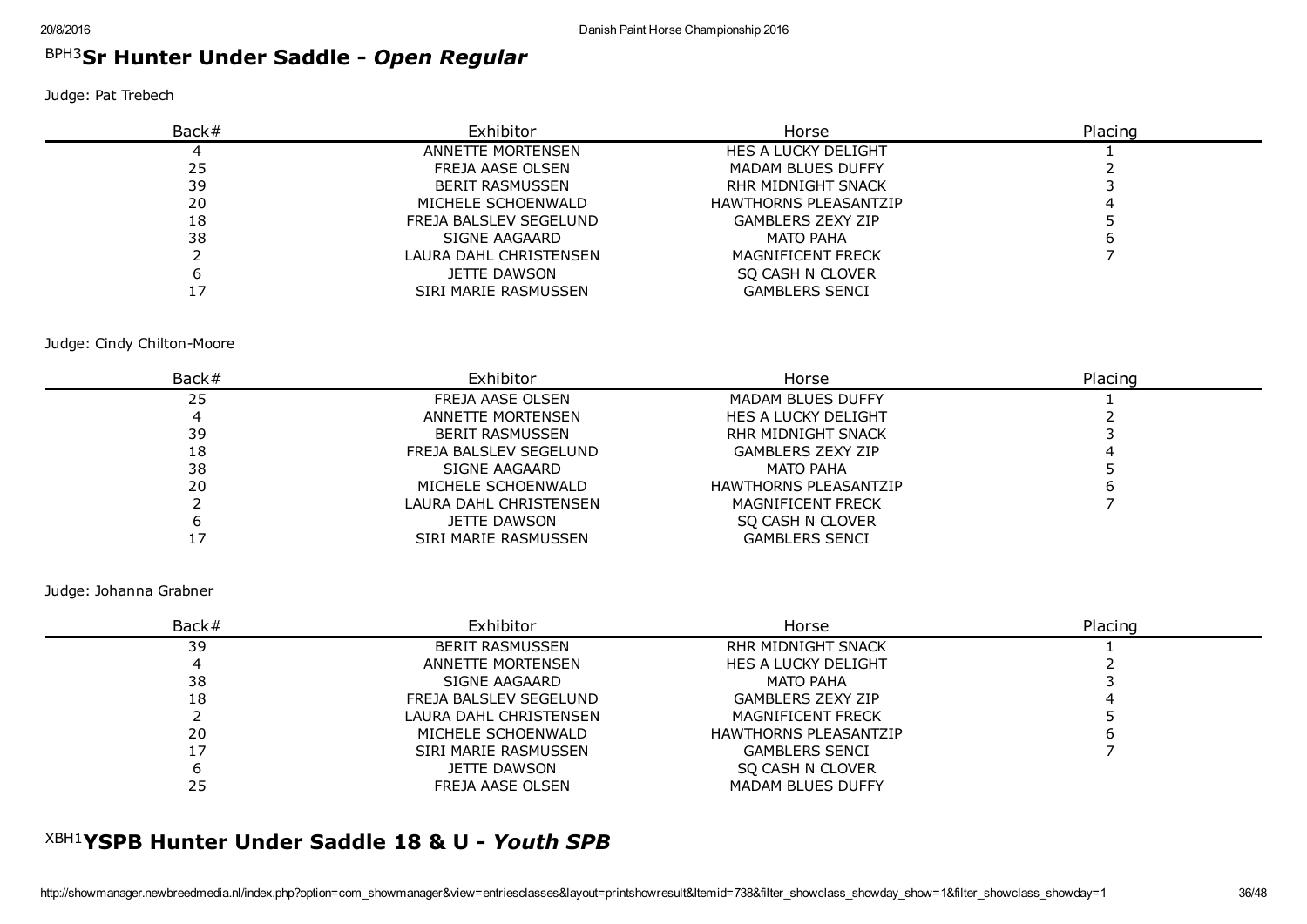# BPH3 Sr Hunter Under Saddle *Open Regular*

Judge: Pat Trebech

| Back# | Exhibitor              | Horse                        | Placing |
|-------|------------------------|------------------------------|---------|
|       | ANNETTE MORTENSEN      | HES A LUCKY DELIGHT          |         |
| 25    | FREJA AASE OLSEN       | <b>MADAM BLUES DUFFY</b>     |         |
| 39    | <b>BERIT RASMUSSEN</b> | RHR MIDNIGHT SNACK           |         |
| 20    | MICHELE SCHOENWALD     | <b>HAWTHORNS PLEASANTZIP</b> |         |
| 18    | FREJA BALSLEV SEGELUND | <b>GAMBLERS ZEXY ZIP</b>     |         |
| 38    | SIGNE AAGAARD          | <b>MATO PAHA</b>             |         |
|       | LAURA DAHL CHRISTENSEN | <b>MAGNIFICENT FRECK</b>     |         |
|       | JETTE DAWSON           | SO CASH N CLOVER             |         |
|       | SIRI MARIE RASMUSSEN   | <b>GAMBLERS SENCI</b>        |         |

Judge: Cindy Chilton-Moore

| Back# | Exhibitor              | Horse                        | Placing |
|-------|------------------------|------------------------------|---------|
| 25    | FREJA AASE OLSEN       | MADAM BLUES DUFFY            |         |
|       | ANNETTE MORTENSEN      | HES A LUCKY DELIGHT          |         |
| 39    | <b>BERIT RASMUSSEN</b> | RHR MIDNIGHT SNACK           |         |
| 18    | FREJA BALSLEV SEGELUND | <b>GAMBLERS ZEXY ZIP</b>     |         |
| 38    | SIGNE AAGAARD          | <b>MATO PAHA</b>             |         |
| 20    | MICHELE SCHOENWALD     | <b>HAWTHORNS PLEASANTZIP</b> |         |
|       | LAURA DAHL CHRISTENSEN | <b>MAGNIFICENT FRECK</b>     |         |
|       | JETTE DAWSON           | SO CASH N CLOVER             |         |
|       | SIRI MARIE RASMUSSEN   | <b>GAMBLERS SENCI</b>        |         |

Judge: Johanna Grabner

| Back# | Exhibitor              | Horse                        | Placing |
|-------|------------------------|------------------------------|---------|
| 39    | <b>BERIT RASMUSSEN</b> | RHR MIDNIGHT SNACK           |         |
|       | ANNETTE MORTENSEN      | <b>HES A LUCKY DELIGHT</b>   |         |
| 38    | SIGNE AAGAARD          | MATO PAHA                    |         |
| 18    | FREJA BALSLEV SEGELUND | <b>GAMBLERS ZEXY ZIP</b>     |         |
|       | LAURA DAHL CHRISTENSEN | <b>MAGNIFICENT FRECK</b>     |         |
| 20    | MICHELE SCHOENWALD     | <b>HAWTHORNS PLEASANTZIP</b> |         |
|       | SIRI MARIE RASMUSSEN   | <b>GAMBLERS SENCI</b>        |         |
|       | JETTE DAWSON           | SO CASH N CLOVER             |         |
| 25    | FREJA AASE OLSEN       | <b>MADAM BLUES DUFFY</b>     |         |

# XBH1 YSPB Hunter Under Saddle 18 & U *Youth SPB*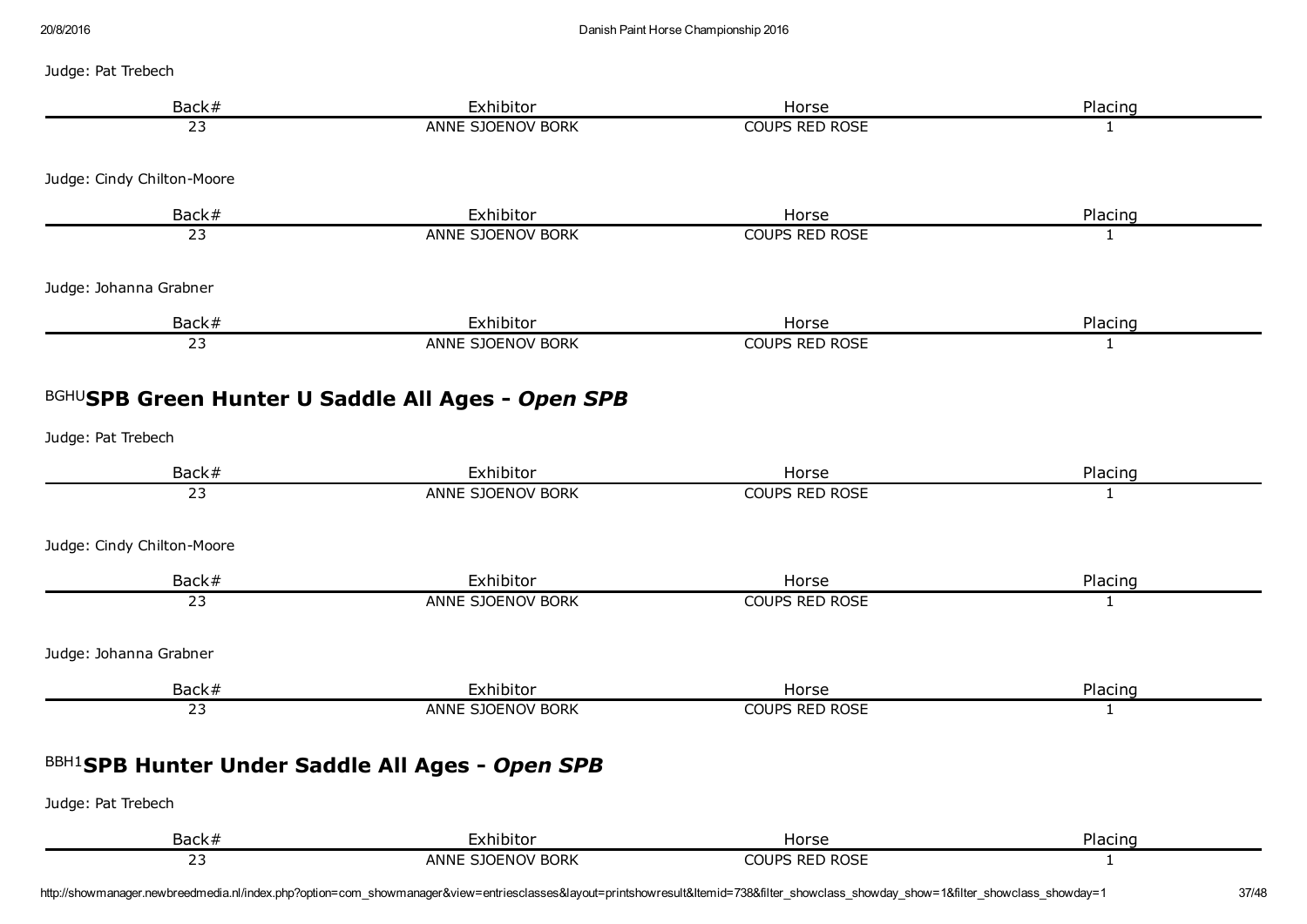#### Judge: Pat Trebech

| Back#                      | Exhibitor                                                | Horse                 | Placing      |
|----------------------------|----------------------------------------------------------|-----------------------|--------------|
| 23                         | ANNE SJOENOV BORK                                        | <b>COUPS RED ROSE</b> | $\mathbf{1}$ |
| Judge: Cindy Chilton-Moore |                                                          |                       |              |
| Back#                      | Exhibitor                                                | Horse                 | Placing      |
| $\overline{23}$            | ANNE SJOENOV BORK                                        | <b>COUPS RED ROSE</b> | 1            |
| Judge: Johanna Grabner     |                                                          |                       |              |
| Back#                      | Exhibitor                                                | Horse                 | Placing      |
| $\overline{23}$            | ANNE SJOENOV BORK                                        | <b>COUPS RED ROSE</b> | $\mathbf{1}$ |
|                            | <b>BGHUSPB Green Hunter U Saddle All Ages - Open SPB</b> |                       |              |
| Judge: Pat Trebech         |                                                          |                       |              |
| Back#                      | Exhibitor                                                | Horse                 | Placing      |
| $\overline{23}$            | ANNE SJOENOV BORK                                        | <b>COUPS RED ROSE</b> | $\mathbf{1}$ |
| Judge: Cindy Chilton-Moore |                                                          |                       |              |
| Back#                      | Exhibitor                                                | Horse                 | Placing      |
| $\overline{23}$            | ANNE SJOENOV BORK                                        | <b>COUPS RED ROSE</b> | $\mathbf{1}$ |
| Judge: Johanna Grabner     |                                                          |                       |              |
| Back#                      | Exhibitor                                                | Horse                 | Placing      |
| $\overline{23}$            | ANNE SJOENOV BORK                                        | <b>COUPS RED ROSE</b> | $\mathbf{1}$ |
|                            | <b>BBH1SPB Hunter Under Saddle All Ages - Open SPB</b>   |                       |              |
| Judge: Pat Trebech         |                                                          |                       |              |
| Back#                      | Exhibitor                                                | Horse                 | Placing      |
| $\overline{23}$            | ANNE SJOENOV BORK                                        | <b>COUPS RED ROSE</b> | 1            |

http://showmanager.newbreedmedia.nl/index.php?option=com\_showmanager&view=entriesclasses&layout=printshowresult&Itemid=738&filter\_showclass\_showday\_show=1&filter\_showclass\_showday=1 37/48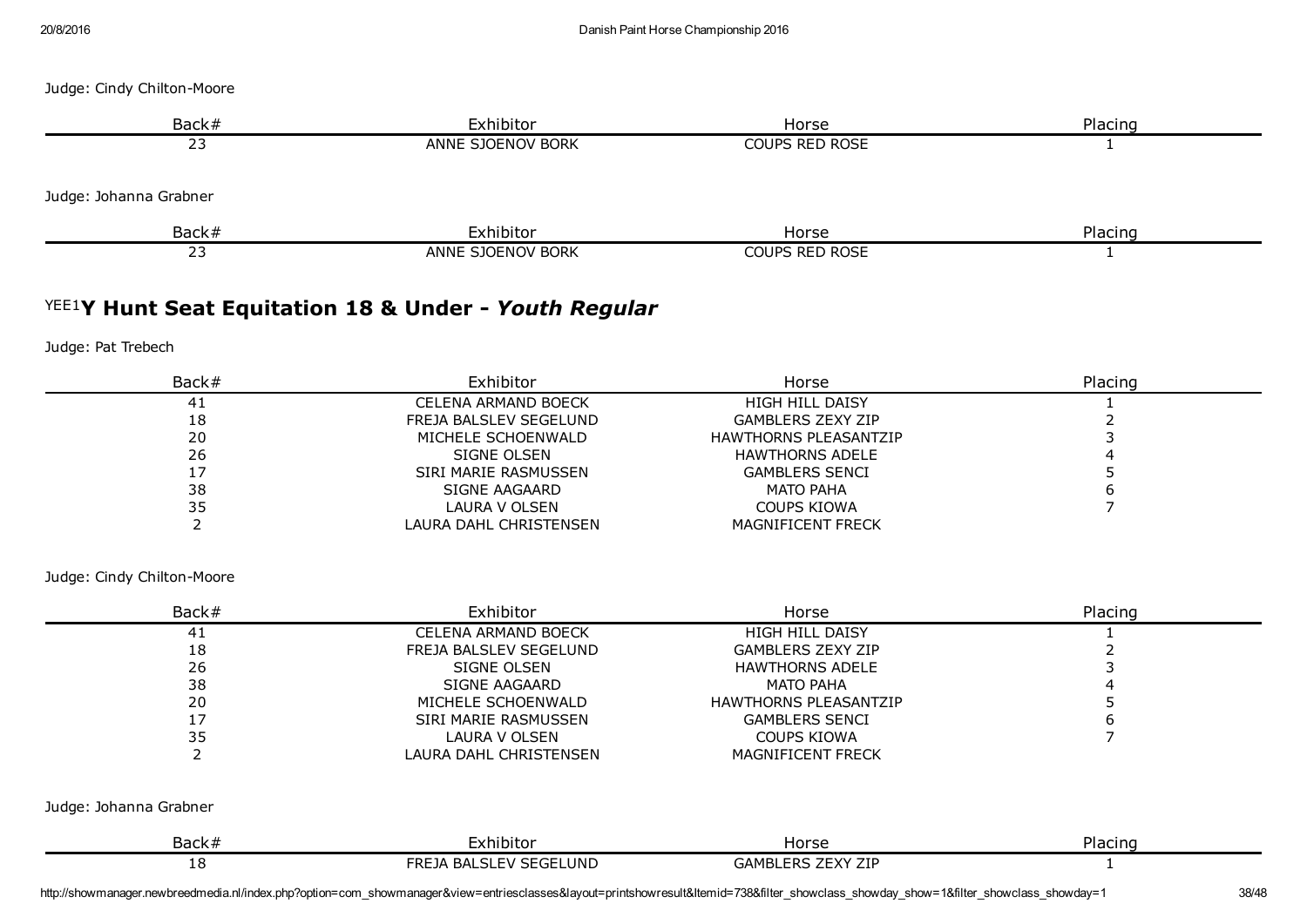| Back#                  | Exhibitor         | Horse          | Placing |
|------------------------|-------------------|----------------|---------|
| 23                     | ANNE SJOENOV BORK | COUPS RED ROSE |         |
| Judge: Johanna Grabner |                   |                |         |
| Back#                  | Exhibitor         | Horse          | Placing |
| 23                     | ANNE SJOENOV BORK | COUPS RED ROSE |         |

# YEE1 Y Hunt Seat Equitation 18 & Under *Youth Regular*

Judge: Pat Trebech

| Back# | Exhibitor              | Horse                        | Placing |
|-------|------------------------|------------------------------|---------|
| 41    | CELENA ARMAND BOECK    | <b>HIGH HILL DAISY</b>       |         |
| 18    | FREJA BALSLEV SEGELUND | <b>GAMBLERS ZEXY ZIP</b>     |         |
| 20    | MICHELE SCHOENWALD     | <b>HAWTHORNS PLEASANTZIP</b> |         |
| 26    | SIGNE OLSEN            | <b>HAWTHORNS ADELE</b>       |         |
|       | SIRI MARIE RASMUSSEN   | <b>GAMBLERS SENCI</b>        |         |
| 38    | <b>SIGNE AAGAARD</b>   | MATO PAHA                    |         |
| 35    | LAURA V OLSEN          | COUPS KIOWA                  |         |
|       | LAURA DAHL CHRISTENSEN | <b>MAGNIFICENT FRECK</b>     |         |

Judge: Cindy Chilton-Moore

| Back#                  | Exhibitor                  | Horse                        | Placing |  |
|------------------------|----------------------------|------------------------------|---------|--|
| 41                     | <b>CELENA ARMAND BOECK</b> | <b>HIGH HILL DAISY</b>       |         |  |
| 18                     | FREJA BALSLEV SEGELUND     | <b>GAMBLERS ZEXY ZIP</b>     |         |  |
| 26                     | SIGNE OLSEN                | <b>HAWTHORNS ADELE</b>       |         |  |
| 38                     | SIGNE AAGAARD              | MATO PAHA                    |         |  |
| 20                     | MICHELE SCHOENWALD         | <b>HAWTHORNS PLEASANTZIP</b> |         |  |
| 17                     | SIRI MARIE RASMUSSEN       | <b>GAMBLERS SENCI</b>        |         |  |
| 35                     | LAURA V OLSEN              | COUPS KIOWA                  |         |  |
|                        | LAURA DAHL CHRISTENSEN     | <b>MAGNIFICENT FRECK</b>     |         |  |
| Judge: Johanna Grabner |                            |                              |         |  |
| Back#                  | Exhibitor                  | Horse                        | Placing |  |
| 18                     | FREJA BALSLEV SEGELUND     | <b>GAMBLERS ZEXY ZIP</b>     |         |  |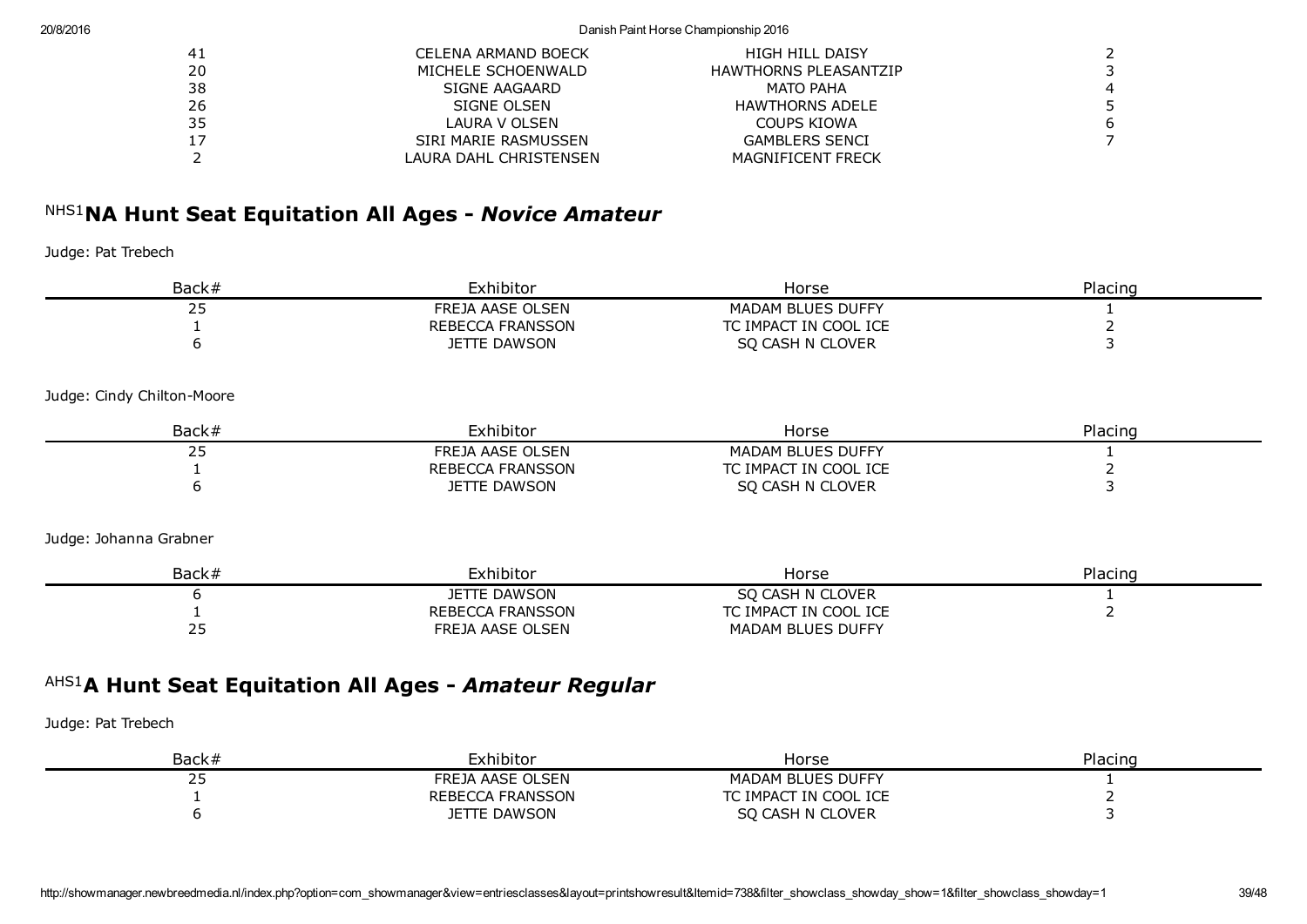#### 20/8/2016 Danish Paint Horse Championship 2016

| 41 | CELENA ARMAND BOECK    | HIGH HILL DAISY              |                |
|----|------------------------|------------------------------|----------------|
| 20 | MICHELE SCHOENWALD     | <b>HAWTHORNS PLEASANTZIP</b> |                |
| 38 | SIGNE AAGAARD          | MATO PAHA                    | $\overline{4}$ |
| 26 | SIGNE OLSEN            | <b>HAWTHORNS ADELE</b>       |                |
| 35 | LAURA V OLSEN          | COUPS KIOWA                  | 6              |
| 17 | SIRI MARIE RASMUSSEN   | <b>GAMBLERS SENCI</b>        |                |
|    | LAURA DAHL CHRISTENSEN | <b>MAGNIFICENT FRECK</b>     |                |

# NHS1 NA Hunt Seat Equitation All Ages *Novice Amateur*

#### Judge: Pat Trebech

| Back# | xhibitor                      | Horse                 | Placing |
|-------|-------------------------------|-----------------------|---------|
| ر ے   | FREJA AASE OLSEN              | MADAM BLUES DUFFY     |         |
|       | ECCA FRANSSON<br><b>RFBFC</b> | TC IMPACT IN COOL ICE |         |
|       | <b>JETTE DAWSON</b>           | SQ CASH N CLOVER      |         |

#### Judge: Cindy Chilton-Moore

| Back#      | <u>-</u> xhibitor | Horse                    | Placing |
|------------|-------------------|--------------------------|---------|
| <u>_ _</u> | FREJA AASE OLSEN  | <b>MADAM BLUES DUFFY</b> |         |
|            | REBECCA FRANSSON  | TC IMPACT IN COOL ICE    |         |
|            | TTE DAWSON        | SO CASH N CLOVER         |         |

#### Judge: Johanna Grabner

| Back#      | Exhibitor        | Horse                    | Placing |
|------------|------------------|--------------------------|---------|
|            | JETTE DAWSON     | SO CASH N CLOVER         |         |
|            | REBECCA FRANSSON | TC IMPACT IN COOL ICE    |         |
| <u>_ _</u> | FREJA AASE OLSEN | <b>MADAM BLUES DUFFY</b> |         |

# AHS1 A Hunt Seat Equitation All Ages *Amateur Regular*

| Back# | Exhibitor           | Horse                 | Placing |
|-------|---------------------|-----------------------|---------|
|       | FREJA AASE OLSEN    | MADAM BLUES DUFFY     |         |
|       | REBECCA FRANSSON    | TC IMPACT IN COOL ICE |         |
|       | <b>JETTE DAWSON</b> | SO CASH N CLOVER      |         |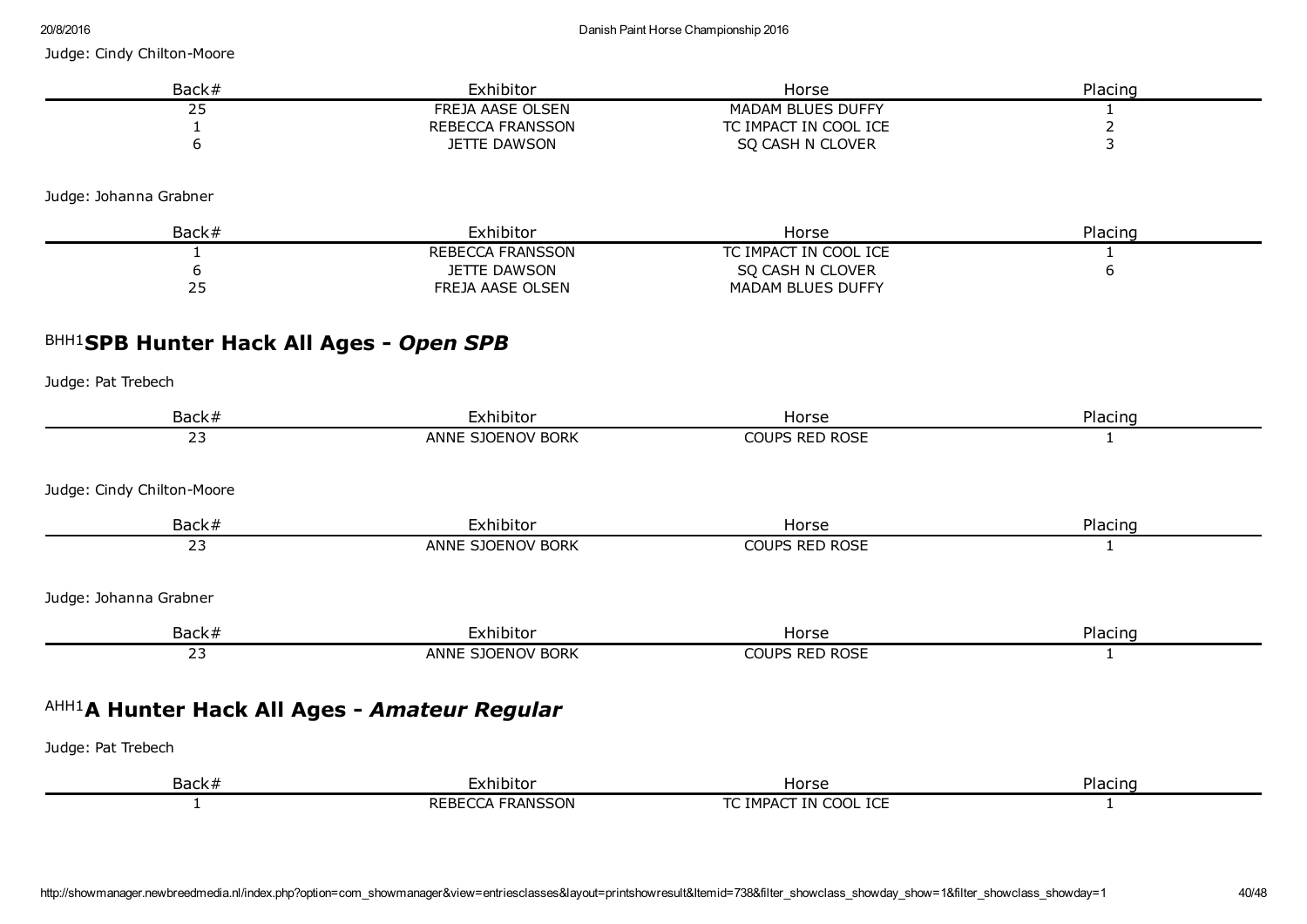| Back# | Exhibitor           | Horse                 | Placing |
|-------|---------------------|-----------------------|---------|
|       | FREJA AASE OLSEN    | MADAM BLUES DUFFY     |         |
|       | REBECCA FRANSSON    | TC IMPACT IN COOL ICE |         |
|       | <b>JETTE DAWSON</b> | SO CASH N CLOVER      |         |

Judge: Johanna Grabner

| Back# | Exhibitor               | Horse                    | Placing |
|-------|-------------------------|--------------------------|---------|
|       | <b>REBECCA FRANSSON</b> | TC IMPACT IN COOL ICE    |         |
|       | JETTE DAWSON            | SO CASH N CLOVER         |         |
| ر ے   | FREJA AASE OLSEN        | <b>MADAM BLUES DUFFY</b> |         |

# BHH1 SPB Hunter Hack All Ages *Open SPB*

| Back#                                        | Exhibitor         | Horse                 | Placing |
|----------------------------------------------|-------------------|-----------------------|---------|
| 23                                           | ANNE SJOENOV BORK | COUPS RED ROSE        |         |
| Judge: Cindy Chilton-Moore                   |                   |                       |         |
| Back#                                        | Exhibitor         | Horse                 | Placing |
| 23                                           | ANNE SJOENOV BORK | <b>COUPS RED ROSE</b> |         |
| Judge: Johanna Grabner                       |                   |                       |         |
| Back#                                        | Exhibitor         | Horse                 | Placing |
| 23                                           | ANNE SJOENOV BORK | COUPS RED ROSE        |         |
| AHH1A Hunter Hack All Ages - Amateur Regular |                   |                       |         |
| Judge: Pat Trebech                           |                   |                       |         |
| Back#                                        | Exhibitor         | Horse                 | Placing |
|                                              | REBECCA FRANSSON  | TC IMPACT IN COOL ICE |         |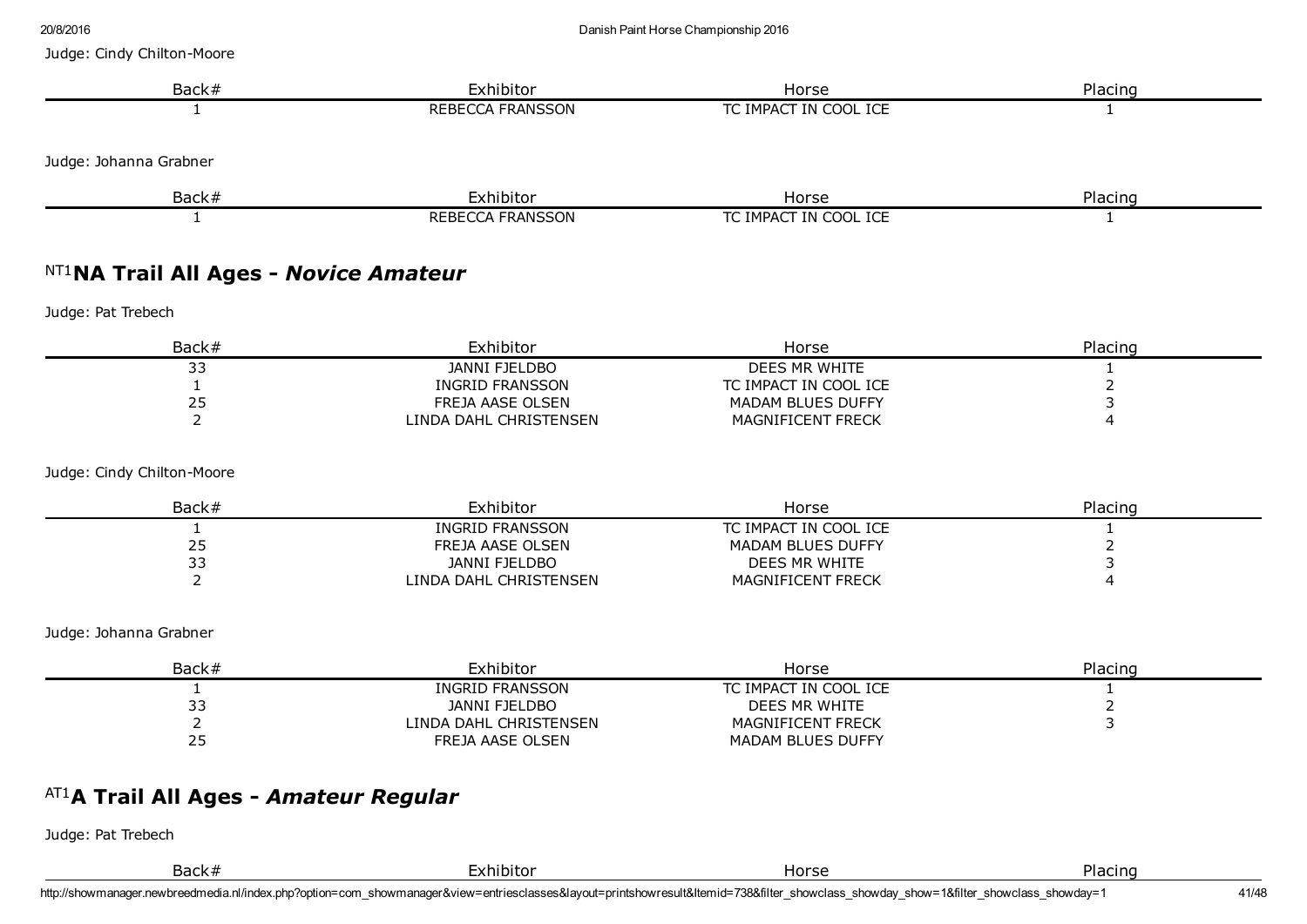| Exhibitor                                      | Horse                                                                                                                                                                  | Placing                                                                                                            |
|------------------------------------------------|------------------------------------------------------------------------------------------------------------------------------------------------------------------------|--------------------------------------------------------------------------------------------------------------------|
| <b>REBECCA FRANSSON</b>                        | TC IMPACT IN COOL ICE                                                                                                                                                  | 1                                                                                                                  |
|                                                |                                                                                                                                                                        |                                                                                                                    |
|                                                |                                                                                                                                                                        | Placing                                                                                                            |
| <b>REBECCA FRANSSON</b>                        | TC IMPACT IN COOL ICE                                                                                                                                                  | $\mathbf{1}$                                                                                                       |
|                                                |                                                                                                                                                                        |                                                                                                                    |
|                                                |                                                                                                                                                                        |                                                                                                                    |
| Exhibitor                                      | Horse                                                                                                                                                                  | Placing                                                                                                            |
| <b>JANNI FJELDBO</b>                           | DEES MR WHITE                                                                                                                                                          | 1                                                                                                                  |
|                                                |                                                                                                                                                                        | $\overline{2}$<br>3                                                                                                |
| LINDA DAHL CHRISTENSEN                         | MAGNIFICENT FRECK                                                                                                                                                      | 4                                                                                                                  |
|                                                |                                                                                                                                                                        |                                                                                                                    |
| Exhibitor                                      | Horse                                                                                                                                                                  | Placing                                                                                                            |
|                                                |                                                                                                                                                                        | 1                                                                                                                  |
|                                                |                                                                                                                                                                        | $\overline{2}$<br>3                                                                                                |
| LINDA DAHL CHRISTENSEN                         | MAGNIFICENT FRECK                                                                                                                                                      | 4                                                                                                                  |
|                                                |                                                                                                                                                                        |                                                                                                                    |
| Exhibitor                                      | Horse                                                                                                                                                                  | Placing                                                                                                            |
| <b>INGRID FRANSSON</b>                         | TC IMPACT IN COOL ICE                                                                                                                                                  | 1                                                                                                                  |
|                                                |                                                                                                                                                                        |                                                                                                                    |
| <b>JANNI FJELDBO</b><br>LINDA DAHL CHRISTENSEN | DEES MR WHITE<br>MAGNIFICENT FRECK                                                                                                                                     | $\overline{2}$<br>3                                                                                                |
|                                                | Exhibitor<br>NT1NA Trail All Ages - Novice Amateur<br><b>INGRID FRANSSON</b><br>FREJA AASE OLSEN<br><b>INGRID FRANSSON</b><br>FREJA AASE OLSEN<br><b>JANNI FJELDBO</b> | Horse<br>TC IMPACT IN COOL ICE<br>MADAM BLUES DUFFY<br>TC IMPACT IN COOL ICE<br>MADAM BLUES DUFFY<br>DEES MR WHITE |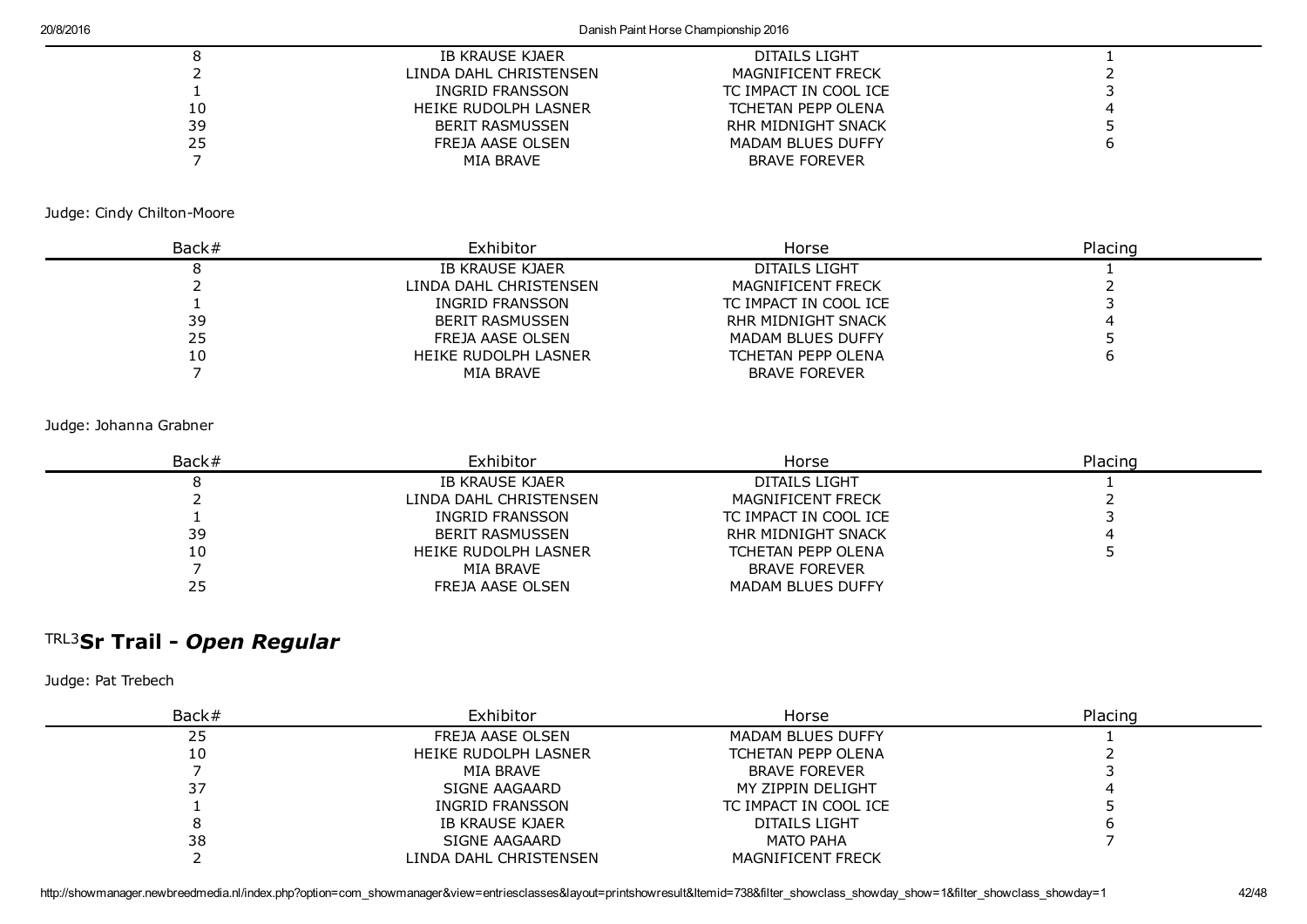#### 20/8/2016 Danish Paint Horse Championship 2016

|    | IB KRAUSE KJAER        | DITAILS LIGHT             |  |
|----|------------------------|---------------------------|--|
|    | LINDA DAHL CHRISTENSEN | MAGNIFICENT FRECK         |  |
|    | INGRID FRANSSON        | TC IMPACT IN COOL ICE     |  |
| 10 | HEIKE RUDOLPH LASNER   | <b>TCHETAN PEPP OLENA</b> |  |
| 39 | <b>BERIT RASMUSSEN</b> | RHR MIDNIGHT SNACK        |  |
| 25 | FREJA AASE OLSEN       | <b>MADAM BLUES DUFFY</b>  |  |
|    | MIA BRAVE              | <b>BRAVE FOREVER</b>      |  |
|    |                        |                           |  |

Judge: Cindy Chilton-Moore

| Back# | Exhibitor              | Horse                     | Placing |
|-------|------------------------|---------------------------|---------|
|       | IB KRAUSE KJAER        | DITAILS LIGHT             |         |
|       | LINDA DAHL CHRISTENSEN | <b>MAGNIFICENT FRECK</b>  |         |
|       | INGRID FRANSSON        | TC IMPACT IN COOL ICE     |         |
| 39    | BERIT RASMUSSEN        | <b>RHR MIDNIGHT SNACK</b> |         |
| 25    | FREJA AASE OLSEN       | <b>MADAM BLUES DUFFY</b>  |         |
| 10    | HEIKE RUDOLPH LASNER   | <b>TCHETAN PEPP OLENA</b> |         |
|       | MIA BRAVE              | <b>BRAVE FOREVER</b>      |         |

#### Judge: Johanna Grabner

| Back# | Exhibitor              | Horse                    | Placing |
|-------|------------------------|--------------------------|---------|
|       | IB KRAUSE KJAER        | DITAILS LIGHT            |         |
|       | LINDA DAHL CHRISTENSEN | MAGNIFICENT FRECK        |         |
|       | INGRID FRANSSON        | TC IMPACT IN COOL ICE    |         |
| 39    | BERIT RASMUSSEN        | RHR MIDNIGHT SNACK       |         |
| 10    | HEIKE RUDOLPH LASNER   | TCHETAN PEPP OLENA       |         |
|       | MIA BRAVE              | <b>BRAVE FOREVER</b>     |         |
| 25    | FREJA AASE OLSEN       | <b>MADAM BLUES DUFFY</b> |         |

# TRL3 Sr Trail *Open Regular*

| Back# | Exhibitor              | Horse                     | Placing |
|-------|------------------------|---------------------------|---------|
| 25    | FREJA AASE OLSEN       | <b>MADAM BLUES DUFFY</b>  |         |
| 10    | HEIKE RUDOLPH LASNER   | <b>TCHETAN PEPP OLENA</b> |         |
|       | MIA BRAVE              | <b>BRAVE FOREVER</b>      |         |
| 37    | SIGNE AAGAARD          | MY ZIPPIN DELIGHT         |         |
|       | INGRID FRANSSON        | TC IMPACT IN COOL ICE     |         |
|       | IB KRAUSE KJAER        | DITAILS LIGHT             |         |
| 38    | SIGNE AAGAARD          | MATO PAHA                 |         |
|       | LINDA DAHL CHRISTENSEN | <b>MAGNIFICENT FRECK</b>  |         |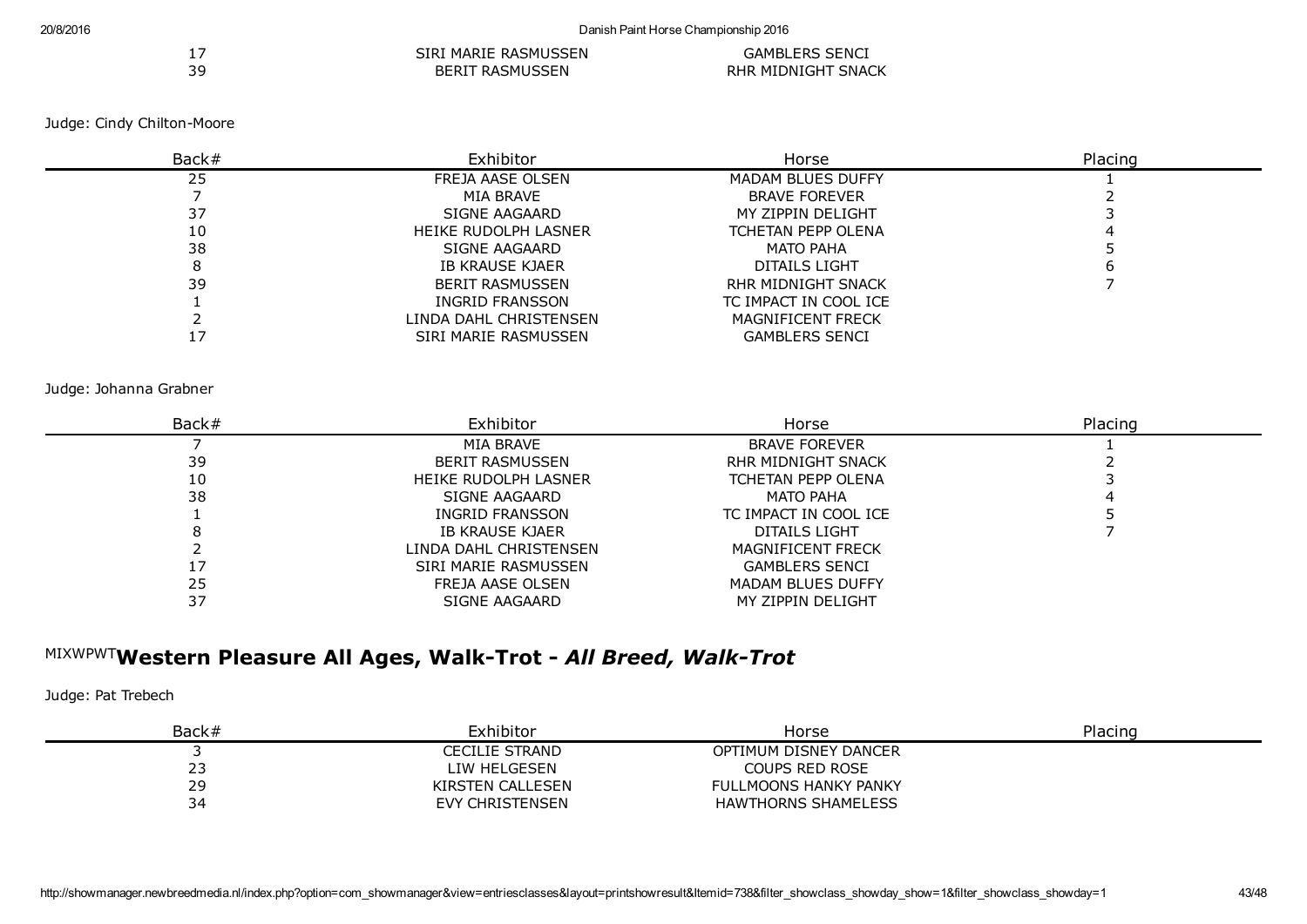|    | SIRI MARIE RASMUSSEN   | <b>GAMBLERS SENCI</b>     |  |
|----|------------------------|---------------------------|--|
| 39 | <b>BERIT RASMUSSEN</b> | <b>RHR MIDNIGHT SNACK</b> |  |

| Back# | Exhibitor              | Horse                     | Placing |
|-------|------------------------|---------------------------|---------|
| 25    | FREJA AASE OLSEN       | <b>MADAM BLUES DUFFY</b>  |         |
|       | MIA BRAVE              | <b>BRAVE FOREVER</b>      |         |
| 37    | SIGNE AAGAARD          | MY ZIPPIN DELIGHT         |         |
| 10    | HEIKE RUDOLPH LASNER   | <b>TCHETAN PEPP OLENA</b> |         |
| 38    | SIGNE AAGAARD          | <b>MATO PAHA</b>          |         |
|       | IB KRAUSE KJAER        | DITAILS LIGHT             |         |
| 39    | <b>BERIT RASMUSSEN</b> | RHR MIDNIGHT SNACK        |         |
|       | INGRID FRANSSON        | TC IMPACT IN COOL ICE     |         |
|       | LINDA DAHL CHRISTENSEN | <b>MAGNIFICENT FRECK</b>  |         |
|       | SIRI MARIE RASMUSSEN   | <b>GAMBLERS SENCI</b>     |         |

#### Judge: Johanna Grabner

| Back# | Exhibitor              | Horse                     | Placing |
|-------|------------------------|---------------------------|---------|
|       | MIA BRAVE              | <b>BRAVE FOREVER</b>      |         |
| 39    | <b>BERIT RASMUSSEN</b> | RHR MIDNIGHT SNACK        |         |
| 10    | HEIKE RUDOLPH LASNER   | <b>TCHETAN PEPP OLENA</b> |         |
| 38    | SIGNE AAGAARD          | MATO PAHA                 |         |
|       | INGRID FRANSSON        | TC IMPACT IN COOL ICE     |         |
|       | IB KRAUSE KJAER        | DITAILS LIGHT             |         |
|       | LINDA DAHL CHRISTENSEN | <b>MAGNIFICENT FRECK</b>  |         |
|       | SIRI MARIE RASMUSSEN   | <b>GAMBLERS SENCI</b>     |         |
| 25    | FREJA AASE OLSEN       | <b>MADAM BLUES DUFFY</b>  |         |
| 37    | SIGNE AAGAARD          | MY ZIPPIN DELIGHT         |         |

## <sup>MIXWPWT</sup>Western Pleasure All Ages, Walk-Trot - *All Breed, Walk-Trot*

| Back# | Exhibitor        | Horse                      | Placing |
|-------|------------------|----------------------------|---------|
|       | CECILIE STRAND   | OPTIMUM DISNEY DANCER      |         |
| ້     | LIW HELGESEN     | <b>COUPS RED ROSE</b>      |         |
| 29    | KIRSTEN CALLESEN | FULLMOONS HANKY PANKY      |         |
| 34    | EVY CHRISTENSEN  | <b>HAWTHORNS SHAMELESS</b> |         |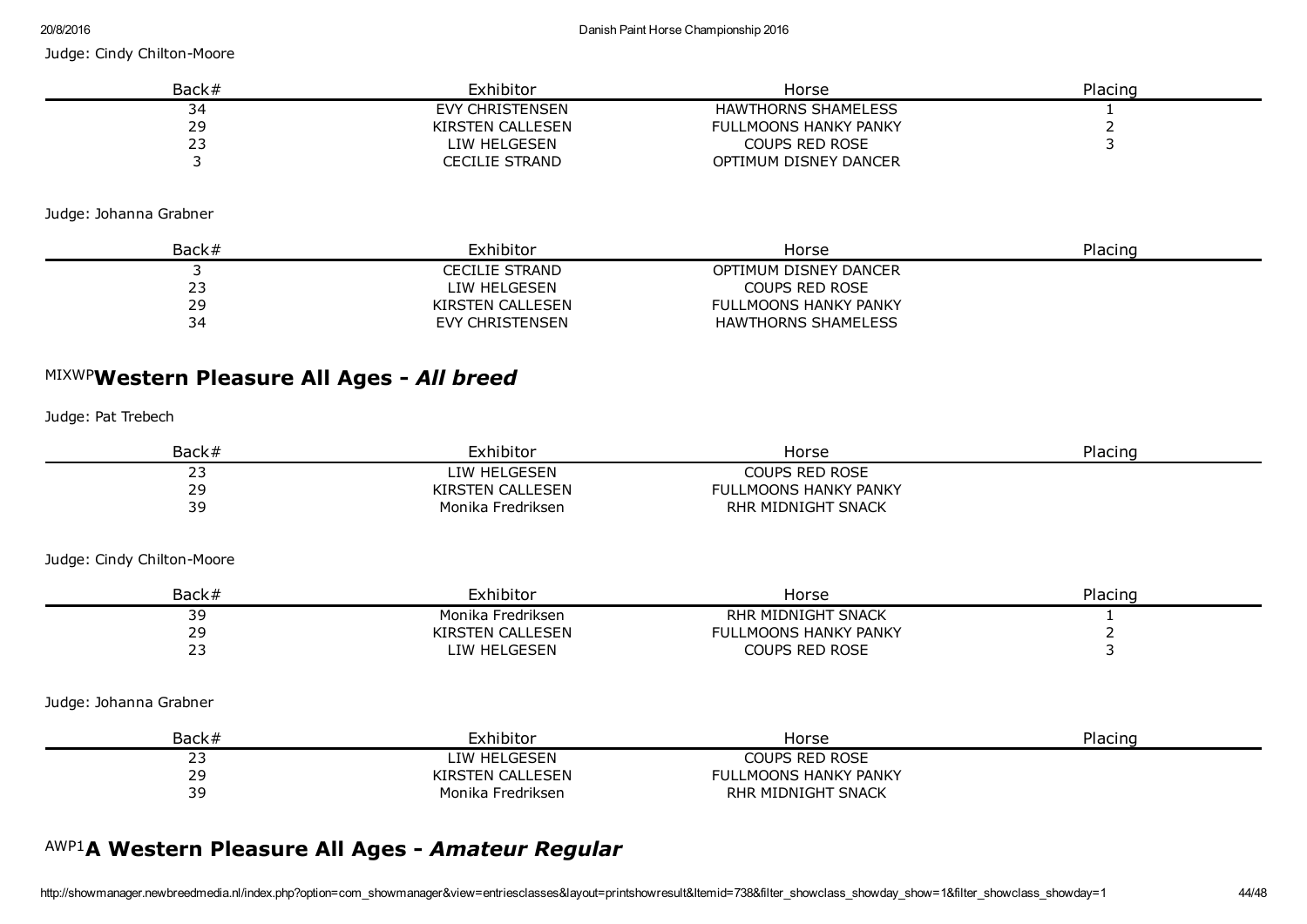| Back# | Exhibitor        | Horse                        | Placing |
|-------|------------------|------------------------------|---------|
| 34    | EVY CHRISTENSEN  | <b>HAWTHORNS SHAMELESS</b>   |         |
| 29    | KIRSTEN CALLESEN | <b>FULLMOONS HANKY PANKY</b> |         |
|       | LIW HELGESEN     | <b>COUPS RED ROSE</b>        |         |
|       | CECILIE STRAND   | OPTIMUM DISNEY DANCER        |         |

Judge: Johanna Grabner

| Back# | Exhibitor              | Horse                        | Placing |
|-------|------------------------|------------------------------|---------|
|       | CECILIE STRAND         | OPTIMUM DISNEY DANCER        |         |
| ر ے   | LIW HELGESEN           | <b>COUPS RED ROSE</b>        |         |
| 29    | KIRSTEN CALLESEN       | <b>FULLMOONS HANKY PANKY</b> |         |
| 34    | <b>EVY CHRISTENSEN</b> | <b>HAWTHORNS SHAMELESS</b>   |         |

# MIXWP Western Pleasure All Ages *All breed*

Judge: Pat Trebech

| Back# | Exhibitor         | Horse                        | Placing |
|-------|-------------------|------------------------------|---------|
|       | LIW HELGESEN      | <b>COUPS RED ROSE</b>        |         |
| 29    | KIRSTEN CALLESEN  | <b>FULLMOONS HANKY PANKY</b> |         |
| 39    | Monika Fredriksen | RHR MIDNIGHT SNACK           |         |

Judge: Cindy Chilton-Moore

| Back#      | Exhibitor                        | Horse                              | Placing |
|------------|----------------------------------|------------------------------------|---------|
| -<br>- -   | Monika Fredriksen                | MIDNIGHT SNACK<br><b>RHR</b>       |         |
| n c<br>. . | CALL FSEN<br><b>YIRS</b><br>า⊏NI | <b>LLMOONS HANKY PANKY</b><br>FUL. |         |
| - -<br>--  | <b>GESEN</b><br>TW HFI           | JUPS RED ROSE                      |         |

Judge: Johanna Grabner

| Back#            | Exhibitor         | Horse                        | Placing |
|------------------|-------------------|------------------------------|---------|
| . .              | LIW HELGESEN      | <b>COUPS RED ROSE</b>        |         |
| つロ<br><u>. .</u> | KIRSTEN CALLESEN  | <b>FULLMOONS HANKY PANKY</b> |         |
| 39               | Monika Fredriksen | RHR MIDNIGHT SNACK           |         |

# AWP1 A Western Pleasure All Ages *Amateur Regular*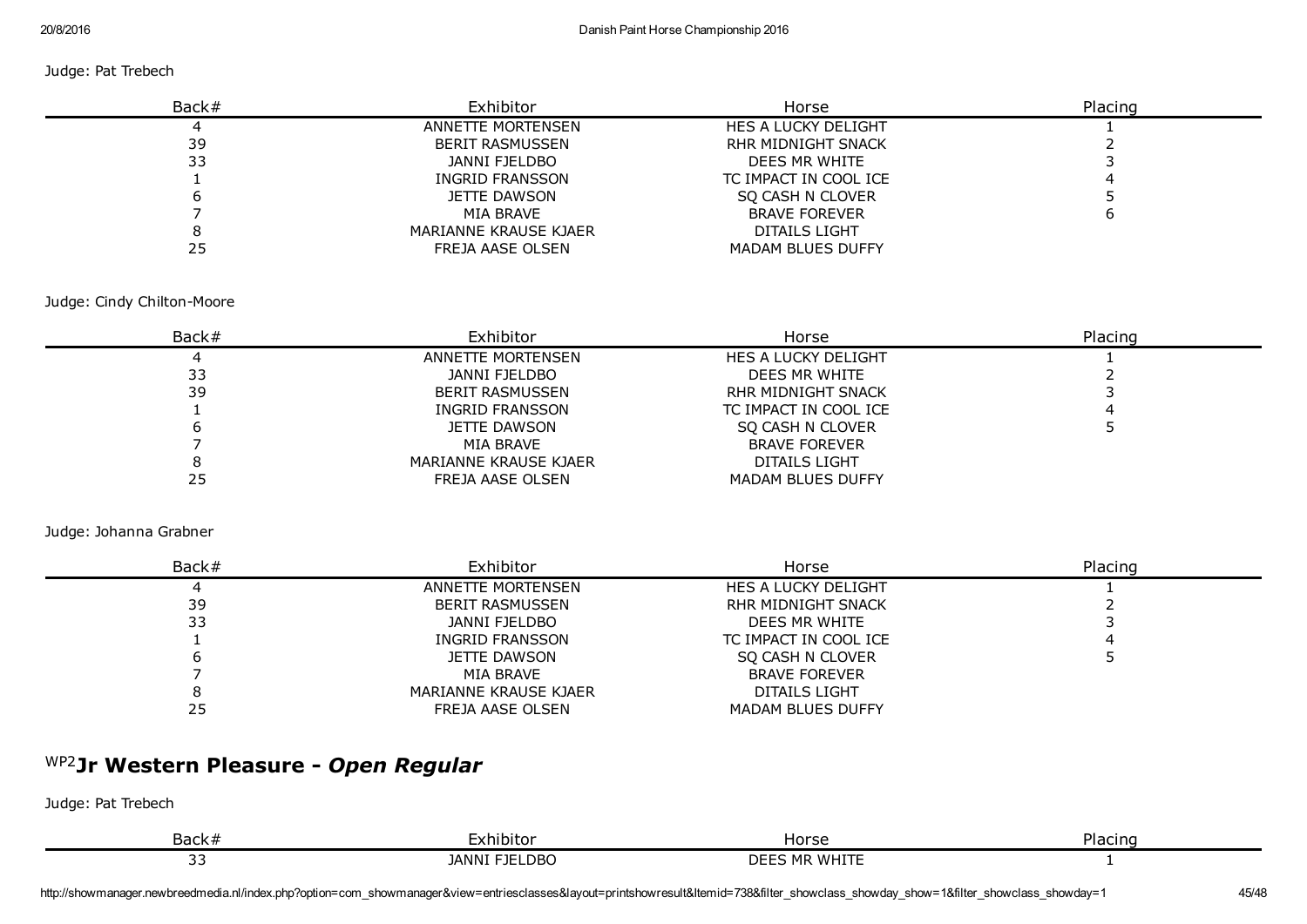#### Judge: Pat Trebech

| Back# | Exhibitor              | Horse                     | Placing |
|-------|------------------------|---------------------------|---------|
|       | ANNETTE MORTENSEN      | HES A LUCKY DELIGHT       |         |
| 39    | <b>BERIT RASMUSSEN</b> | <b>RHR MIDNIGHT SNACK</b> |         |
| 33    | JANNI FJELDBO          | DEES MR WHITE             |         |
|       | INGRID FRANSSON        | TC IMPACT IN COOL ICE     |         |
|       | JETTE DAWSON           | SO CASH N CLOVER          |         |
|       | MIA BRAVE              | <b>BRAVE FOREVER</b>      |         |
|       | MARIANNE KRAUSE KJAER  | DITAILS LIGHT             |         |
| 25    | FREJA AASE OLSEN       | MADAM BLUES DUFFY         |         |

#### Judge: Cindy Chilton-Moore

| Back# | Exhibitor              | Horse                    | Placing |
|-------|------------------------|--------------------------|---------|
|       | ANNETTE MORTENSEN      | HES A LUCKY DELIGHT      |         |
| 33    | JANNI FJELDBO          | DEES MR WHITE            |         |
| 39    | <b>BERIT RASMUSSEN</b> | RHR MIDNIGHT SNACK       |         |
|       | INGRID FRANSSON        | TC IMPACT IN COOL ICE    |         |
|       | JETTE DAWSON           | SO CASH N CLOVER         |         |
|       | MIA BRAVE              | <b>BRAVE FOREVER</b>     |         |
|       | MARIANNE KRAUSE KJAER  | DITAILS LIGHT            |         |
| 25    | FREJA AASE OLSEN       | <b>MADAM BLUES DUFFY</b> |         |

#### Judge: Johanna Grabner

| Back# | Exhibitor             | Horse                      | Placing |
|-------|-----------------------|----------------------------|---------|
|       | ANNETTE MORTENSEN     | <b>HES A LUCKY DELIGHT</b> |         |
| 39    | BERIT RASMUSSEN       | <b>RHR MIDNIGHT SNACK</b>  |         |
| 33    | JANNI FJELDBO         | DEES MR WHITE              |         |
|       | INGRID FRANSSON       | TC IMPACT IN COOL ICE      |         |
|       | JETTE DAWSON          | SO CASH N CLOVER           |         |
|       | MIA BRAVE             | <b>BRAVE FOREVER</b>       |         |
|       | MARIANNE KRAUSE KJAER | DITAILS LIGHT              |         |
| 25    | FREJA AASE OLSEN      | MADAM BLUES DUFFY          |         |

## WP2 Jr Western Pleasure *Open Regular*

| Back#     | _xhibitor_            | lorse                       | -<br>5.000<br><u>.</u><br>וסטווי |
|-----------|-----------------------|-----------------------------|----------------------------------|
| -   -   - | _DBC<br>JANNI<br>EIEL | WHIT<br><b>A</b> 4 F<br>DEI |                                  |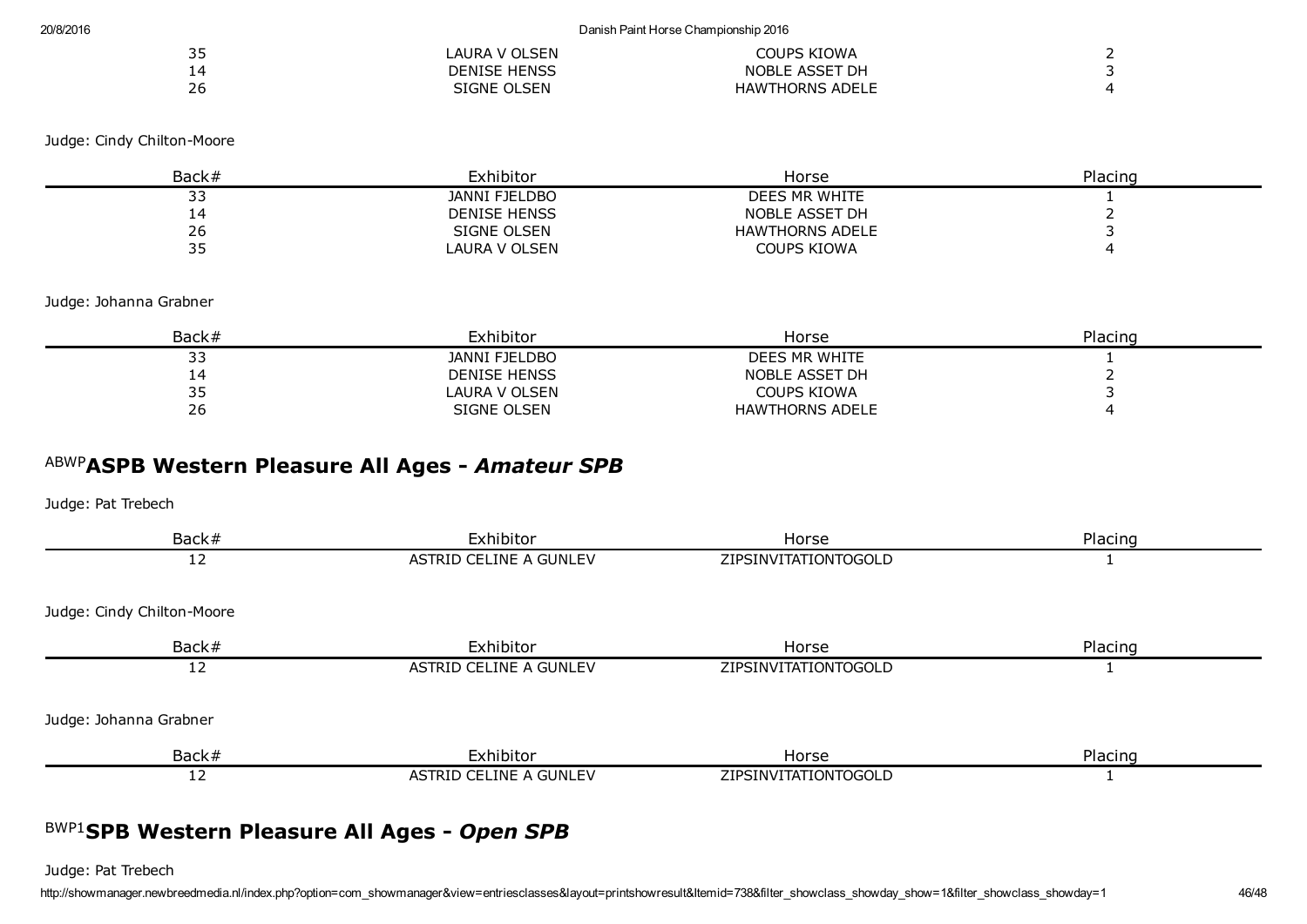| $\sim$ $\sim$<br>ں ر | LAURA V OLSEN       | COUPS KIOWA            |  |
|----------------------|---------------------|------------------------|--|
|                      | <b>DENISE HENSS</b> | NOBLE ASSET DH         |  |
| 26                   | SIGNE OLSEN         | <b>HAWTHORNS ADELE</b> |  |

| Back# | Exhibitor            | Horse                  | Placing |
|-------|----------------------|------------------------|---------|
| --    | <b>JANNI FJELDBO</b> | DEES MR WHITE          |         |
|       | <b>DENISE HENSS</b>  | NOBLE ASSET DH         |         |
| 26    | SIGNE OLSEN          | <b>HAWTHORNS ADELE</b> |         |
| --    | LAURA V OLSEN        | COUPS KIOWA            |         |

Judge: Johanna Grabner

| Back#     | Exhibitor           | Horse                  | Placing |
|-----------|---------------------|------------------------|---------|
| - -<br>-- | JANNI FJELDBO       | DEES MR WHITE          |         |
|           | <b>DENISE HENSS</b> | NOBLE ASSET DH         |         |
| --        | LAURA V OLSEN       | COUPS KIOWA            |         |
| 26        | SIGNE OLSEN         | <b>HAWTHORNS ADELE</b> |         |

# ABWP ASPB Western Pleasure All Ages *Amateur SPB*

Judge: Pat Trebech

| Back#                      | Exhibitor              | Horse                | Placing |
|----------------------------|------------------------|----------------------|---------|
| 12                         | ASTRID CELINE A GUNLEV | ZIPSINVITATIONTOGOLD |         |
| Judge: Cindy Chilton-Moore |                        |                      |         |
| Back#                      | Exhibitor              | Horse                | Placing |
| 12                         | ASTRID CELINE A GUNLEV | ZIPSINVITATIONTOGOLD |         |
| Judge: Johanna Grabner     |                        |                      |         |
| Back#                      | Exhibitor              | Horse                | Placing |
| 12                         | ASTRID CELINE A GUNLEV | ZIPSINVITATIONTOGOLD |         |
|                            |                        |                      |         |

# BWP1 SPB Western Pleasure All Ages *Open SPB*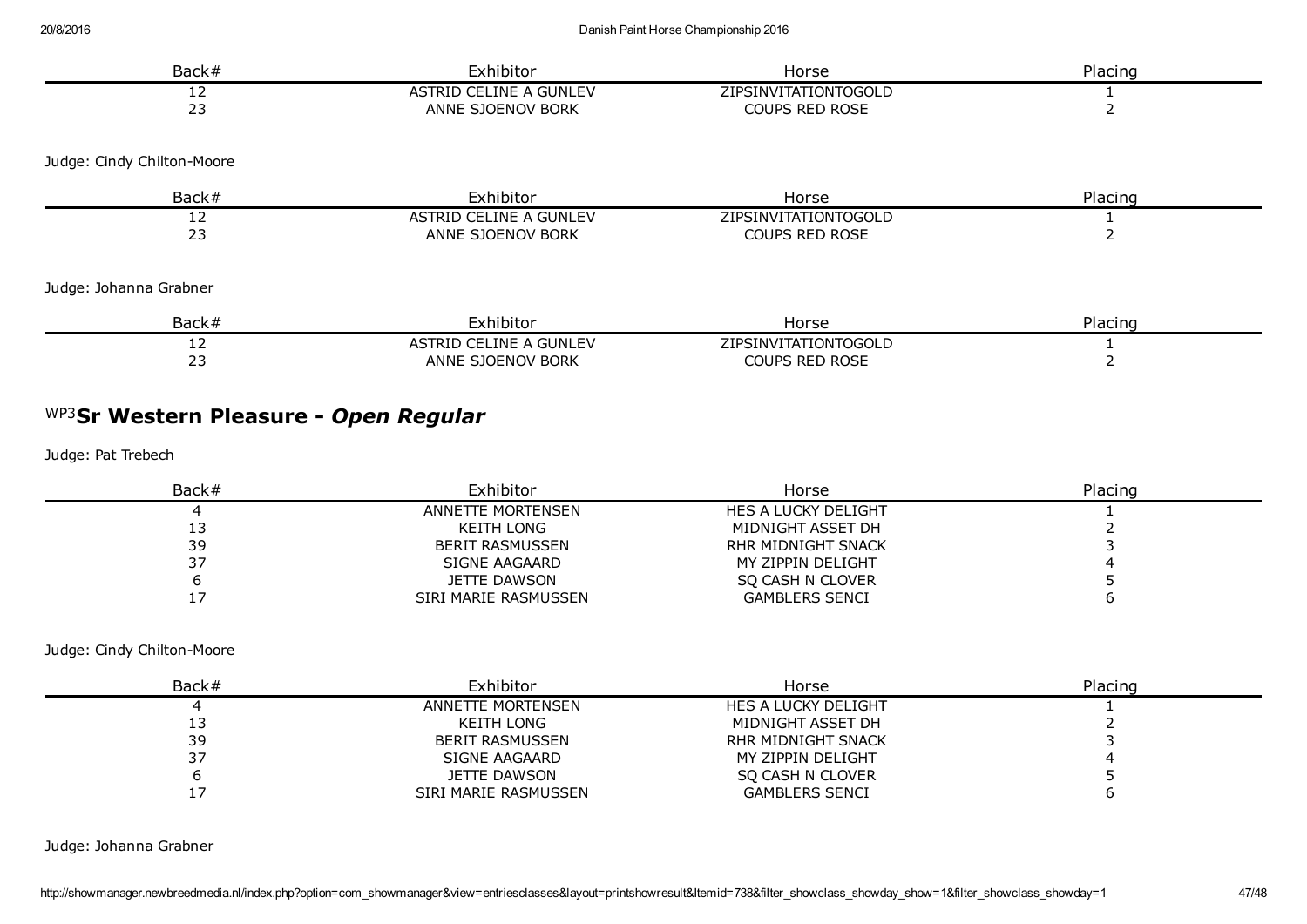| Back#                      | Exhibitor              | Horse                 | Placing |
|----------------------------|------------------------|-----------------------|---------|
| 12                         | ASTRID CELINE A GUNLEV | ZIPSINVITATIONTOGOLD  |         |
| 23                         | ANNE SJOENOV BORK      | <b>COUPS RED ROSE</b> |         |
| Judge: Cindy Chilton-Moore |                        |                       |         |
| Back#                      | Exhibitor              | Horse                 | Placing |
| 12                         | ASTRID CELINE A GUNLEV | ZIPSINVITATIONTOGOLD  |         |
| 23                         | ANNE SJOENOV BORK      | COUPS RED ROSE        |         |
| Judge: Johanna Grabner     |                        |                       |         |
| Back#                      | Exhibitor              | Horse                 | Placing |
| 12                         | ASTRID CELINE A GUNLEV | ZIPSINVITATIONTOGOLD  |         |
| 23                         | ANNE SJOENOV BORK      | <b>COUPS RED ROSE</b> |         |
|                            |                        |                       |         |

# WP3 Sr Western Pleasure *Open Regular*

Judge: Pat Trebech

| Back $#$ | Exhibitor            | Horse                 | Placing |
|----------|----------------------|-----------------------|---------|
|          | ANNETTE MORTENSEN    | HES A LUCKY DELIGHT   |         |
| ⊥ J      | KEITH LONG           | MIDNIGHT ASSET DH     |         |
| 39       | BERIT RASMUSSEN      | RHR MIDNIGHT SNACK    |         |
|          | SIGNE AAGAARD        | MY ZIPPIN DELIGHT     |         |
|          | JETTE DAWSON         | SO CASH N CLOVER      |         |
|          | SIRI MARIE RASMUSSEN | <b>GAMBLERS SENCI</b> |         |

Judge: Cindy Chilton-Moore

| Back# | Exhibitor              | Horse                 | Placing |
|-------|------------------------|-----------------------|---------|
|       | ANNETTE MORTENSEN      | HES A LUCKY DELIGHT   |         |
|       | KEITH LONG             | MIDNIGHT ASSET DH     |         |
| 39    | <b>BERIT RASMUSSEN</b> | RHR MIDNIGHT SNACK    |         |
| 37    | SIGNE AAGAARD          | MY ZIPPIN DELIGHT     |         |
|       | JETTE DAWSON           | SO CASH N CLOVER      |         |
|       | SIRI MARIE RASMUSSEN   | <b>GAMBLERS SENCI</b> |         |

Judge: Johanna Grabner